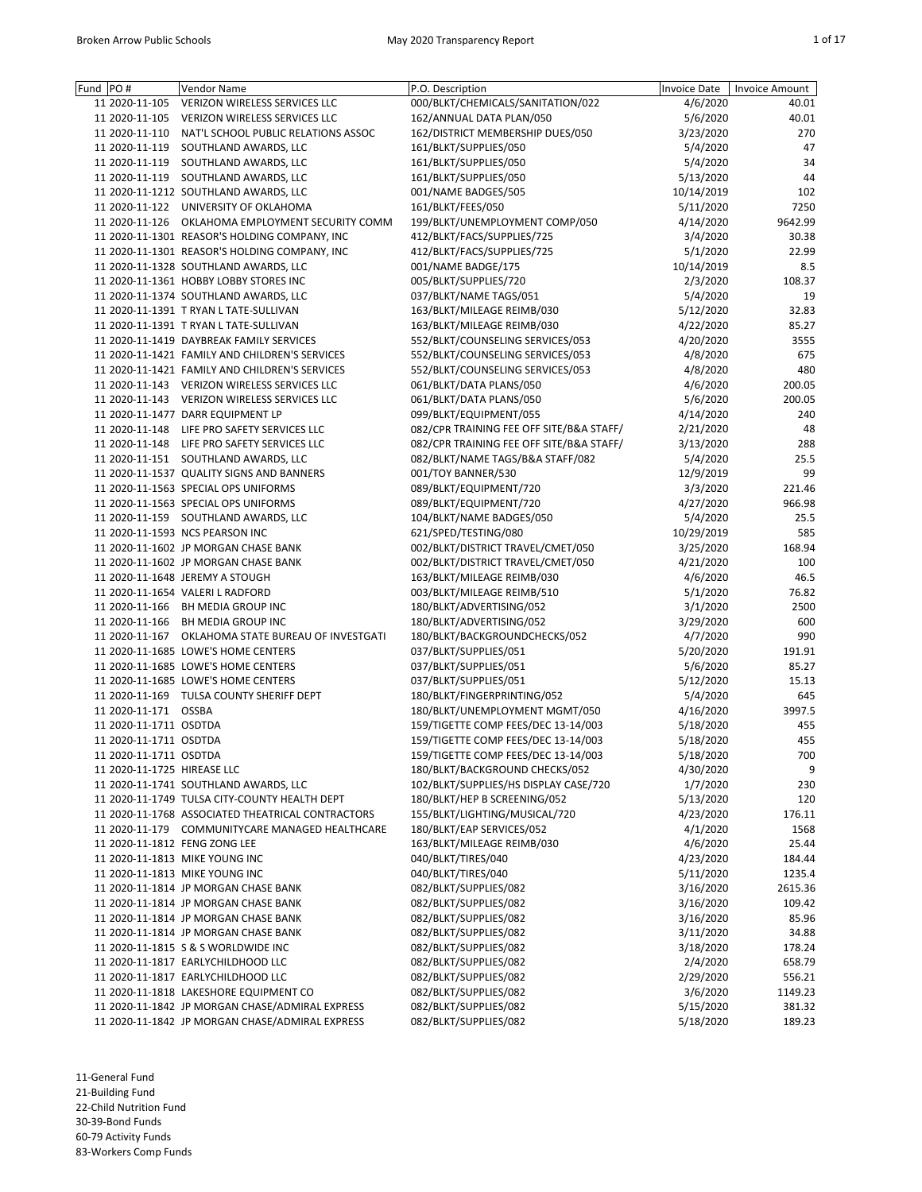| Fund PO#                      | <b>Vendor Name</b>                                 | P.O. Description                         | <b>Invoice Date</b> | <b>Invoice Amount</b> |
|-------------------------------|----------------------------------------------------|------------------------------------------|---------------------|-----------------------|
| 11 2020-11-105                | VERIZON WIRELESS SERVICES LLC                      | 000/BLKT/CHEMICALS/SANITATION/022        | 4/6/2020            | 40.01                 |
| 11 2020-11-105                | VERIZON WIRELESS SERVICES LLC                      | 162/ANNUAL DATA PLAN/050                 | 5/6/2020            | 40.01                 |
|                               | 11 2020-11-110 NAT'L SCHOOL PUBLIC RELATIONS ASSOC | 162/DISTRICT MEMBERSHIP DUES/050         | 3/23/2020           | 270                   |
| 11 2020-11-119                | SOUTHLAND AWARDS, LLC                              | 161/BLKT/SUPPLIES/050                    | 5/4/2020            | 47                    |
| 11 2020-11-119                | SOUTHLAND AWARDS, LLC                              | 161/BLKT/SUPPLIES/050                    | 5/4/2020            | 34                    |
|                               | 11 2020-11-119 SOUTHLAND AWARDS, LLC               | 161/BLKT/SUPPLIES/050                    | 5/13/2020           | 44                    |
|                               | 11 2020-11-1212 SOUTHLAND AWARDS, LLC              | 001/NAME BADGES/505                      | 10/14/2019          | 102                   |
|                               | 11 2020-11-122 UNIVERSITY OF OKLAHOMA              | 161/BLKT/FEES/050                        | 5/11/2020           | 7250                  |
|                               | 11 2020-11-126 OKLAHOMA EMPLOYMENT SECURITY COMM   | 199/BLKT/UNEMPLOYMENT COMP/050           | 4/14/2020           | 9642.99               |
|                               |                                                    | 412/BLKT/FACS/SUPPLIES/725               |                     |                       |
|                               | 11 2020-11-1301 REASOR'S HOLDING COMPANY, INC      |                                          | 3/4/2020            | 30.38                 |
|                               | 11 2020-11-1301 REASOR'S HOLDING COMPANY, INC      | 412/BLKT/FACS/SUPPLIES/725               | 5/1/2020            | 22.99                 |
|                               | 11 2020-11-1328 SOUTHLAND AWARDS, LLC              | 001/NAME BADGE/175                       | 10/14/2019          | 8.5                   |
|                               | 11 2020-11-1361 HOBBY LOBBY STORES INC             | 005/BLKT/SUPPLIES/720                    | 2/3/2020            | 108.37                |
|                               | 11 2020-11-1374 SOUTHLAND AWARDS, LLC              | 037/BLKT/NAME TAGS/051                   | 5/4/2020            | 19                    |
|                               | 11 2020-11-1391 T RYAN L TATE-SULLIVAN             | 163/BLKT/MILEAGE REIMB/030               | 5/12/2020           | 32.83                 |
|                               | 11 2020-11-1391 T RYAN L TATE-SULLIVAN             | 163/BLKT/MILEAGE REIMB/030               | 4/22/2020           | 85.27                 |
|                               | 11 2020-11-1419 DAYBREAK FAMILY SERVICES           | 552/BLKT/COUNSELING SERVICES/053         | 4/20/2020           | 3555                  |
|                               | 11 2020-11-1421 FAMILY AND CHILDREN'S SERVICES     | 552/BLKT/COUNSELING SERVICES/053         | 4/8/2020            | 675                   |
|                               | 11 2020-11-1421 FAMILY AND CHILDREN'S SERVICES     | 552/BLKT/COUNSELING SERVICES/053         | 4/8/2020            | 480                   |
|                               | 11 2020-11-143 VERIZON WIRELESS SERVICES LLC       | 061/BLKT/DATA PLANS/050                  | 4/6/2020            | 200.05                |
|                               | 11 2020-11-143 VERIZON WIRELESS SERVICES LLC       | 061/BLKT/DATA PLANS/050                  | 5/6/2020            | 200.05                |
|                               | 11 2020-11-1477 DARR EQUIPMENT LP                  | 099/BLKT/EQUIPMENT/055                   | 4/14/2020           | 240                   |
|                               | 11 2020-11-148 LIFE PRO SAFETY SERVICES LLC        | 082/CPR TRAINING FEE OFF SITE/B&A STAFF/ |                     | 48                    |
|                               |                                                    |                                          | 2/21/2020           |                       |
|                               | 11 2020-11-148 LIFE PRO SAFETY SERVICES LLC        | 082/CPR TRAINING FEE OFF SITE/B&A STAFF/ | 3/13/2020           | 288                   |
|                               | 11 2020-11-151 SOUTHLAND AWARDS, LLC               | 082/BLKT/NAME TAGS/B&A STAFF/082         | 5/4/2020            | 25.5                  |
|                               | 11 2020-11-1537 QUALITY SIGNS AND BANNERS          | 001/TOY BANNER/530                       | 12/9/2019           | 99                    |
|                               | 11 2020-11-1563 SPECIAL OPS UNIFORMS               | 089/BLKT/EQUIPMENT/720                   | 3/3/2020            | 221.46                |
|                               | 11 2020-11-1563 SPECIAL OPS UNIFORMS               | 089/BLKT/EQUIPMENT/720                   | 4/27/2020           | 966.98                |
|                               | 11 2020-11-159 SOUTHLAND AWARDS, LLC               | 104/BLKT/NAME BADGES/050                 | 5/4/2020            | 25.5                  |
|                               | 11 2020-11-1593 NCS PEARSON INC                    | 621/SPED/TESTING/080                     | 10/29/2019          | 585                   |
|                               | 11 2020-11-1602 JP MORGAN CHASE BANK               | 002/BLKT/DISTRICT TRAVEL/CMET/050        | 3/25/2020           | 168.94                |
|                               | 11 2020-11-1602 JP MORGAN CHASE BANK               | 002/BLKT/DISTRICT TRAVEL/CMET/050        | 4/21/2020           | 100                   |
|                               | 11 2020-11-1648 JEREMY A STOUGH                    | 163/BLKT/MILEAGE REIMB/030               | 4/6/2020            | 46.5                  |
|                               | 11 2020-11-1654 VALERI L RADFORD                   | 003/BLKT/MILEAGE REIMB/510               | 5/1/2020            | 76.82                 |
|                               | 11 2020-11-166 BH MEDIA GROUP INC                  | 180/BLKT/ADVERTISING/052                 | 3/1/2020            | 2500                  |
|                               | 11 2020-11-166 BH MEDIA GROUP INC                  | 180/BLKT/ADVERTISING/052                 | 3/29/2020           | 600                   |
|                               | 11 2020-11-167 OKLAHOMA STATE BUREAU OF INVESTGATI | 180/BLKT/BACKGROUNDCHECKS/052            | 4/7/2020            | 990                   |
|                               | 11 2020-11-1685 LOWE'S HOME CENTERS                | 037/BLKT/SUPPLIES/051                    |                     | 191.91                |
|                               |                                                    |                                          | 5/20/2020           |                       |
|                               | 11 2020-11-1685 LOWE'S HOME CENTERS                | 037/BLKT/SUPPLIES/051                    | 5/6/2020            | 85.27                 |
|                               | 11 2020-11-1685 LOWE'S HOME CENTERS                | 037/BLKT/SUPPLIES/051                    | 5/12/2020           | 15.13                 |
|                               | 11 2020-11-169 TULSA COUNTY SHERIFF DEPT           | 180/BLKT/FINGERPRINTING/052              | 5/4/2020            | 645                   |
| 11 2020-11-171 OSSBA          |                                                    | 180/BLKT/UNEMPLOYMENT MGMT/050           | 4/16/2020           | 3997.5                |
| 11 2020-11-1711 OSDTDA        |                                                    | 159/TIGETTE COMP FEES/DEC 13-14/003      | 5/18/2020           | 455                   |
| 11 2020-11-1711 OSDTDA        |                                                    | 159/TIGETTE COMP FEES/DEC 13-14/003      | 5/18/2020           | 455                   |
| 11 2020-11-1711 OSDTDA        |                                                    | 159/TIGETTE COMP FEES/DEC 13-14/003      | 5/18/2020           | 700                   |
| 11 2020-11-1725 HIREASE LLC   |                                                    | 180/BLKT/BACKGROUND CHECKS/052           | 4/30/2020           | 9                     |
|                               | 11 2020-11-1741 SOUTHLAND AWARDS, LLC              | 102/BLKT/SUPPLIES/HS DISPLAY CASE/720    | 1/7/2020            | 230                   |
|                               | 11 2020-11-1749 TULSA CITY-COUNTY HEALTH DEPT      | 180/BLKT/HEP B SCREENING/052             | 5/13/2020           | 120                   |
|                               | 11 2020-11-1768 ASSOCIATED THEATRICAL CONTRACTORS  | 155/BLKT/LIGHTING/MUSICAL/720            | 4/23/2020           | 176.11                |
|                               | 11 2020-11-179 COMMUNITYCARE MANAGED HEALTHCARE    | 180/BLKT/EAP SERVICES/052                | 4/1/2020            | 1568                  |
| 11 2020-11-1812 FENG ZONG LEE |                                                    | 163/BLKT/MILEAGE REIMB/030               | 4/6/2020            | 25.44                 |
|                               | 11 2020-11-1813 MIKE YOUNG INC                     | 040/BLKT/TIRES/040                       | 4/23/2020           | 184.44                |
|                               | 11 2020-11-1813 MIKE YOUNG INC                     | 040/BLKT/TIRES/040                       | 5/11/2020           | 1235.4                |
|                               | 11 2020-11-1814 JP MORGAN CHASE BANK               | 082/BLKT/SUPPLIES/082                    | 3/16/2020           | 2615.36               |
|                               | 11 2020-11-1814 JP MORGAN CHASE BANK               | 082/BLKT/SUPPLIES/082                    | 3/16/2020           | 109.42                |
|                               |                                                    |                                          |                     |                       |
|                               | 11 2020-11-1814 JP MORGAN CHASE BANK               | 082/BLKT/SUPPLIES/082                    | 3/16/2020           | 85.96                 |
|                               | 11 2020-11-1814 JP MORGAN CHASE BANK               | 082/BLKT/SUPPLIES/082                    | 3/11/2020           | 34.88                 |
|                               | 11 2020-11-1815 S & S WORLDWIDE INC                | 082/BLKT/SUPPLIES/082                    | 3/18/2020           | 178.24                |
|                               | 11 2020-11-1817 EARLYCHILDHOOD LLC                 | 082/BLKT/SUPPLIES/082                    | 2/4/2020            | 658.79                |
|                               | 11 2020-11-1817 EARLYCHILDHOOD LLC                 | 082/BLKT/SUPPLIES/082                    | 2/29/2020           | 556.21                |
|                               | 11 2020-11-1818 LAKESHORE EQUIPMENT CO             | 082/BLKT/SUPPLIES/082                    | 3/6/2020            | 1149.23               |
|                               | 11 2020-11-1842 JP MORGAN CHASE/ADMIRAL EXPRESS    | 082/BLKT/SUPPLIES/082                    | 5/15/2020           | 381.32                |
|                               | 11 2020-11-1842 JP MORGAN CHASE/ADMIRAL EXPRESS    | 082/BLKT/SUPPLIES/082                    | 5/18/2020           | 189.23                |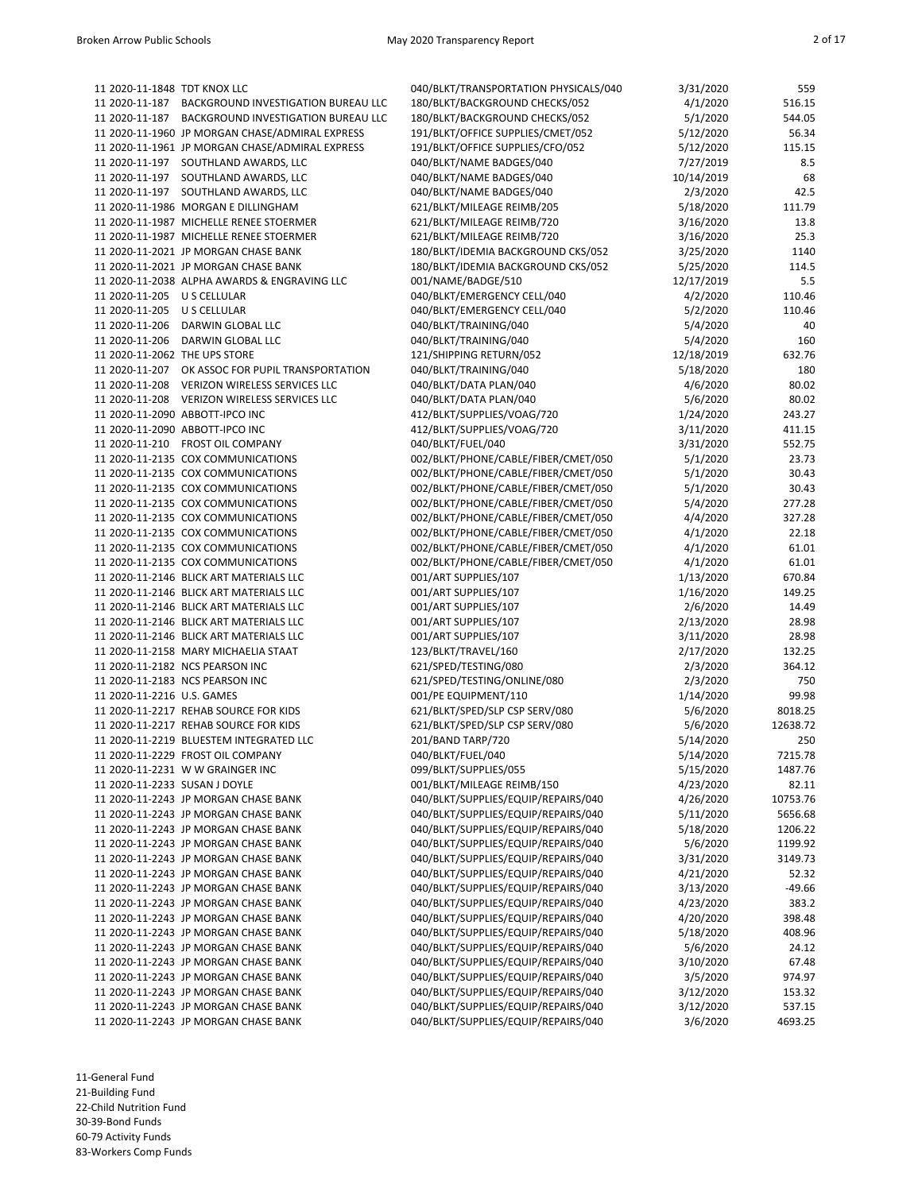| 11 2020-11-1848 TDT KNOX LLC  |                                                                              | 040/BLKT/TRANSPORTATION PHYSICALS/040                                      | 3/31/2020             | 559              |
|-------------------------------|------------------------------------------------------------------------------|----------------------------------------------------------------------------|-----------------------|------------------|
| 11 2020-11-187                | BACKGROUND INVESTIGATION BUREAU LLC                                          | 180/BLKT/BACKGROUND CHECKS/052                                             | 4/1/2020              | 516.15           |
| 11 2020-11-187                | BACKGROUND INVESTIGATION BUREAU LLC                                          | 180/BLKT/BACKGROUND CHECKS/052                                             | 5/1/2020              | 544.05           |
|                               | 11 2020-11-1960 JP MORGAN CHASE/ADMIRAL EXPRESS                              | 191/BLKT/OFFICE SUPPLIES/CMET/052                                          | 5/12/2020             | 56.34            |
|                               | 11 2020-11-1961 JP MORGAN CHASE/ADMIRAL EXPRESS                              | 191/BLKT/OFFICE SUPPLIES/CFO/052                                           | 5/12/2020             | 115.15           |
|                               | 11 2020-11-197 SOUTHLAND AWARDS, LLC                                         | 040/BLKT/NAME BADGES/040                                                   | 7/27/2019             | 8.5              |
|                               | 11 2020-11-197 SOUTHLAND AWARDS, LLC                                         | 040/BLKT/NAME BADGES/040                                                   | 10/14/2019            | 68               |
| 11 2020-11-197                | SOUTHLAND AWARDS, LLC                                                        | 040/BLKT/NAME BADGES/040                                                   | 2/3/2020              | 42.5             |
|                               | 11 2020-11-1986 MORGAN E DILLINGHAM                                          | 621/BLKT/MILEAGE REIMB/205                                                 | 5/18/2020             | 111.79           |
|                               | 11 2020-11-1987 MICHELLE RENEE STOERMER                                      | 621/BLKT/MILEAGE REIMB/720                                                 | 3/16/2020             | 13.8             |
|                               | 11 2020-11-1987 MICHELLE RENEE STOERMER                                      | 621/BLKT/MILEAGE REIMB/720                                                 | 3/16/2020             | 25.3             |
|                               | 11 2020-11-2021 JP MORGAN CHASE BANK                                         | 180/BLKT/IDEMIA BACKGROUND CKS/052                                         | 3/25/2020             | 1140             |
|                               | 11 2020-11-2021 JP MORGAN CHASE BANK                                         | 180/BLKT/IDEMIA BACKGROUND CKS/052                                         | 5/25/2020             | 114.5            |
|                               | 11 2020-11-2038 ALPHA AWARDS & ENGRAVING LLC                                 | 001/NAME/BADGE/510                                                         | 12/17/2019            | 5.5              |
| 11 2020-11-205 U S CELLULAR   |                                                                              | 040/BLKT/EMERGENCY CELL/040                                                | 4/2/2020              | 110.46           |
| 11 2020-11-205 U S CELLULAR   |                                                                              | 040/BLKT/EMERGENCY CELL/040                                                | 5/2/2020              | 110.46           |
| 11 2020-11-206                | DARWIN GLOBAL LLC                                                            | 040/BLKT/TRAINING/040                                                      | 5/4/2020              | 40               |
| 11 2020-11-206                | DARWIN GLOBAL LLC                                                            | 040/BLKT/TRAINING/040                                                      | 5/4/2020              | 160              |
| 11 2020-11-2062 THE UPS STORE |                                                                              | 121/SHIPPING RETURN/052                                                    | 12/18/2019            | 632.76           |
| 11 2020-11-207                | OK ASSOC FOR PUPIL TRANSPORTATION                                            | 040/BLKT/TRAINING/040                                                      | 5/18/2020             | 180              |
| 11 2020-11-208                | VERIZON WIRELESS SERVICES LLC                                                | 040/BLKT/DATA PLAN/040                                                     | 4/6/2020              | 80.02            |
| 11 2020-11-208                | VERIZON WIRELESS SERVICES LLC                                                | 040/BLKT/DATA PLAN/040                                                     | 5/6/2020              | 80.02            |
|                               | 11 2020-11-2090 ABBOTT-IPCO INC                                              | 412/BLKT/SUPPLIES/VOAG/720                                                 | 1/24/2020             | 243.27           |
|                               | 11 2020-11-2090 ABBOTT-IPCO INC                                              | 412/BLKT/SUPPLIES/VOAG/720                                                 | 3/11/2020             | 411.15           |
|                               | 11 2020-11-210 FROST OIL COMPANY                                             | 040/BLKT/FUEL/040                                                          | 3/31/2020             | 552.75           |
|                               | 11 2020-11-2135 COX COMMUNICATIONS                                           | 002/BLKT/PHONE/CABLE/FIBER/CMET/050<br>002/BLKT/PHONE/CABLE/FIBER/CMET/050 | 5/1/2020              | 23.73            |
|                               | 11 2020-11-2135 COX COMMUNICATIONS<br>11 2020-11-2135 COX COMMUNICATIONS     | 002/BLKT/PHONE/CABLE/FIBER/CMET/050                                        | 5/1/2020<br>5/1/2020  | 30.43<br>30.43   |
|                               | 11 2020-11-2135 COX COMMUNICATIONS                                           | 002/BLKT/PHONE/CABLE/FIBER/CMET/050                                        | 5/4/2020              | 277.28           |
|                               | 11 2020-11-2135 COX COMMUNICATIONS                                           | 002/BLKT/PHONE/CABLE/FIBER/CMET/050                                        | 4/4/2020              | 327.28           |
|                               | 11 2020-11-2135 COX COMMUNICATIONS                                           | 002/BLKT/PHONE/CABLE/FIBER/CMET/050                                        | 4/1/2020              | 22.18            |
|                               | 11 2020-11-2135 COX COMMUNICATIONS                                           | 002/BLKT/PHONE/CABLE/FIBER/CMET/050                                        | 4/1/2020              | 61.01            |
|                               | 11 2020-11-2135 COX COMMUNICATIONS                                           | 002/BLKT/PHONE/CABLE/FIBER/CMET/050                                        | 4/1/2020              | 61.01            |
|                               | 11 2020-11-2146 BLICK ART MATERIALS LLC                                      | 001/ART SUPPLIES/107                                                       | 1/13/2020             | 670.84           |
|                               | 11 2020-11-2146 BLICK ART MATERIALS LLC                                      | 001/ART SUPPLIES/107                                                       | 1/16/2020             | 149.25           |
|                               | 11 2020-11-2146 BLICK ART MATERIALS LLC                                      | 001/ART SUPPLIES/107                                                       | 2/6/2020              | 14.49            |
|                               | 11 2020-11-2146 BLICK ART MATERIALS LLC                                      | 001/ART SUPPLIES/107                                                       | 2/13/2020             | 28.98            |
|                               | 11 2020-11-2146 BLICK ART MATERIALS LLC                                      | 001/ART SUPPLIES/107                                                       | 3/11/2020             | 28.98            |
|                               | 11 2020-11-2158 MARY MICHAELIA STAAT                                         | 123/BLKT/TRAVEL/160                                                        | 2/17/2020             | 132.25           |
|                               | 11 2020-11-2182 NCS PEARSON INC                                              | 621/SPED/TESTING/080                                                       | 2/3/2020              | 364.12           |
|                               | 11 2020-11-2183 NCS PEARSON INC                                              | 621/SPED/TESTING/ONLINE/080                                                | 2/3/2020              | 750              |
| 11 2020-11-2216 U.S. GAMES    |                                                                              | 001/PE EQUIPMENT/110                                                       | 1/14/2020             | 99.98            |
|                               | 11 2020-11-2217 REHAB SOURCE FOR KIDS                                        | 621/BLKT/SPED/SLP CSP SERV/080                                             | 5/6/2020              | 8018.25          |
|                               | 11 2020-11-2217 REHAB SOURCE FOR KIDS                                        | 621/BLKT/SPED/SLP CSP SERV/080                                             | 5/6/2020              | 12638.72         |
|                               | 11 2020-11-2219 BLUESTEM INTEGRATED LLC                                      | 201/BAND TARP/720                                                          | 5/14/2020             | 250              |
|                               | 11 2020-11-2229 FROST OIL COMPANY                                            | 040/BLKT/FUEL/040                                                          | 5/14/2020             | 7215.78          |
|                               | 11 2020-11-2231 W W GRAINGER INC                                             | 099/BLKT/SUPPLIES/055                                                      | 5/15/2020             | 1487.76          |
| 11 2020-11-2233 SUSAN J DOYLE |                                                                              | 001/BLKT/MILEAGE REIMB/150                                                 | 4/23/2020             | 82.11            |
|                               | 11 2020-11-2243 JP MORGAN CHASE BANK                                         | 040/BLKT/SUPPLIES/EQUIP/REPAIRS/040                                        | 4/26/2020             | 10753.76         |
|                               | 11 2020-11-2243 JP MORGAN CHASE BANK                                         | 040/BLKT/SUPPLIES/EQUIP/REPAIRS/040                                        | 5/11/2020             | 5656.68          |
|                               | 11 2020-11-2243 JP MORGAN CHASE BANK                                         | 040/BLKT/SUPPLIES/EQUIP/REPAIRS/040                                        | 5/18/2020             | 1206.22          |
|                               | 11 2020-11-2243 JP MORGAN CHASE BANK                                         | 040/BLKT/SUPPLIES/EQUIP/REPAIRS/040                                        | 5/6/2020              | 1199.92          |
|                               | 11 2020-11-2243 JP MORGAN CHASE BANK                                         | 040/BLKT/SUPPLIES/EQUIP/REPAIRS/040                                        | 3/31/2020             | 3149.73          |
|                               | 11 2020-11-2243 JP MORGAN CHASE BANK                                         | 040/BLKT/SUPPLIES/EQUIP/REPAIRS/040                                        | 4/21/2020             | 52.32            |
|                               | 11 2020-11-2243 JP MORGAN CHASE BANK                                         | 040/BLKT/SUPPLIES/EQUIP/REPAIRS/040                                        | 3/13/2020             | $-49.66$         |
|                               | 11 2020-11-2243 JP MORGAN CHASE BANK                                         | 040/BLKT/SUPPLIES/EQUIP/REPAIRS/040                                        | 4/23/2020             | 383.2            |
|                               | 11 2020-11-2243 JP MORGAN CHASE BANK                                         | 040/BLKT/SUPPLIES/EQUIP/REPAIRS/040                                        | 4/20/2020             | 398.48           |
|                               | 11 2020-11-2243 JP MORGAN CHASE BANK                                         | 040/BLKT/SUPPLIES/EQUIP/REPAIRS/040                                        | 5/18/2020             | 408.96           |
|                               | 11 2020-11-2243 JP MORGAN CHASE BANK                                         | 040/BLKT/SUPPLIES/EQUIP/REPAIRS/040                                        | 5/6/2020              | 24.12            |
|                               | 11 2020-11-2243 JP MORGAN CHASE BANK                                         | 040/BLKT/SUPPLIES/EQUIP/REPAIRS/040<br>040/BLKT/SUPPLIES/EQUIP/REPAIRS/040 | 3/10/2020             | 67.48            |
|                               | 11 2020-11-2243 JP MORGAN CHASE BANK<br>11 2020-11-2243 JP MORGAN CHASE BANK | 040/BLKT/SUPPLIES/EQUIP/REPAIRS/040                                        | 3/5/2020<br>3/12/2020 | 974.97<br>153.32 |
|                               | 11 2020-11-2243 JP MORGAN CHASE BANK                                         | 040/BLKT/SUPPLIES/EQUIP/REPAIRS/040                                        | 3/12/2020             | 537.15           |
|                               | 11 2020-11-2243 JP MORGAN CHASE BANK                                         | 040/BLKT/SUPPLIES/EQUIP/REPAIRS/040                                        | 3/6/2020              | 4693.25          |
|                               |                                                                              |                                                                            |                       |                  |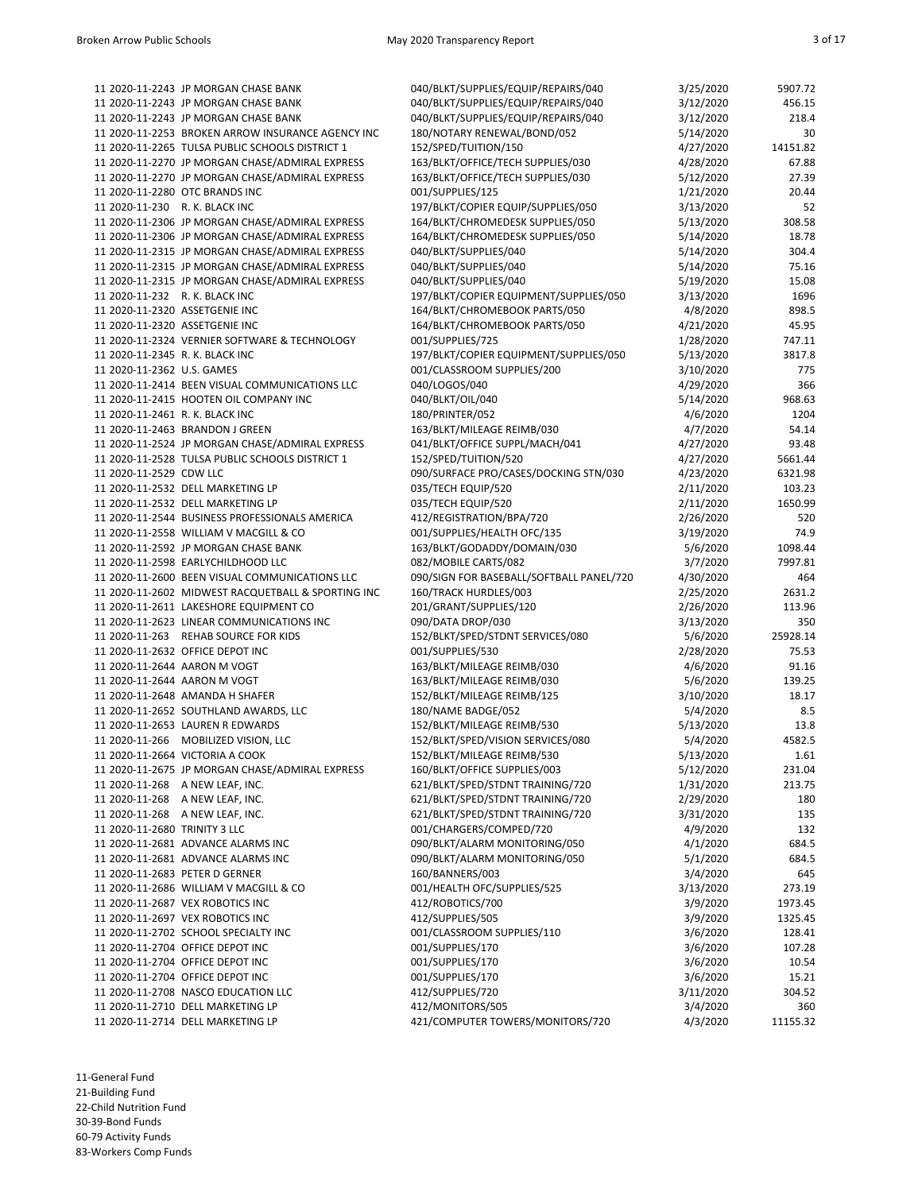|                                 | 11 2020-11-2243 JP MORGAN CHASE BANK               | 040/BLKT/SUPPLIES/EQUIP/REPAIRS/040      | 3/25/2020 | 5907.72  |
|---------------------------------|----------------------------------------------------|------------------------------------------|-----------|----------|
|                                 | 11 2020-11-2243 JP MORGAN CHASE BANK               | 040/BLKT/SUPPLIES/EQUIP/REPAIRS/040      | 3/12/2020 | 456.15   |
|                                 | 11 2020-11-2243 JP MORGAN CHASE BANK               | 040/BLKT/SUPPLIES/EQUIP/REPAIRS/040      | 3/12/2020 | 218.4    |
|                                 |                                                    |                                          |           |          |
|                                 | 11 2020-11-2253 BROKEN ARROW INSURANCE AGENCY INC  | 180/NOTARY RENEWAL/BOND/052              | 5/14/2020 | 30       |
|                                 | 11 2020-11-2265 TULSA PUBLIC SCHOOLS DISTRICT 1    | 152/SPED/TUITION/150                     | 4/27/2020 | 14151.82 |
|                                 | 11 2020-11-2270 JP MORGAN CHASE/ADMIRAL EXPRESS    | 163/BLKT/OFFICE/TECH SUPPLIES/030        | 4/28/2020 | 67.88    |
|                                 | 11 2020-11-2270 JP MORGAN CHASE/ADMIRAL EXPRESS    | 163/BLKT/OFFICE/TECH SUPPLIES/030        | 5/12/2020 | 27.39    |
|                                 |                                                    |                                          |           |          |
|                                 | 11 2020-11-2280 OTC BRANDS INC                     | 001/SUPPLIES/125                         | 1/21/2020 | 20.44    |
| 11 2020-11-230 R. K. BLACK INC  |                                                    | 197/BLKT/COPIER EQUIP/SUPPLIES/050       | 3/13/2020 | 52       |
|                                 | 11 2020-11-2306 JP MORGAN CHASE/ADMIRAL EXPRESS    | 164/BLKT/CHROMEDESK SUPPLIES/050         | 5/13/2020 | 308.58   |
|                                 | 11 2020-11-2306 JP MORGAN CHASE/ADMIRAL EXPRESS    | 164/BLKT/CHROMEDESK SUPPLIES/050         | 5/14/2020 | 18.78    |
|                                 |                                                    |                                          |           |          |
|                                 | 11 2020-11-2315 JP MORGAN CHASE/ADMIRAL EXPRESS    | 040/BLKT/SUPPLIES/040                    | 5/14/2020 | 304.4    |
|                                 | 11 2020-11-2315 JP MORGAN CHASE/ADMIRAL EXPRESS    | 040/BLKT/SUPPLIES/040                    | 5/14/2020 | 75.16    |
|                                 | 11 2020-11-2315 JP MORGAN CHASE/ADMIRAL EXPRESS    | 040/BLKT/SUPPLIES/040                    | 5/19/2020 | 15.08    |
| 11 2020-11-232 R. K. BLACK INC  |                                                    | 197/BLKT/COPIER EQUIPMENT/SUPPLIES/050   | 3/13/2020 | 1696     |
|                                 |                                                    |                                          |           |          |
| 11 2020-11-2320 ASSETGENIE INC  |                                                    | 164/BLKT/CHROMEBOOK PARTS/050            | 4/8/2020  | 898.5    |
| 11 2020-11-2320 ASSETGENIE INC  |                                                    | 164/BLKT/CHROMEBOOK PARTS/050            | 4/21/2020 | 45.95    |
|                                 | 11 2020-11-2324 VERNIER SOFTWARE & TECHNOLOGY      | 001/SUPPLIES/725                         | 1/28/2020 | 747.11   |
| 11 2020-11-2345 R. K. BLACK INC |                                                    | 197/BLKT/COPIER EQUIPMENT/SUPPLIES/050   | 5/13/2020 | 3817.8   |
|                                 |                                                    |                                          |           |          |
| 11 2020-11-2362 U.S. GAMES      |                                                    | 001/CLASSROOM SUPPLIES/200               | 3/10/2020 | 775      |
|                                 | 11 2020-11-2414 BEEN VISUAL COMMUNICATIONS LLC     | 040/LOGOS/040                            | 4/29/2020 | 366      |
|                                 | 11 2020-11-2415 HOOTEN OIL COMPANY INC             | 040/BLKT/OIL/040                         | 5/14/2020 | 968.63   |
|                                 |                                                    | 180/PRINTER/052                          |           | 1204     |
| 11 2020-11-2461 R. K. BLACK INC |                                                    |                                          | 4/6/2020  |          |
|                                 | 11 2020-11-2463 BRANDON J GREEN                    | 163/BLKT/MILEAGE REIMB/030               | 4/7/2020  | 54.14    |
|                                 | 11 2020-11-2524 JP MORGAN CHASE/ADMIRAL EXPRESS    | 041/BLKT/OFFICE SUPPL/MACH/041           | 4/27/2020 | 93.48    |
|                                 | 11 2020-11-2528 TULSA PUBLIC SCHOOLS DISTRICT 1    | 152/SPED/TUITION/520                     | 4/27/2020 | 5661.44  |
|                                 |                                                    |                                          |           |          |
| 11 2020-11-2529 CDW LLC         |                                                    | 090/SURFACE PRO/CASES/DOCKING STN/030    | 4/23/2020 | 6321.98  |
|                                 | 11 2020-11-2532 DELL MARKETING LP                  | 035/TECH EQUIP/520                       | 2/11/2020 | 103.23   |
|                                 | 11 2020-11-2532 DELL MARKETING LP                  | 035/TECH EQUIP/520                       | 2/11/2020 | 1650.99  |
|                                 | 11 2020-11-2544 BUSINESS PROFESSIONALS AMERICA     | 412/REGISTRATION/BPA/720                 | 2/26/2020 | 520      |
|                                 |                                                    |                                          |           |          |
|                                 | 11 2020-11-2558 WILLIAM V MACGILL & CO             | 001/SUPPLIES/HEALTH OFC/135              | 3/19/2020 | 74.9     |
|                                 | 11 2020-11-2592 JP MORGAN CHASE BANK               | 163/BLKT/GODADDY/DOMAIN/030              | 5/6/2020  | 1098.44  |
|                                 | 11 2020-11-2598 EARLYCHILDHOOD LLC                 | 082/MOBILE CARTS/082                     | 3/7/2020  | 7997.81  |
|                                 | 11 2020-11-2600 BEEN VISUAL COMMUNICATIONS LLC     | 090/SIGN FOR BASEBALL/SOFTBALL PANEL/720 | 4/30/2020 | 464      |
|                                 |                                                    |                                          |           |          |
|                                 | 11 2020-11-2602 MIDWEST RACQUETBALL & SPORTING INC | 160/TRACK HURDLES/003                    | 2/25/2020 | 2631.2   |
|                                 | 11 2020-11-2611 LAKESHORE EQUIPMENT CO             | 201/GRANT/SUPPLIES/120                   | 2/26/2020 | 113.96   |
|                                 | 11 2020-11-2623 LINEAR COMMUNICATIONS INC          | 090/DATA DROP/030                        | 3/13/2020 | 350      |
|                                 | 11 2020-11-263 REHAB SOURCE FOR KIDS               | 152/BLKT/SPED/STDNT SERVICES/080         | 5/6/2020  | 25928.14 |
|                                 |                                                    |                                          |           |          |
|                                 | 11 2020-11-2632 OFFICE DEPOT INC                   | 001/SUPPLIES/530                         | 2/28/2020 | 75.53    |
| 11 2020-11-2644 AARON M VOGT    |                                                    | 163/BLKT/MILEAGE REIMB/030               | 4/6/2020  | 91.16    |
| 11 2020-11-2644 AARON M VOGT    |                                                    | 163/BLKT/MILEAGE REIMB/030               | 5/6/2020  | 139.25   |
|                                 | 11 2020-11-2648 AMANDA H SHAFER                    | 152/BLKT/MILEAGE REIMB/125               | 3/10/2020 | 18.17    |
|                                 |                                                    |                                          |           |          |
|                                 | 11 2020-11-2652 SOUTHLAND AWARDS, LLC              | 180/NAME BADGE/052                       | 5/4/2020  | 8.5      |
|                                 | 11 2020-11-2653 LAUREN R EDWARDS                   | 152/BLKT/MILEAGE REIMB/530               | 5/13/2020 | 13.8     |
|                                 | 11 2020-11-266 MOBILIZED VISION, LLC               | 152/BLKT/SPED/VISION SERVICES/080        | 5/4/2020  | 4582.5   |
|                                 | 11 2020-11-2664 VICTORIA A COOK                    | 152/BLKT/MILEAGE REIMB/530               | 5/13/2020 | 1.61     |
|                                 |                                                    |                                          |           |          |
|                                 | 11 2020-11-2675 JP MORGAN CHASE/ADMIRAL EXPRESS    | 160/BLKT/OFFICE SUPPLIES/003             | 5/12/2020 | 231.04   |
|                                 | 11 2020-11-268 A NEW LEAF, INC.                    | 621/BLKT/SPED/STDNT TRAINING/720         | 1/31/2020 | 213.75   |
|                                 | 11 2020-11-268 A NEW LEAF, INC.                    | 621/BLKT/SPED/STDNT TRAINING/720         | 2/29/2020 | 180      |
|                                 | 11 2020-11-268 A NEW LEAF, INC.                    | 621/BLKT/SPED/STDNT TRAINING/720         | 3/31/2020 | 135      |
|                                 |                                                    |                                          |           |          |
| 11 2020-11-2680 TRINITY 3 LLC   |                                                    | 001/CHARGERS/COMPED/720                  | 4/9/2020  | 132      |
|                                 | 11 2020-11-2681 ADVANCE ALARMS INC                 | 090/BLKT/ALARM MONITORING/050            | 4/1/2020  | 684.5    |
|                                 | 11 2020-11-2681 ADVANCE ALARMS INC                 | 090/BLKT/ALARM MONITORING/050            | 5/1/2020  | 684.5    |
|                                 | 11 2020-11-2683 PETER D GERNER                     | 160/BANNERS/003                          | 3/4/2020  | 645      |
|                                 |                                                    |                                          |           |          |
|                                 | 11 2020-11-2686 WILLIAM V MACGILL & CO             | 001/HEALTH OFC/SUPPLIES/525              | 3/13/2020 | 273.19   |
|                                 | 11 2020-11-2687 VEX ROBOTICS INC                   | 412/ROBOTICS/700                         | 3/9/2020  | 1973.45  |
|                                 | 11 2020-11-2697 VEX ROBOTICS INC                   | 412/SUPPLIES/505                         | 3/9/2020  | 1325.45  |
|                                 | 11 2020-11-2702 SCHOOL SPECIALTY INC               | 001/CLASSROOM SUPPLIES/110               | 3/6/2020  | 128.41   |
|                                 |                                                    |                                          |           |          |
|                                 | 11 2020-11-2704 OFFICE DEPOT INC                   | 001/SUPPLIES/170                         | 3/6/2020  | 107.28   |
|                                 | 11 2020-11-2704 OFFICE DEPOT INC                   | 001/SUPPLIES/170                         | 3/6/2020  | 10.54    |
|                                 | 11 2020-11-2704 OFFICE DEPOT INC                   | 001/SUPPLIES/170                         | 3/6/2020  | 15.21    |
|                                 | 11 2020-11-2708 NASCO EDUCATION LLC                | 412/SUPPLIES/720                         | 3/11/2020 | 304.52   |
|                                 | 11 2020-11-2710 DELL MARKETING LP                  | 412/MONITORS/505                         | 3/4/2020  | 360      |
|                                 |                                                    |                                          |           |          |
|                                 | 11 2020-11-2714 DELL MARKETING LP                  | 421/COMPUTER TOWERS/MONITORS/720         | 4/3/2020  | 11155.32 |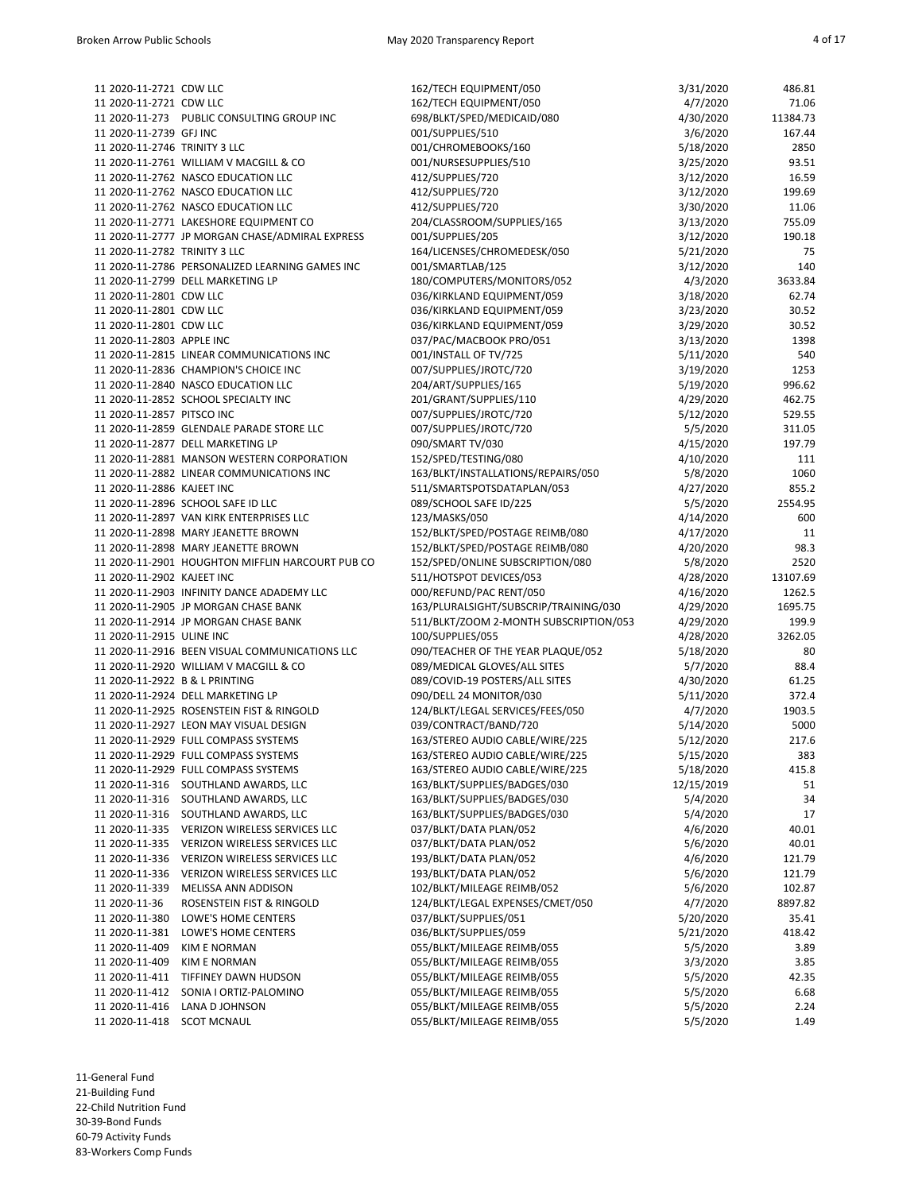| 11 2020-11-2721 CDW LLC          |                                                  | 162/TECH EQUIPMENT/050                 | 3/31/2020  | 486.81   |
|----------------------------------|--------------------------------------------------|----------------------------------------|------------|----------|
| 11 2020-11-2721 CDW LLC          |                                                  | 162/TECH EQUIPMENT/050                 | 4/7/2020   | 71.06    |
|                                  | 11 2020-11-273 PUBLIC CONSULTING GROUP INC       | 698/BLKT/SPED/MEDICAID/080             | 4/30/2020  | 11384.73 |
|                                  |                                                  |                                        |            | 167.44   |
| 11 2020-11-2739 GFJ INC          |                                                  | 001/SUPPLIES/510                       | 3/6/2020   |          |
| 11 2020-11-2746 TRINITY 3 LLC    |                                                  | 001/CHROMEBOOKS/160                    | 5/18/2020  | 2850     |
|                                  | 11 2020-11-2761 WILLIAM V MACGILL & CO           | 001/NURSESUPPLIES/510                  | 3/25/2020  | 93.51    |
|                                  | 11 2020-11-2762 NASCO EDUCATION LLC              | 412/SUPPLIES/720                       | 3/12/2020  | 16.59    |
|                                  | 11 2020-11-2762 NASCO EDUCATION LLC              | 412/SUPPLIES/720                       | 3/12/2020  | 199.69   |
|                                  | 11 2020-11-2762 NASCO EDUCATION LLC              | 412/SUPPLIES/720                       | 3/30/2020  | 11.06    |
|                                  | 11 2020-11-2771 LAKESHORE EQUIPMENT CO           | 204/CLASSROOM/SUPPLIES/165             | 3/13/2020  | 755.09   |
|                                  | 11 2020-11-2777 JP MORGAN CHASE/ADMIRAL EXPRESS  | 001/SUPPLIES/205                       | 3/12/2020  | 190.18   |
| 11 2020-11-2782 TRINITY 3 LLC    |                                                  | 164/LICENSES/CHROMEDESK/050            | 5/21/2020  | 75       |
|                                  | 11 2020-11-2786 PERSONALIZED LEARNING GAMES INC  | 001/SMARTLAB/125                       | 3/12/2020  | 140      |
|                                  | 11 2020-11-2799 DELL MARKETING LP                | 180/COMPUTERS/MONITORS/052             | 4/3/2020   | 3633.84  |
| 11 2020-11-2801 CDW LLC          |                                                  | 036/KIRKLAND EQUIPMENT/059             | 3/18/2020  | 62.74    |
| 11 2020-11-2801 CDW LLC          |                                                  | 036/KIRKLAND EQUIPMENT/059             | 3/23/2020  | 30.52    |
| 11 2020-11-2801 CDW LLC          |                                                  | 036/KIRKLAND EQUIPMENT/059             | 3/29/2020  | 30.52    |
| 11 2020-11-2803 APPLE INC        |                                                  | 037/PAC/MACBOOK PRO/051                | 3/13/2020  | 1398     |
|                                  | 11 2020-11-2815 LINEAR COMMUNICATIONS INC        | 001/INSTALL OF TV/725                  | 5/11/2020  | 540      |
|                                  | 11 2020-11-2836 CHAMPION'S CHOICE INC            | 007/SUPPLIES/JROTC/720                 | 3/19/2020  | 1253     |
|                                  | 11 2020-11-2840 NASCO EDUCATION LLC              | 204/ART/SUPPLIES/165                   | 5/19/2020  | 996.62   |
|                                  | 11 2020-11-2852 SCHOOL SPECIALTY INC             | 201/GRANT/SUPPLIES/110                 | 4/29/2020  | 462.75   |
| 11 2020-11-2857 PITSCO INC       |                                                  | 007/SUPPLIES/JROTC/720                 | 5/12/2020  | 529.55   |
|                                  | 11 2020-11-2859 GLENDALE PARADE STORE LLC        | 007/SUPPLIES/JROTC/720                 | 5/5/2020   | 311.05   |
|                                  | 11 2020-11-2877 DELL MARKETING LP                | 090/SMART TV/030                       | 4/15/2020  | 197.79   |
|                                  | 11 2020-11-2881 MANSON WESTERN CORPORATION       | 152/SPED/TESTING/080                   |            | 111      |
|                                  |                                                  |                                        | 4/10/2020  |          |
|                                  | 11 2020-11-2882 LINEAR COMMUNICATIONS INC        | 163/BLKT/INSTALLATIONS/REPAIRS/050     | 5/8/2020   | 1060     |
| 11 2020-11-2886 KAJEET INC       |                                                  | 511/SMARTSPOTSDATAPLAN/053             | 4/27/2020  | 855.2    |
|                                  | 11 2020-11-2896 SCHOOL SAFE ID LLC               | 089/SCHOOL SAFE ID/225                 | 5/5/2020   | 2554.95  |
|                                  | 11 2020-11-2897 VAN KIRK ENTERPRISES LLC         | 123/MASKS/050                          | 4/14/2020  | 600      |
|                                  | 11 2020-11-2898 MARY JEANETTE BROWN              | 152/BLKT/SPED/POSTAGE REIMB/080        | 4/17/2020  | 11       |
|                                  | 11 2020-11-2898 MARY JEANETTE BROWN              | 152/BLKT/SPED/POSTAGE REIMB/080        | 4/20/2020  | 98.3     |
|                                  | 11 2020-11-2901 HOUGHTON MIFFLIN HARCOURT PUB CO | 152/SPED/ONLINE SUBSCRIPTION/080       | 5/8/2020   | 2520     |
| 11 2020-11-2902 KAJEET INC       |                                                  | 511/HOTSPOT DEVICES/053                | 4/28/2020  | 13107.69 |
|                                  | 11 2020-11-2903 INFINITY DANCE ADADEMY LLC       | 000/REFUND/PAC RENT/050                | 4/16/2020  | 1262.5   |
|                                  | 11 2020-11-2905 JP MORGAN CHASE BANK             | 163/PLURALSIGHT/SUBSCRIP/TRAINING/030  | 4/29/2020  | 1695.75  |
|                                  | 11 2020-11-2914 JP MORGAN CHASE BANK             | 511/BLKT/ZOOM 2-MONTH SUBSCRIPTION/053 | 4/29/2020  | 199.9    |
| 11 2020-11-2915 ULINE INC        |                                                  | 100/SUPPLIES/055                       | 4/28/2020  | 3262.05  |
|                                  | 11 2020-11-2916 BEEN VISUAL COMMUNICATIONS LLC   | 090/TEACHER OF THE YEAR PLAQUE/052     | 5/18/2020  | 80       |
|                                  | 11 2020-11-2920 WILLIAM V MACGILL & CO           | 089/MEDICAL GLOVES/ALL SITES           | 5/7/2020   | 88.4     |
| 11 2020-11-2922 B & L PRINTING   |                                                  | 089/COVID-19 POSTERS/ALL SITES         | 4/30/2020  | 61.25    |
|                                  | 11 2020-11-2924 DELL MARKETING LP                | 090/DELL 24 MONITOR/030                | 5/11/2020  | 372.4    |
|                                  | 11 2020-11-2925 ROSENSTEIN FIST & RINGOLD        | 124/BLKT/LEGAL SERVICES/FEES/050       | 4/7/2020   | 1903.5   |
|                                  | 11 2020-11-2927 LEON MAY VISUAL DESIGN           | 039/CONTRACT/BAND/720                  | 5/14/2020  | 5000     |
|                                  | 11 2020-11-2929 FULL COMPASS SYSTEMS             | 163/STEREO AUDIO CABLE/WIRE/225        | 5/12/2020  | 217.6    |
|                                  | 11 2020-11-2929 FULL COMPASS SYSTEMS             | 163/STEREO AUDIO CABLE/WIRE/225        | 5/15/2020  | 383      |
|                                  | 11 2020-11-2929 FULL COMPASS SYSTEMS             | 163/STEREO AUDIO CABLE/WIRE/225        | 5/18/2020  | 415.8    |
| 11 2020-11-316                   | SOUTHLAND AWARDS, LLC                            | 163/BLKT/SUPPLIES/BADGES/030           | 12/15/2019 | 51       |
| 11 2020-11-316                   | SOUTHLAND AWARDS, LLC                            | 163/BLKT/SUPPLIES/BADGES/030           | 5/4/2020   | 34       |
|                                  | 11 2020-11-316 SOUTHLAND AWARDS, LLC             | 163/BLKT/SUPPLIES/BADGES/030           | 5/4/2020   | 17       |
| 11 2020-11-335                   | VERIZON WIRELESS SERVICES LLC                    | 037/BLKT/DATA PLAN/052                 | 4/6/2020   | 40.01    |
|                                  | VERIZON WIRELESS SERVICES LLC                    |                                        |            | 40.01    |
| 11 2020-11-335<br>11 2020-11-336 |                                                  | 037/BLKT/DATA PLAN/052                 | 5/6/2020   |          |
|                                  | VERIZON WIRELESS SERVICES LLC                    | 193/BLKT/DATA PLAN/052                 | 4/6/2020   | 121.79   |
| 11 2020-11-336                   | VERIZON WIRELESS SERVICES LLC                    | 193/BLKT/DATA PLAN/052                 | 5/6/2020   | 121.79   |
| 11 2020-11-339                   | MELISSA ANN ADDISON                              | 102/BLKT/MILEAGE REIMB/052             | 5/6/2020   | 102.87   |
| 11 2020-11-36                    | ROSENSTEIN FIST & RINGOLD                        | 124/BLKT/LEGAL EXPENSES/CMET/050       | 4/7/2020   | 8897.82  |
| 11 2020-11-380                   | LOWE'S HOME CENTERS                              | 037/BLKT/SUPPLIES/051                  | 5/20/2020  | 35.41    |
| 11 2020-11-381                   | LOWE'S HOME CENTERS                              | 036/BLKT/SUPPLIES/059                  | 5/21/2020  | 418.42   |
| 11 2020-11-409                   | <b>KIM E NORMAN</b>                              | 055/BLKT/MILEAGE REIMB/055             | 5/5/2020   | 3.89     |
| 11 2020-11-409                   | <b>KIM E NORMAN</b>                              | 055/BLKT/MILEAGE REIMB/055             | 3/3/2020   | 3.85     |
| 11 2020-11-411                   | TIFFINEY DAWN HUDSON                             | 055/BLKT/MILEAGE REIMB/055             | 5/5/2020   | 42.35    |
| 11 2020-11-412                   | SONIA I ORTIZ-PALOMINO                           | 055/BLKT/MILEAGE REIMB/055             | 5/5/2020   | 6.68     |
| 11 2020-11-416                   | LANA D JOHNSON                                   | 055/BLKT/MILEAGE REIMB/055             | 5/5/2020   | 2.24     |
| 11 2020-11-418                   | <b>SCOT MCNAUL</b>                               | 055/BLKT/MILEAGE REIMB/055             | 5/5/2020   | 1.49     |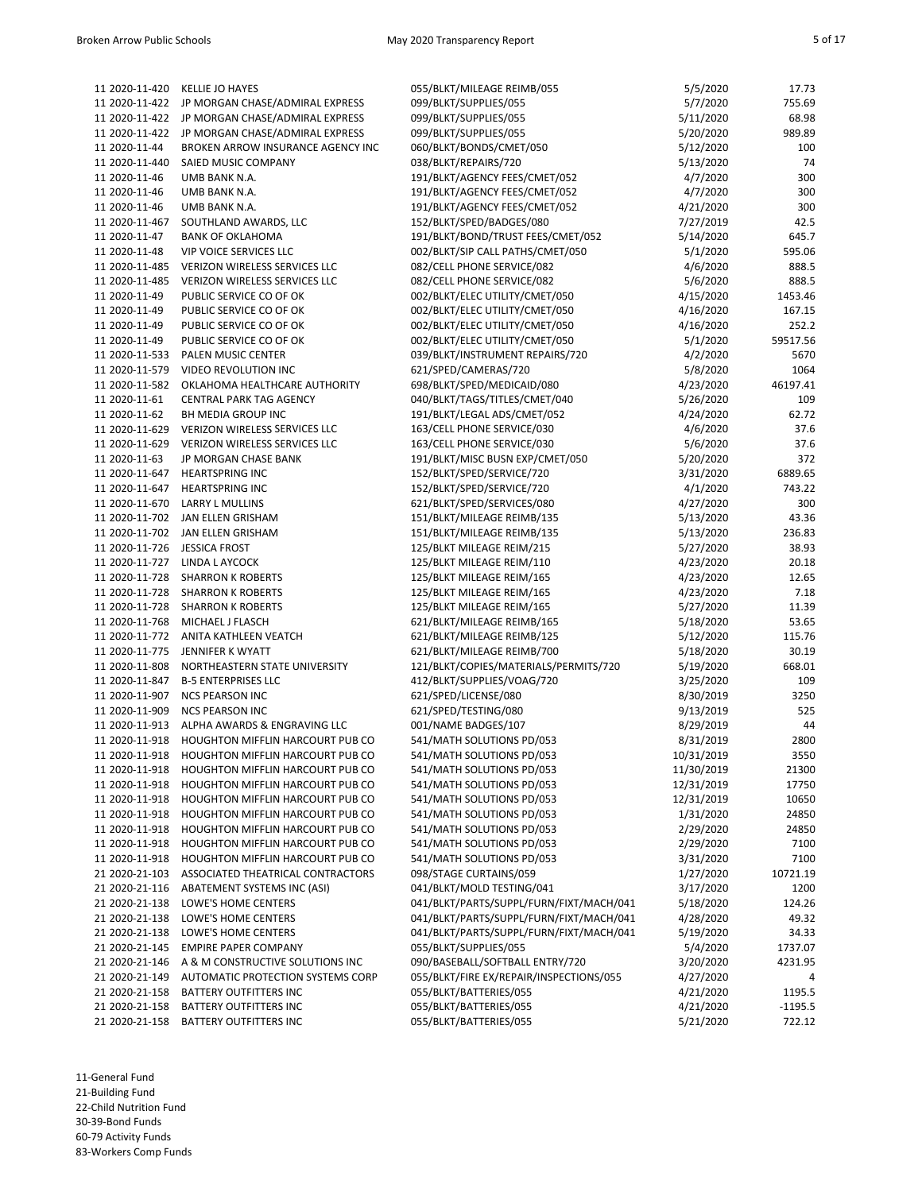| 11 2020-11-420 | <b>KELLIE JO HAYES</b>                          | 055/BLKT/MILEAGE REIMB/055                       | 5/5/2020   | 17.73      |
|----------------|-------------------------------------------------|--------------------------------------------------|------------|------------|
| 11 2020-11-422 | JP MORGAN CHASE/ADMIRAL EXPRESS                 | 099/BLKT/SUPPLIES/055                            | 5/7/2020   | 755.69     |
| 11 2020-11-422 | JP MORGAN CHASE/ADMIRAL EXPRESS                 | 099/BLKT/SUPPLIES/055                            | 5/11/2020  | 68.98      |
| 11 2020-11-422 | JP MORGAN CHASE/ADMIRAL EXPRESS                 | 099/BLKT/SUPPLIES/055                            | 5/20/2020  | 989.89     |
| 11 2020-11-44  | BROKEN ARROW INSURANCE AGENCY INC               | 060/BLKT/BONDS/CMET/050                          | 5/12/2020  | 100        |
| 11 2020-11-440 | SAIED MUSIC COMPANY                             | 038/BLKT/REPAIRS/720                             | 5/13/2020  | 74         |
| 11 2020-11-46  | UMB BANK N.A.                                   | 191/BLKT/AGENCY FEES/CMET/052                    | 4/7/2020   | 300        |
| 11 2020-11-46  | UMB BANK N.A.                                   | 191/BLKT/AGENCY FEES/CMET/052                    | 4/7/2020   | 300        |
| 11 2020-11-46  | UMB BANK N.A.                                   | 191/BLKT/AGENCY FEES/CMET/052                    | 4/21/2020  | 300        |
| 11 2020-11-467 | SOUTHLAND AWARDS, LLC                           | 152/BLKT/SPED/BADGES/080                         | 7/27/2019  | 42.5       |
| 11 2020-11-47  | <b>BANK OF OKLAHOMA</b>                         | 191/BLKT/BOND/TRUST FEES/CMET/052                | 5/14/2020  | 645.7      |
| 11 2020-11-48  | <b>VIP VOICE SERVICES LLC</b>                   | 002/BLKT/SIP CALL PATHS/CMET/050                 | 5/1/2020   | 595.06     |
| 11 2020-11-485 | VERIZON WIRELESS SERVICES LLC                   | 082/CELL PHONE SERVICE/082                       | 4/6/2020   | 888.5      |
| 11 2020-11-485 | VERIZON WIRELESS SERVICES LLC                   | 082/CELL PHONE SERVICE/082                       | 5/6/2020   | 888.5      |
| 11 2020-11-49  | PUBLIC SERVICE CO OF OK                         | 002/BLKT/ELEC UTILITY/CMET/050                   | 4/15/2020  | 1453.46    |
| 11 2020-11-49  | PUBLIC SERVICE CO OF OK                         | 002/BLKT/ELEC UTILITY/CMET/050                   | 4/16/2020  | 167.15     |
| 11 2020-11-49  | PUBLIC SERVICE CO OF OK                         | 002/BLKT/ELEC UTILITY/CMET/050                   | 4/16/2020  | 252.2      |
| 11 2020-11-49  | PUBLIC SERVICE CO OF OK                         | 002/BLKT/ELEC UTILITY/CMET/050                   | 5/1/2020   | 59517.56   |
| 11 2020-11-533 | PALEN MUSIC CENTER                              | 039/BLKT/INSTRUMENT REPAIRS/720                  | 4/2/2020   | 5670       |
| 11 2020-11-579 | VIDEO REVOLUTION INC                            | 621/SPED/CAMERAS/720                             | 5/8/2020   | 1064       |
| 11 2020-11-582 | OKLAHOMA HEALTHCARE AUTHORITY                   | 698/BLKT/SPED/MEDICAID/080                       | 4/23/2020  | 46197.41   |
| 11 2020-11-61  | <b>CENTRAL PARK TAG AGENCY</b>                  | 040/BLKT/TAGS/TITLES/CMET/040                    | 5/26/2020  | 109        |
| 11 2020-11-62  | BH MEDIA GROUP INC                              | 191/BLKT/LEGAL ADS/CMET/052                      | 4/24/2020  | 62.72      |
| 11 2020-11-629 | VERIZON WIRELESS SERVICES LLC                   | 163/CELL PHONE SERVICE/030                       | 4/6/2020   | 37.6       |
| 11 2020-11-629 | VERIZON WIRELESS SERVICES LLC                   | 163/CELL PHONE SERVICE/030                       | 5/6/2020   | 37.6       |
| 11 2020-11-63  | JP MORGAN CHASE BANK                            | 191/BLKT/MISC BUSN EXP/CMET/050                  | 5/20/2020  | 372        |
| 11 2020-11-647 | <b>HEARTSPRING INC</b>                          | 152/BLKT/SPED/SERVICE/720                        | 3/31/2020  | 6889.65    |
| 11 2020-11-647 | <b>HEARTSPRING INC</b>                          | 152/BLKT/SPED/SERVICE/720                        | 4/1/2020   | 743.22     |
| 11 2020-11-670 | LARRY L MULLINS                                 | 621/BLKT/SPED/SERVICES/080                       | 4/27/2020  | 300        |
| 11 2020-11-702 | JAN ELLEN GRISHAM                               | 151/BLKT/MILEAGE REIMB/135                       | 5/13/2020  | 43.36      |
| 11 2020-11-702 | JAN ELLEN GRISHAM                               | 151/BLKT/MILEAGE REIMB/135                       | 5/13/2020  | 236.83     |
| 11 2020-11-726 | <b>JESSICA FROST</b>                            | 125/BLKT MILEAGE REIM/215                        | 5/27/2020  | 38.93      |
| 11 2020-11-727 | LINDA L AYCOCK                                  | 125/BLKT MILEAGE REIM/110                        | 4/23/2020  | 20.18      |
| 11 2020-11-728 | <b>SHARRON K ROBERTS</b>                        | 125/BLKT MILEAGE REIM/165                        | 4/23/2020  | 12.65      |
| 11 2020-11-728 | <b>SHARRON K ROBERTS</b>                        | 125/BLKT MILEAGE REIM/165                        | 4/23/2020  | 7.18       |
| 11 2020-11-728 | <b>SHARRON K ROBERTS</b>                        | 125/BLKT MILEAGE REIM/165                        | 5/27/2020  | 11.39      |
| 11 2020-11-768 | MICHAEL J FLASCH                                | 621/BLKT/MILEAGE REIMB/165                       | 5/18/2020  | 53.65      |
|                | 11 2020-11-772 ANITA KATHLEEN VEATCH            | 621/BLKT/MILEAGE REIMB/125                       | 5/12/2020  | 115.76     |
| 11 2020-11-775 | JENNIFER K WYATT                                | 621/BLKT/MILEAGE REIMB/700                       | 5/18/2020  | 30.19      |
| 11 2020-11-808 | NORTHEASTERN STATE UNIVERSITY                   | 121/BLKT/COPIES/MATERIALS/PERMITS/720            | 5/19/2020  | 668.01     |
| 11 2020-11-847 | <b>B-5 ENTERPRISES LLC</b>                      | 412/BLKT/SUPPLIES/VOAG/720                       | 3/25/2020  | 109        |
| 11 2020-11-907 | <b>NCS PEARSON INC</b>                          | 621/SPED/LICENSE/080                             | 8/30/2019  | 3250       |
|                | <b>NCS PEARSON INC</b>                          |                                                  |            |            |
| 11 2020-11-909 | ALPHA AWARDS & ENGRAVING LLC                    | 621/SPED/TESTING/080                             | 9/13/2019  | 525        |
| 11 2020-11-913 | 11 2020-11-918 HOUGHTON MIFFLIN HARCOURT PUB CO | 001/NAME BADGES/107<br>541/MATH SOLUTIONS PD/053 | 8/29/2019  | 44<br>2800 |
|                |                                                 |                                                  | 8/31/2019  |            |
|                | 11 2020-11-918 HOUGHTON MIFFLIN HARCOURT PUB CO | 541/MATH SOLUTIONS PD/053                        | 10/31/2019 | 3550       |
| 11 2020-11-918 | HOUGHTON MIFFLIN HARCOURT PUB CO                | 541/MATH SOLUTIONS PD/053                        | 11/30/2019 | 21300      |
| 11 2020-11-918 | HOUGHTON MIFFLIN HARCOURT PUB CO                | 541/MATH SOLUTIONS PD/053                        | 12/31/2019 | 17750      |
| 11 2020-11-918 | HOUGHTON MIFFLIN HARCOURT PUB CO                | 541/MATH SOLUTIONS PD/053                        | 12/31/2019 | 10650      |
| 11 2020-11-918 | HOUGHTON MIFFLIN HARCOURT PUB CO                | 541/MATH SOLUTIONS PD/053                        | 1/31/2020  | 24850      |
| 11 2020-11-918 | HOUGHTON MIFFLIN HARCOURT PUB CO                | 541/MATH SOLUTIONS PD/053                        | 2/29/2020  | 24850      |
| 11 2020-11-918 | HOUGHTON MIFFLIN HARCOURT PUB CO                | 541/MATH SOLUTIONS PD/053                        | 2/29/2020  | 7100       |
| 11 2020-11-918 | HOUGHTON MIFFLIN HARCOURT PUB CO                | 541/MATH SOLUTIONS PD/053                        | 3/31/2020  | 7100       |
| 21 2020-21-103 | ASSOCIATED THEATRICAL CONTRACTORS               | 098/STAGE CURTAINS/059                           | 1/27/2020  | 10721.19   |
| 21 2020-21-116 | ABATEMENT SYSTEMS INC (ASI)                     | 041/BLKT/MOLD TESTING/041                        | 3/17/2020  | 1200       |
| 21 2020-21-138 | LOWE'S HOME CENTERS                             | 041/BLKT/PARTS/SUPPL/FURN/FIXT/MACH/041          | 5/18/2020  | 124.26     |
| 21 2020-21-138 | LOWE'S HOME CENTERS                             | 041/BLKT/PARTS/SUPPL/FURN/FIXT/MACH/041          | 4/28/2020  | 49.32      |
| 21 2020-21-138 | LOWE'S HOME CENTERS                             | 041/BLKT/PARTS/SUPPL/FURN/FIXT/MACH/041          | 5/19/2020  | 34.33      |
| 21 2020-21-145 | <b>EMPIRE PAPER COMPANY</b>                     | 055/BLKT/SUPPLIES/055                            | 5/4/2020   | 1737.07    |
| 21 2020-21-146 | A & M CONSTRUCTIVE SOLUTIONS INC                | 090/BASEBALL/SOFTBALL ENTRY/720                  | 3/20/2020  | 4231.95    |
| 21 2020-21-149 | AUTOMATIC PROTECTION SYSTEMS CORP               | 055/BLKT/FIRE EX/REPAIR/INSPECTIONS/055          | 4/27/2020  | 4          |
| 21 2020-21-158 | BATTERY OUTFITTERS INC                          | 055/BLKT/BATTERIES/055                           | 4/21/2020  | 1195.5     |
| 21 2020-21-158 | BATTERY OUTFITTERS INC                          | 055/BLKT/BATTERIES/055                           | 4/21/2020  | $-1195.5$  |
| 21 2020-21-158 | BATTERY OUTFITTERS INC                          | 055/BLKT/BATTERIES/055                           | 5/21/2020  | 722.12     |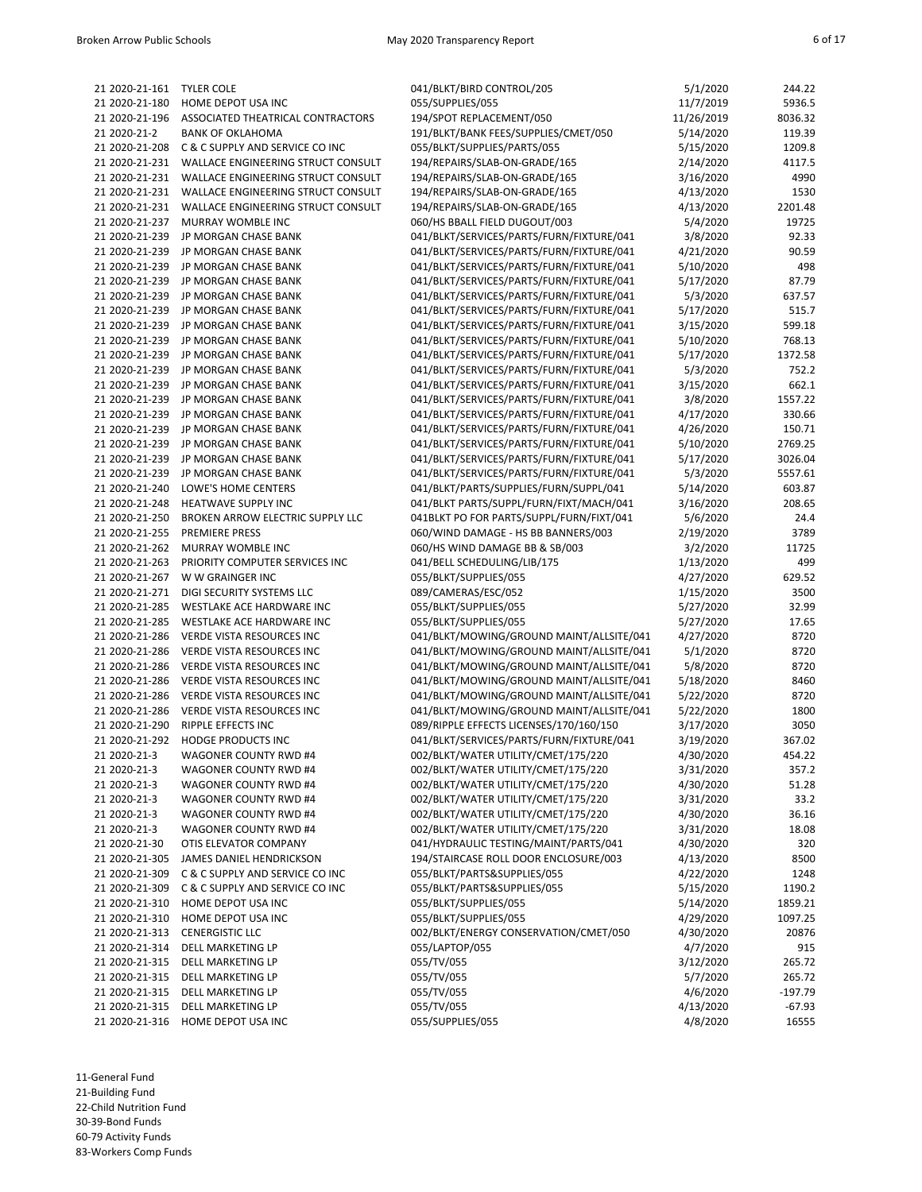| 21 2020-21-161 | <b>TYLER COLE</b>                  | 041/BLKT/BIRD CONTROL/205                | 5/1/2020   | 244.22   |
|----------------|------------------------------------|------------------------------------------|------------|----------|
| 21 2020-21-180 | HOME DEPOT USA INC                 | 055/SUPPLIES/055                         | 11/7/2019  | 5936.5   |
| 21 2020-21-196 | ASSOCIATED THEATRICAL CONTRACTORS  | 194/SPOT REPLACEMENT/050                 | 11/26/2019 | 8036.32  |
| 21 2020-21-2   | <b>BANK OF OKLAHOMA</b>            | 191/BLKT/BANK FEES/SUPPLIES/CMET/050     | 5/14/2020  | 119.39   |
| 21 2020-21-208 | C & C SUPPLY AND SERVICE CO INC    | 055/BLKT/SUPPLIES/PARTS/055              | 5/15/2020  | 1209.8   |
| 21 2020-21-231 | WALLACE ENGINEERING STRUCT CONSULT | 194/REPAIRS/SLAB-ON-GRADE/165            | 2/14/2020  | 4117.5   |
| 21 2020-21-231 | WALLACE ENGINEERING STRUCT CONSULT | 194/REPAIRS/SLAB-ON-GRADE/165            | 3/16/2020  | 4990     |
| 21 2020-21-231 | WALLACE ENGINEERING STRUCT CONSULT | 194/REPAIRS/SLAB-ON-GRADE/165            | 4/13/2020  | 1530     |
| 21 2020-21-231 | WALLACE ENGINEERING STRUCT CONSULT | 194/REPAIRS/SLAB-ON-GRADE/165            | 4/13/2020  | 2201.48  |
| 21 2020-21-237 | MURRAY WOMBLE INC                  | 060/HS BBALL FIELD DUGOUT/003            | 5/4/2020   | 19725    |
| 21 2020-21-239 | JP MORGAN CHASE BANK               | 041/BLKT/SERVICES/PARTS/FURN/FIXTURE/041 | 3/8/2020   | 92.33    |
| 21 2020-21-239 | JP MORGAN CHASE BANK               | 041/BLKT/SERVICES/PARTS/FURN/FIXTURE/041 | 4/21/2020  | 90.59    |
| 21 2020-21-239 | JP MORGAN CHASE BANK               | 041/BLKT/SERVICES/PARTS/FURN/FIXTURE/041 | 5/10/2020  | 498      |
| 21 2020-21-239 | JP MORGAN CHASE BANK               | 041/BLKT/SERVICES/PARTS/FURN/FIXTURE/041 | 5/17/2020  | 87.79    |
| 21 2020-21-239 | JP MORGAN CHASE BANK               | 041/BLKT/SERVICES/PARTS/FURN/FIXTURE/041 | 5/3/2020   | 637.57   |
| 21 2020-21-239 | JP MORGAN CHASE BANK               | 041/BLKT/SERVICES/PARTS/FURN/FIXTURE/041 | 5/17/2020  | 515.7    |
| 21 2020-21-239 | JP MORGAN CHASE BANK               | 041/BLKT/SERVICES/PARTS/FURN/FIXTURE/041 | 3/15/2020  | 599.18   |
| 21 2020-21-239 | JP MORGAN CHASE BANK               | 041/BLKT/SERVICES/PARTS/FURN/FIXTURE/041 | 5/10/2020  | 768.13   |
| 21 2020-21-239 | JP MORGAN CHASE BANK               | 041/BLKT/SERVICES/PARTS/FURN/FIXTURE/041 | 5/17/2020  | 1372.58  |
| 21 2020-21-239 | JP MORGAN CHASE BANK               | 041/BLKT/SERVICES/PARTS/FURN/FIXTURE/041 | 5/3/2020   | 752.2    |
| 21 2020-21-239 | JP MORGAN CHASE BANK               | 041/BLKT/SERVICES/PARTS/FURN/FIXTURE/041 | 3/15/2020  | 662.1    |
| 21 2020-21-239 | <b>JP MORGAN CHASE BANK</b>        | 041/BLKT/SERVICES/PARTS/FURN/FIXTURE/041 | 3/8/2020   | 1557.22  |
| 21 2020-21-239 | JP MORGAN CHASE BANK               | 041/BLKT/SERVICES/PARTS/FURN/FIXTURE/041 | 4/17/2020  | 330.66   |
| 21 2020-21-239 | JP MORGAN CHASE BANK               | 041/BLKT/SERVICES/PARTS/FURN/FIXTURE/041 | 4/26/2020  | 150.71   |
| 21 2020-21-239 | JP MORGAN CHASE BANK               | 041/BLKT/SERVICES/PARTS/FURN/FIXTURE/041 | 5/10/2020  | 2769.25  |
| 21 2020-21-239 | JP MORGAN CHASE BANK               | 041/BLKT/SERVICES/PARTS/FURN/FIXTURE/041 | 5/17/2020  | 3026.04  |
| 21 2020-21-239 | JP MORGAN CHASE BANK               | 041/BLKT/SERVICES/PARTS/FURN/FIXTURE/041 | 5/3/2020   | 5557.61  |
| 21 2020-21-240 | LOWE'S HOME CENTERS                | 041/BLKT/PARTS/SUPPLIES/FURN/SUPPL/041   | 5/14/2020  | 603.87   |
| 21 2020-21-248 | <b>HEATWAVE SUPPLY INC</b>         | 041/BLKT PARTS/SUPPL/FURN/FIXT/MACH/041  | 3/16/2020  | 208.65   |
| 21 2020-21-250 | BROKEN ARROW ELECTRIC SUPPLY LLC   | 041BLKT PO FOR PARTS/SUPPL/FURN/FIXT/041 | 5/6/2020   | 24.4     |
| 21 2020-21-255 | <b>PREMIERE PRESS</b>              | 060/WIND DAMAGE - HS BB BANNERS/003      | 2/19/2020  | 3789     |
| 21 2020-21-262 | MURRAY WOMBLE INC                  | 060/HS WIND DAMAGE BB & SB/003           | 3/2/2020   | 11725    |
| 21 2020-21-263 | PRIORITY COMPUTER SERVICES INC     | 041/BELL SCHEDULING/LIB/175              | 1/13/2020  | 499      |
| 21 2020-21-267 | W W GRAINGER INC                   | 055/BLKT/SUPPLIES/055                    | 4/27/2020  | 629.52   |
| 21 2020-21-271 | DIGI SECURITY SYSTEMS LLC          | 089/CAMERAS/ESC/052                      | 1/15/2020  | 3500     |
| 21 2020-21-285 | WESTLAKE ACE HARDWARE INC          | 055/BLKT/SUPPLIES/055                    | 5/27/2020  | 32.99    |
| 21 2020-21-285 | WESTLAKE ACE HARDWARE INC          | 055/BLKT/SUPPLIES/055                    | 5/27/2020  | 17.65    |
| 21 2020-21-286 | <b>VERDE VISTA RESOURCES INC</b>   | 041/BLKT/MOWING/GROUND MAINT/ALLSITE/041 | 4/27/2020  | 8720     |
| 21 2020-21-286 | VERDE VISTA RESOURCES INC          | 041/BLKT/MOWING/GROUND MAINT/ALLSITE/041 | 5/1/2020   | 8720     |
| 21 2020-21-286 | VERDE VISTA RESOURCES INC          | 041/BLKT/MOWING/GROUND MAINT/ALLSITE/041 | 5/8/2020   | 8720     |
| 21 2020-21-286 | <b>VERDE VISTA RESOURCES INC</b>   | 041/BLKT/MOWING/GROUND MAINT/ALLSITE/041 | 5/18/2020  | 8460     |
| 21 2020-21-286 | VERDE VISTA RESOURCES INC          | 041/BLKT/MOWING/GROUND MAINT/ALLSITE/041 | 5/22/2020  | 8720     |
| 21 2020-21-286 | <b>VERDE VISTA RESOURCES INC</b>   | 041/BLKT/MOWING/GROUND MAINT/ALLSITE/041 | 5/22/2020  | 1800     |
| 21 2020-21-290 | RIPPLE EFFECTS INC                 | 089/RIPPLE EFFECTS LICENSES/170/160/150  | 3/17/2020  | 3050     |
| 21 2020-21-292 | HODGE PRODUCTS INC                 | 041/BLKT/SERVICES/PARTS/FURN/FIXTURE/041 | 3/19/2020  | 367.02   |
| 21 2020-21-3   | WAGONER COUNTY RWD #4              | 002/BLKT/WATER UTILITY/CMET/175/220      | 4/30/2020  | 454.22   |
| 21 2020-21-3   | <b>WAGONER COUNTY RWD #4</b>       | 002/BLKT/WATER UTILITY/CMET/175/220      | 3/31/2020  | 357.2    |
| 21 2020-21-3   | WAGONER COUNTY RWD #4              | 002/BLKT/WATER UTILITY/CMET/175/220      | 4/30/2020  | 51.28    |
| 21 2020-21-3   | WAGONER COUNTY RWD #4              | 002/BLKT/WATER UTILITY/CMET/175/220      | 3/31/2020  | 33.2     |
| 21 2020-21-3   | WAGONER COUNTY RWD #4              | 002/BLKT/WATER UTILITY/CMET/175/220      | 4/30/2020  | 36.16    |
| 21 2020-21-3   | WAGONER COUNTY RWD #4              | 002/BLKT/WATER UTILITY/CMET/175/220      | 3/31/2020  | 18.08    |
| 21 2020-21-30  | OTIS ELEVATOR COMPANY              | 041/HYDRAULIC TESTING/MAINT/PARTS/041    | 4/30/2020  | 320      |
| 21 2020-21-305 | JAMES DANIEL HENDRICKSON           | 194/STAIRCASE ROLL DOOR ENCLOSURE/003    | 4/13/2020  | 8500     |
| 21 2020-21-309 | C & C SUPPLY AND SERVICE CO INC    | 055/BLKT/PARTS&SUPPLIES/055              | 4/22/2020  | 1248     |
| 21 2020-21-309 | C & C SUPPLY AND SERVICE CO INC    | 055/BLKT/PARTS&SUPPLIES/055              | 5/15/2020  | 1190.2   |
| 21 2020-21-310 | HOME DEPOT USA INC                 | 055/BLKT/SUPPLIES/055                    | 5/14/2020  | 1859.21  |
| 21 2020-21-310 | HOME DEPOT USA INC                 | 055/BLKT/SUPPLIES/055                    | 4/29/2020  | 1097.25  |
| 21 2020-21-313 | <b>CENERGISTIC LLC</b>             | 002/BLKT/ENERGY CONSERVATION/CMET/050    | 4/30/2020  | 20876    |
| 21 2020-21-314 | <b>DELL MARKETING LP</b>           | 055/LAPTOP/055                           | 4/7/2020   | 915      |
| 21 2020-21-315 | DELL MARKETING LP                  | 055/TV/055                               | 3/12/2020  | 265.72   |
| 21 2020-21-315 | DELL MARKETING LP                  | 055/TV/055                               | 5/7/2020   | 265.72   |
| 21 2020-21-315 | DELL MARKETING LP                  | 055/TV/055                               | 4/6/2020   | -197.79  |
| 21 2020-21-315 | DELL MARKETING LP                  | 055/TV/055                               | 4/13/2020  | $-67.93$ |
| 21 2020-21-316 | HOME DEPOT USA INC                 | 055/SUPPLIES/055                         | 4/8/2020   | 16555    |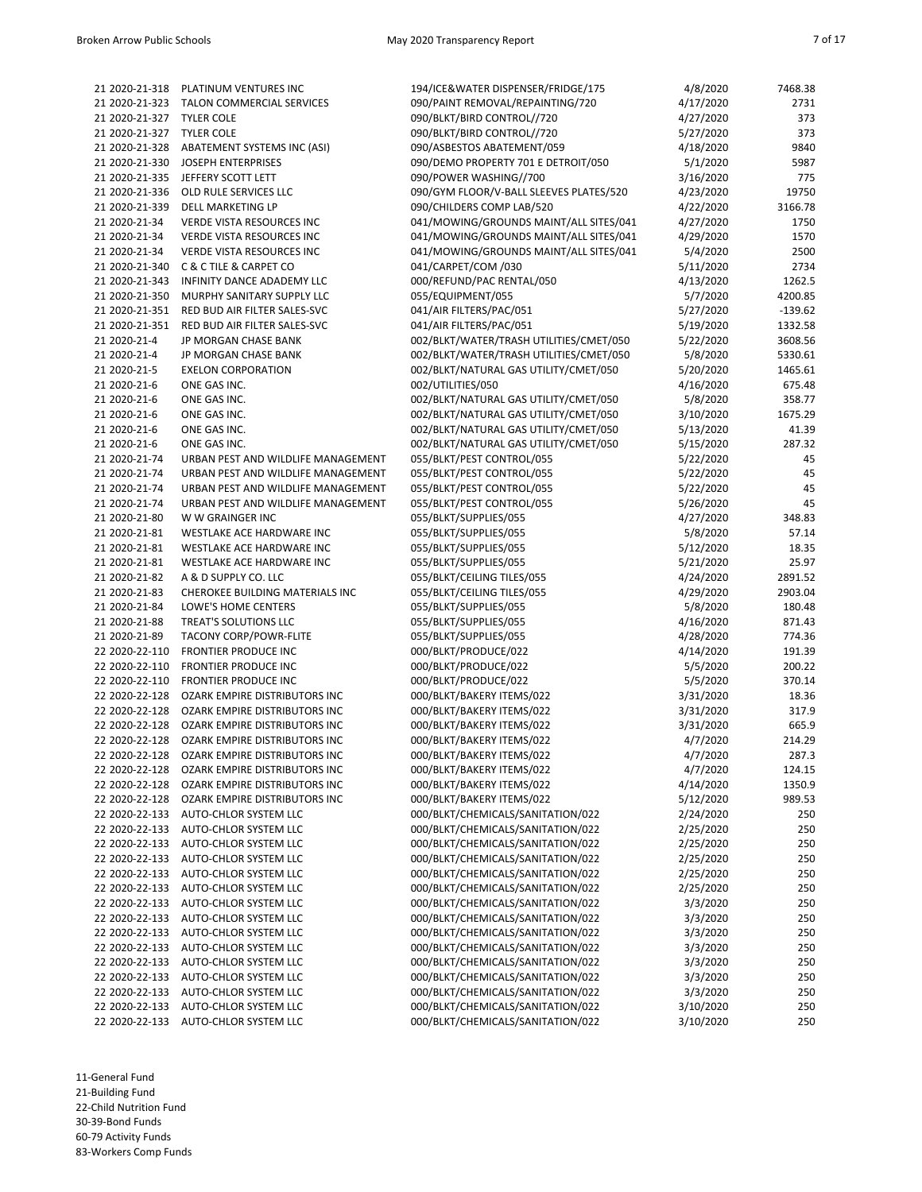| 21 2020-21-318 | PLATINUM VENTURES INC                 | 194/ICE&WATER DISPENSER/FRIDGE/175      | 4/8/2020  | 7468.38   |
|----------------|---------------------------------------|-----------------------------------------|-----------|-----------|
| 21 2020-21-323 | TALON COMMERCIAL SERVICES             | 090/PAINT REMOVAL/REPAINTING/720        | 4/17/2020 | 2731      |
| 21 2020-21-327 | <b>TYLER COLE</b>                     | 090/BLKT/BIRD CONTROL//720              | 4/27/2020 | 373       |
| 21 2020-21-327 | <b>TYLER COLE</b>                     | 090/BLKT/BIRD CONTROL//720              | 5/27/2020 | 373       |
| 21 2020-21-328 | ABATEMENT SYSTEMS INC (ASI)           | 090/ASBESTOS ABATEMENT/059              | 4/18/2020 | 9840      |
|                |                                       |                                         |           |           |
| 21 2020-21-330 | <b>JOSEPH ENTERPRISES</b>             | 090/DEMO PROPERTY 701 E DETROIT/050     | 5/1/2020  | 5987      |
| 21 2020-21-335 | JEFFERY SCOTT LETT                    | 090/POWER WASHING//700                  | 3/16/2020 | 775       |
| 21 2020-21-336 | OLD RULE SERVICES LLC                 | 090/GYM FLOOR/V-BALL SLEEVES PLATES/520 | 4/23/2020 | 19750     |
| 21 2020-21-339 | <b>DELL MARKETING LP</b>              | 090/CHILDERS COMP LAB/520               | 4/22/2020 | 3166.78   |
| 21 2020-21-34  | VERDE VISTA RESOURCES INC             | 041/MOWING/GROUNDS MAINT/ALL SITES/041  | 4/27/2020 | 1750      |
| 21 2020-21-34  | <b>VERDE VISTA RESOURCES INC</b>      | 041/MOWING/GROUNDS MAINT/ALL SITES/041  | 4/29/2020 | 1570      |
| 21 2020-21-34  |                                       |                                         |           | 2500      |
|                | <b>VERDE VISTA RESOURCES INC</b>      | 041/MOWING/GROUNDS MAINT/ALL SITES/041  | 5/4/2020  |           |
| 21 2020-21-340 | <b>C &amp; C TILE &amp; CARPET CO</b> | 041/CARPET/COM /030                     | 5/11/2020 | 2734      |
| 21 2020-21-343 | INFINITY DANCE ADADEMY LLC            | 000/REFUND/PAC RENTAL/050               | 4/13/2020 | 1262.5    |
| 21 2020-21-350 | MURPHY SANITARY SUPPLY LLC            | 055/EQUIPMENT/055                       | 5/7/2020  | 4200.85   |
| 21 2020-21-351 | RED BUD AIR FILTER SALES-SVC          | 041/AIR FILTERS/PAC/051                 | 5/27/2020 | $-139.62$ |
| 21 2020-21-351 | RED BUD AIR FILTER SALES-SVC          | 041/AIR FILTERS/PAC/051                 | 5/19/2020 | 1332.58   |
| 21 2020-21-4   | JP MORGAN CHASE BANK                  | 002/BLKT/WATER/TRASH UTILITIES/CMET/050 | 5/22/2020 | 3608.56   |
|                |                                       |                                         |           |           |
| 21 2020-21-4   | JP MORGAN CHASE BANK                  | 002/BLKT/WATER/TRASH UTILITIES/CMET/050 | 5/8/2020  | 5330.61   |
| 21 2020-21-5   | <b>EXELON CORPORATION</b>             | 002/BLKT/NATURAL GAS UTILITY/CMET/050   | 5/20/2020 | 1465.61   |
| 21 2020-21-6   | ONE GAS INC.                          | 002/UTILITIES/050                       | 4/16/2020 | 675.48    |
| 21 2020-21-6   | ONE GAS INC.                          | 002/BLKT/NATURAL GAS UTILITY/CMET/050   | 5/8/2020  | 358.77    |
| 21 2020-21-6   | ONE GAS INC.                          | 002/BLKT/NATURAL GAS UTILITY/CMET/050   | 3/10/2020 | 1675.29   |
| 21 2020-21-6   | ONE GAS INC.                          | 002/BLKT/NATURAL GAS UTILITY/CMET/050   | 5/13/2020 | 41.39     |
|                |                                       |                                         |           |           |
| 21 2020-21-6   | ONE GAS INC.                          | 002/BLKT/NATURAL GAS UTILITY/CMET/050   | 5/15/2020 | 287.32    |
| 21 2020-21-74  | URBAN PEST AND WILDLIFE MANAGEMENT    | 055/BLKT/PEST CONTROL/055               | 5/22/2020 | 45        |
| 21 2020-21-74  | URBAN PEST AND WILDLIFE MANAGEMENT    | 055/BLKT/PEST CONTROL/055               | 5/22/2020 | 45        |
| 21 2020-21-74  | URBAN PEST AND WILDLIFE MANAGEMENT    | 055/BLKT/PEST CONTROL/055               | 5/22/2020 | 45        |
| 21 2020-21-74  | URBAN PEST AND WILDLIFE MANAGEMENT    | 055/BLKT/PEST CONTROL/055               | 5/26/2020 | 45        |
| 21 2020-21-80  | W W GRAINGER INC                      | 055/BLKT/SUPPLIES/055                   | 4/27/2020 | 348.83    |
| 21 2020-21-81  | WESTLAKE ACE HARDWARE INC             | 055/BLKT/SUPPLIES/055                   | 5/8/2020  | 57.14     |
|                |                                       |                                         |           |           |
| 21 2020-21-81  | WESTLAKE ACE HARDWARE INC             | 055/BLKT/SUPPLIES/055                   | 5/12/2020 | 18.35     |
| 21 2020-21-81  | WESTLAKE ACE HARDWARE INC             | 055/BLKT/SUPPLIES/055                   | 5/21/2020 | 25.97     |
| 21 2020-21-82  | A & D SUPPLY CO. LLC                  | 055/BLKT/CEILING TILES/055              | 4/24/2020 | 2891.52   |
| 21 2020-21-83  | CHEROKEE BUILDING MATERIALS INC       | 055/BLKT/CEILING TILES/055              | 4/29/2020 | 2903.04   |
| 21 2020-21-84  | LOWE'S HOME CENTERS                   | 055/BLKT/SUPPLIES/055                   | 5/8/2020  | 180.48    |
| 21 2020-21-88  | TREAT'S SOLUTIONS LLC                 | 055/BLKT/SUPPLIES/055                   | 4/16/2020 | 871.43    |
| 21 2020-21-89  | <b>TACONY CORP/POWR-FLITE</b>         | 055/BLKT/SUPPLIES/055                   | 4/28/2020 | 774.36    |
|                |                                       |                                         |           |           |
| 22 2020-22-110 | <b>FRONTIER PRODUCE INC</b>           | 000/BLKT/PRODUCE/022                    | 4/14/2020 | 191.39    |
| 22 2020-22-110 | <b>FRONTIER PRODUCE INC</b>           | 000/BLKT/PRODUCE/022                    | 5/5/2020  | 200.22    |
| 22 2020-22-110 | <b>FRONTIER PRODUCE INC</b>           | 000/BLKT/PRODUCE/022                    | 5/5/2020  | 370.14    |
| 22 2020-22-128 | OZARK EMPIRE DISTRIBUTORS INC         | 000/BLKT/BAKERY ITEMS/022               | 3/31/2020 | 18.36     |
| 22 2020-22-128 | OZARK EMPIRE DISTRIBUTORS INC         | 000/BLKT/BAKERY ITEMS/022               | 3/31/2020 | 317.9     |
| 22 2020-22-128 | OZARK EMPIRE DISTRIBUTORS INC         | 000/BLKT/BAKERY ITEMS/022               | 3/31/2020 | 665.9     |
| 22 2020-22-128 | <b>OZARK EMPIRE DISTRIBUTORS INC</b>  | 000/BLKT/BAKERY ITEMS/022               | 4/7/2020  | 214.29    |
|                |                                       |                                         |           |           |
| 22 2020-22-128 | OZARK EMPIRE DISTRIBUTORS INC         | 000/BLKT/BAKERY ITEMS/022               | 4/7/2020  | 287.3     |
| 22 2020-22-128 | OZARK EMPIRE DISTRIBUTORS INC         | 000/BLKT/BAKERY ITEMS/022               | 4/7/2020  | 124.15    |
| 22 2020-22-128 | OZARK EMPIRE DISTRIBUTORS INC         | 000/BLKT/BAKERY ITEMS/022               | 4/14/2020 | 1350.9    |
| 22 2020-22-128 | OZARK EMPIRE DISTRIBUTORS INC         | 000/BLKT/BAKERY ITEMS/022               | 5/12/2020 | 989.53    |
| 22 2020-22-133 | AUTO-CHLOR SYSTEM LLC                 | 000/BLKT/CHEMICALS/SANITATION/022       | 2/24/2020 | 250       |
| 22 2020-22-133 | AUTO-CHLOR SYSTEM LLC                 | 000/BLKT/CHEMICALS/SANITATION/022       | 2/25/2020 | 250       |
| 22 2020-22-133 | AUTO-CHLOR SYSTEM LLC                 | 000/BLKT/CHEMICALS/SANITATION/022       | 2/25/2020 | 250       |
|                |                                       |                                         |           |           |
| 22 2020-22-133 | AUTO-CHLOR SYSTEM LLC                 | 000/BLKT/CHEMICALS/SANITATION/022       | 2/25/2020 | 250       |
| 22 2020-22-133 | AUTO-CHLOR SYSTEM LLC                 | 000/BLKT/CHEMICALS/SANITATION/022       | 2/25/2020 | 250       |
| 22 2020-22-133 | AUTO-CHLOR SYSTEM LLC                 | 000/BLKT/CHEMICALS/SANITATION/022       | 2/25/2020 | 250       |
| 22 2020-22-133 | AUTO-CHLOR SYSTEM LLC                 | 000/BLKT/CHEMICALS/SANITATION/022       | 3/3/2020  | 250       |
| 22 2020-22-133 | AUTO-CHLOR SYSTEM LLC                 | 000/BLKT/CHEMICALS/SANITATION/022       | 3/3/2020  | 250       |
| 22 2020-22-133 | AUTO-CHLOR SYSTEM LLC                 | 000/BLKT/CHEMICALS/SANITATION/022       | 3/3/2020  | 250       |
| 22 2020-22-133 | AUTO-CHLOR SYSTEM LLC                 | 000/BLKT/CHEMICALS/SANITATION/022       | 3/3/2020  | 250       |
|                |                                       |                                         |           |           |
| 22 2020-22-133 | AUTO-CHLOR SYSTEM LLC                 | 000/BLKT/CHEMICALS/SANITATION/022       | 3/3/2020  | 250       |
| 22 2020-22-133 | AUTO-CHLOR SYSTEM LLC                 | 000/BLKT/CHEMICALS/SANITATION/022       | 3/3/2020  | 250       |
| 22 2020-22-133 | AUTO-CHLOR SYSTEM LLC                 | 000/BLKT/CHEMICALS/SANITATION/022       | 3/3/2020  | 250       |
| 22 2020-22-133 | AUTO-CHLOR SYSTEM LLC                 | 000/BLKT/CHEMICALS/SANITATION/022       | 3/10/2020 | 250       |
| 22 2020-22-133 | AUTO-CHLOR SYSTEM LLC                 | 000/BLKT/CHEMICALS/SANITATION/022       | 3/10/2020 | 250       |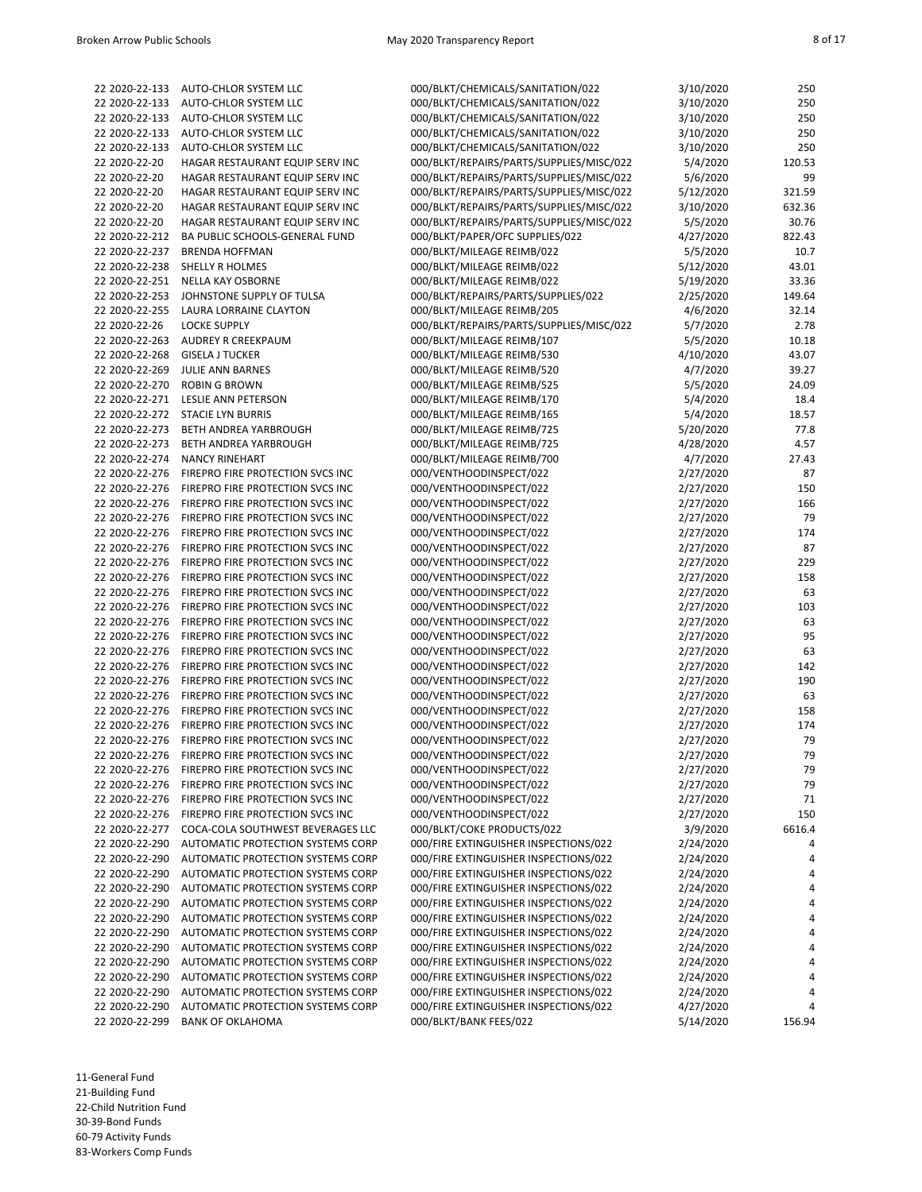| 22 2020-22-133                   | AUTO-CHLOR SYSTEM LLC             | 000/BLKT/CHEMICALS/SANITATION/022        | 3/10/2020 | 250    |
|----------------------------------|-----------------------------------|------------------------------------------|-----------|--------|
| 22 2020-22-133                   | AUTO-CHLOR SYSTEM LLC             | 000/BLKT/CHEMICALS/SANITATION/022        | 3/10/2020 | 250    |
| 22 2020-22-133                   | AUTO-CHLOR SYSTEM LLC             | 000/BLKT/CHEMICALS/SANITATION/022        | 3/10/2020 | 250    |
| 22 2020-22-133                   | AUTO-CHLOR SYSTEM LLC             | 000/BLKT/CHEMICALS/SANITATION/022        | 3/10/2020 | 250    |
| 22 2020-22-133                   | AUTO-CHLOR SYSTEM LLC             | 000/BLKT/CHEMICALS/SANITATION/022        | 3/10/2020 | 250    |
| 22 2020-22-20                    | HAGAR RESTAURANT EQUIP SERV INC   | 000/BLKT/REPAIRS/PARTS/SUPPLIES/MISC/022 | 5/4/2020  | 120.53 |
| 22 2020-22-20                    | HAGAR RESTAURANT EQUIP SERV INC   | 000/BLKT/REPAIRS/PARTS/SUPPLIES/MISC/022 | 5/6/2020  | 99     |
| 22 2020-22-20                    | HAGAR RESTAURANT EQUIP SERV INC   | 000/BLKT/REPAIRS/PARTS/SUPPLIES/MISC/022 | 5/12/2020 | 321.59 |
| 22 2020-22-20                    | HAGAR RESTAURANT EQUIP SERV INC   | 000/BLKT/REPAIRS/PARTS/SUPPLIES/MISC/022 | 3/10/2020 | 632.36 |
| 22 2020-22-20                    | HAGAR RESTAURANT EQUIP SERV INC   | 000/BLKT/REPAIRS/PARTS/SUPPLIES/MISC/022 | 5/5/2020  | 30.76  |
| 22 2020-22-212                   | BA PUBLIC SCHOOLS-GENERAL FUND    | 000/BLKT/PAPER/OFC SUPPLIES/022          | 4/27/2020 | 822.43 |
| 22 2020-22-237                   | <b>BRENDA HOFFMAN</b>             | 000/BLKT/MILEAGE REIMB/022               | 5/5/2020  | 10.7   |
| 22 2020-22-238                   | <b>SHELLY R HOLMES</b>            | 000/BLKT/MILEAGE REIMB/022               | 5/12/2020 | 43.01  |
| 22 2020-22-251                   | <b>NELLA KAY OSBORNE</b>          | 000/BLKT/MILEAGE REIMB/022               | 5/19/2020 | 33.36  |
| 22 2020-22-253                   | JOHNSTONE SUPPLY OF TULSA         | 000/BLKT/REPAIRS/PARTS/SUPPLIES/022      | 2/25/2020 | 149.64 |
| 22 2020-22-255                   | LAURA LORRAINE CLAYTON            | 000/BLKT/MILEAGE REIMB/205               | 4/6/2020  | 32.14  |
| 22 2020-22-26                    | <b>LOCKE SUPPLY</b>               | 000/BLKT/REPAIRS/PARTS/SUPPLIES/MISC/022 | 5/7/2020  | 2.78   |
|                                  |                                   | 000/BLKT/MILEAGE REIMB/107               |           | 10.18  |
| 22 2020-22-263<br>22 2020-22-268 | AUDREY R CREEKPAUM                |                                          | 5/5/2020  | 43.07  |
|                                  | <b>GISELA J TUCKER</b>            | 000/BLKT/MILEAGE REIMB/530               | 4/10/2020 | 39.27  |
| 22 2020-22-269                   | JULIE ANN BARNES                  | 000/BLKT/MILEAGE REIMB/520               | 4/7/2020  |        |
| 22 2020-22-270                   | <b>ROBIN G BROWN</b>              | 000/BLKT/MILEAGE REIMB/525               | 5/5/2020  | 24.09  |
| 22 2020-22-271                   | <b>LESLIE ANN PETERSON</b>        | 000/BLKT/MILEAGE REIMB/170               | 5/4/2020  | 18.4   |
| 22 2020-22-272                   | <b>STACIE LYN BURRIS</b>          | 000/BLKT/MILEAGE REIMB/165               | 5/4/2020  | 18.57  |
| 22 2020-22-273                   | <b>BETH ANDREA YARBROUGH</b>      | 000/BLKT/MILEAGE REIMB/725               | 5/20/2020 | 77.8   |
| 22 2020-22-273                   | BETH ANDREA YARBROUGH             | 000/BLKT/MILEAGE REIMB/725               | 4/28/2020 | 4.57   |
| 22 2020-22-274                   | <b>NANCY RINEHART</b>             | 000/BLKT/MILEAGE REIMB/700               | 4/7/2020  | 27.43  |
| 22 2020-22-276                   | FIREPRO FIRE PROTECTION SVCS INC  | 000/VENTHOODINSPECT/022                  | 2/27/2020 | 87     |
| 22 2020-22-276                   | FIREPRO FIRE PROTECTION SVCS INC  | 000/VENTHOODINSPECT/022                  | 2/27/2020 | 150    |
| 22 2020-22-276                   | FIREPRO FIRE PROTECTION SVCS INC  | 000/VENTHOODINSPECT/022                  | 2/27/2020 | 166    |
| 22 2020-22-276                   | FIREPRO FIRE PROTECTION SVCS INC  | 000/VENTHOODINSPECT/022                  | 2/27/2020 | 79     |
| 22 2020-22-276                   | FIREPRO FIRE PROTECTION SVCS INC  | 000/VENTHOODINSPECT/022                  | 2/27/2020 | 174    |
| 22 2020-22-276                   | FIREPRO FIRE PROTECTION SVCS INC  | 000/VENTHOODINSPECT/022                  | 2/27/2020 | 87     |
| 22 2020-22-276                   | FIREPRO FIRE PROTECTION SVCS INC  | 000/VENTHOODINSPECT/022                  | 2/27/2020 | 229    |
| 22 2020-22-276                   | FIREPRO FIRE PROTECTION SVCS INC  | 000/VENTHOODINSPECT/022                  | 2/27/2020 | 158    |
| 22 2020-22-276                   | FIREPRO FIRE PROTECTION SVCS INC  | 000/VENTHOODINSPECT/022                  | 2/27/2020 | 63     |
| 22 2020-22-276                   | FIREPRO FIRE PROTECTION SVCS INC  | 000/VENTHOODINSPECT/022                  | 2/27/2020 | 103    |
| 22 2020-22-276                   | FIREPRO FIRE PROTECTION SVCS INC  | 000/VENTHOODINSPECT/022                  | 2/27/2020 | 63     |
| 22 2020-22-276                   | FIREPRO FIRE PROTECTION SVCS INC  | 000/VENTHOODINSPECT/022                  | 2/27/2020 | 95     |
| 22 2020-22-276                   | FIREPRO FIRE PROTECTION SVCS INC  | 000/VENTHOODINSPECT/022                  | 2/27/2020 | 63     |
| 22 2020-22-276                   | FIREPRO FIRE PROTECTION SVCS INC  | 000/VENTHOODINSPECT/022                  | 2/27/2020 | 142    |
| 22 2020-22-276                   | FIREPRO FIRE PROTECTION SVCS INC  | 000/VENTHOODINSPECT/022                  | 2/27/2020 | 190    |
| 22 2020-22-276                   | FIREPRO FIRE PROTECTION SVCS INC  | 000/VENTHOODINSPECT/022                  | 2/27/2020 | 63     |
| 22 2020-22-276                   | FIREPRO FIRE PROTECTION SVCS INC  | 000/VENTHOODINSPECT/022                  | 2/27/2020 | 158    |
| 22 2020-22-276                   | FIREPRO FIRE PROTECTION SVCS INC  | 000/VENTHOODINSPECT/022                  | 2/27/2020 | 174    |
| 22 2020-22-276                   | FIREPRO FIRE PROTECTION SVCS INC  | 000/VENTHOODINSPECT/022                  | 2/27/2020 | 79     |
| 22 2020-22-276                   | FIREPRO FIRE PROTECTION SVCS INC  | 000/VENTHOODINSPECT/022                  | 2/27/2020 | 79     |
| 22 2020-22-276                   | FIREPRO FIRE PROTECTION SVCS INC  | 000/VENTHOODINSPECT/022                  | 2/27/2020 | 79     |
| 22 2020-22-276                   | FIREPRO FIRE PROTECTION SVCS INC  | 000/VENTHOODINSPECT/022                  | 2/27/2020 | 79     |
| 22 2020-22-276                   | FIREPRO FIRE PROTECTION SVCS INC  | 000/VENTHOODINSPECT/022                  | 2/27/2020 | 71     |
| 22 2020-22-276                   | FIREPRO FIRE PROTECTION SVCS INC  | 000/VENTHOODINSPECT/022                  | 2/27/2020 | 150    |
| 22 2020-22-277                   | COCA-COLA SOUTHWEST BEVERAGES LLC | 000/BLKT/COKE PRODUCTS/022               | 3/9/2020  | 6616.4 |
| 22 2020-22-290                   | AUTOMATIC PROTECTION SYSTEMS CORP | 000/FIRE EXTINGUISHER INSPECTIONS/022    | 2/24/2020 | 4      |
| 22 2020-22-290                   | AUTOMATIC PROTECTION SYSTEMS CORP | 000/FIRE EXTINGUISHER INSPECTIONS/022    | 2/24/2020 | 4      |
| 22 2020-22-290                   | AUTOMATIC PROTECTION SYSTEMS CORP | 000/FIRE EXTINGUISHER INSPECTIONS/022    | 2/24/2020 | 4      |
| 22 2020-22-290                   | AUTOMATIC PROTECTION SYSTEMS CORP | 000/FIRE EXTINGUISHER INSPECTIONS/022    | 2/24/2020 | 4      |
| 22 2020-22-290                   | AUTOMATIC PROTECTION SYSTEMS CORP | 000/FIRE EXTINGUISHER INSPECTIONS/022    | 2/24/2020 |        |
| 22 2020-22-290                   | AUTOMATIC PROTECTION SYSTEMS CORP |                                          |           | 4<br>4 |
|                                  |                                   | 000/FIRE EXTINGUISHER INSPECTIONS/022    | 2/24/2020 |        |
| 22 2020-22-290                   | AUTOMATIC PROTECTION SYSTEMS CORP | 000/FIRE EXTINGUISHER INSPECTIONS/022    | 2/24/2020 | 4      |
| 22 2020-22-290                   | AUTOMATIC PROTECTION SYSTEMS CORP | 000/FIRE EXTINGUISHER INSPECTIONS/022    | 2/24/2020 | 4      |
| 22 2020-22-290                   | AUTOMATIC PROTECTION SYSTEMS CORP | 000/FIRE EXTINGUISHER INSPECTIONS/022    | 2/24/2020 | 4      |
| 22 2020-22-290                   | AUTOMATIC PROTECTION SYSTEMS CORP | 000/FIRE EXTINGUISHER INSPECTIONS/022    | 2/24/2020 | 4      |
| 22 2020-22-290                   | AUTOMATIC PROTECTION SYSTEMS CORP | 000/FIRE EXTINGUISHER INSPECTIONS/022    | 2/24/2020 | 4      |
| 22 2020-22-290                   | AUTOMATIC PROTECTION SYSTEMS CORP | 000/FIRE EXTINGUISHER INSPECTIONS/022    | 4/27/2020 | 4      |
| 22 2020-22-299                   | <b>BANK OF OKLAHOMA</b>           | 000/BLKT/BANK FEES/022                   | 5/14/2020 | 156.94 |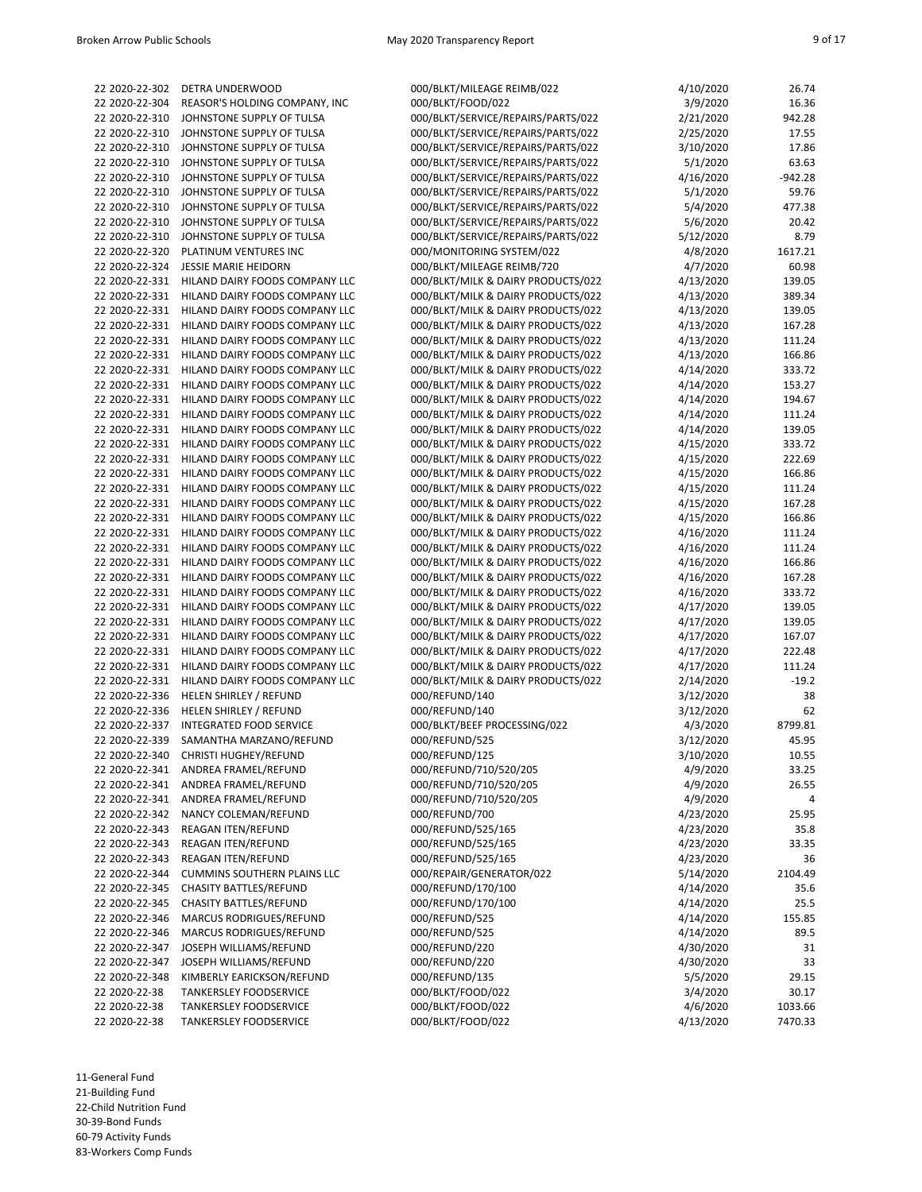22 2020-22-302 DETRA UNDERWOOD 000 22 2020-22-304 REASOR'S HOLDING COMPANY, INC 000 22 2020-22-310 JOHNSTONE SUPPLY OF TULSA 000 22 2020-22-310 JOHNSTONE SUPPLY OF TULSA 000 22 2020-22-310 JOHNSTONE SUPPLY OF TULSA 000 22 2020-22-310 JOHNSTONE SUPPLY OF TULSA 000 22 2020-22-310 JOHNSTONE SUPPLY OF TULSA 000 22 2020-22-310 JOHNSTONE SUPPLY OF TULSA 000 22 2020-22-310 JOHNSTONE SUPPLY OF TULSA 000 22 2020-22-310 JOHNSTONE SUPPLY OF TULSA 000 22 2020-22-310 JOHNSTONE SUPPLY OF TULSA 000 22 2020-22-320 PLATINUM VENTURES INC 000 22 2020-22-324 JESSIE MARIE HEIDORN 000 22 2020-22-331 HILAND DAIRY FOODS COMPANY LLC 000 22 2020-22-331 HILAND DAIRY FOODS COMPANY LLC 000 22 2020-22-331 HILAND DAIRY FOODS COMPANY LLC 000 22 2020-22-331 HILAND DAIRY FOODS COMPANY LLC 000 22 2020-22-331 HILAND DAIRY FOODS COMPANY LLC 000 22 2020-22-331 HILAND DAIRY FOODS COMPANY LLC 000 22 2020-22-331 HILAND DAIRY FOODS COMPANY LLC 000 22 2020-22-331 HILAND DAIRY FOODS COMPANY LLC 000 22 2020-22-331 HILAND DAIRY FOODS COMPANY LLC 000 22 2020-22-331 HILAND DAIRY FOODS COMPANY LLC 000 22 2020-22-331 HILAND DAIRY FOODS COMPANY LLC 000 22 2020-22-331 HILAND DAIRY FOODS COMPANY LLC 000 22 2020-22-331 HILAND DAIRY FOODS COMPANY LLC 000 22 2020-22-331 HILAND DAIRY FOODS COMPANY LLC 000 22 2020-22-331 HILAND DAIRY FOODS COMPANY LLC 000 22 2020-22-331 HILAND DAIRY FOODS COMPANY LLC 000 22 2020-22-331 HILAND DAIRY FOODS COMPANY LLC 000 22 2020-22-331 HILAND DAIRY FOODS COMPANY LLC 000 22 2020-22-331 HILAND DAIRY FOODS COMPANY LLC 000 22 2020-22-331 HILAND DAIRY FOODS COMPANY LLC 000 22 2020-22-331 HILAND DAIRY FOODS COMPANY LLC 000 22 2020-22-331 HILAND DAIRY FOODS COMPANY LLC 000 22 2020-22-331 HILAND DAIRY FOODS COMPANY LLC 000 22 2020-22-331 HILAND DAIRY FOODS COMPANY LLC 000 22 2020-22-331 HILAND DAIRY FOODS COMPANY LLC 000 22 2020-22-331 HILAND DAIRY FOODS COMPANY LLC 000 22 2020-22-331 HILAND DAIRY FOODS COMPANY LLC 000 22 2020-22-331 HILAND DAIRY FOODS COMPANY LLC 000 22 2020-22-336 HELEN SHIRLEY / REFUND 000, 22 2020-22-336 HELEN SHIRLEY / REFUND 000 22 2020-22-337 INTEGRATED FOOD SERVICE 000 22 2020-22-339 SAMANTHA MARZANO/REFUND 000, 22 2020-22-340 CHRISTI HUGHEY/REFUND 000 22 2020-22-341 ANDREA FRAMEL/REFUND 000 22 2020-22-341 ANDREA FRAMEL/REFUND 000 22 2020-22-341 ANDREA FRAMEL/REFUND 000 22 2020-22-342 NANCY COLEMAN/REFUND 000 22 2020-22-343 REAGAN ITEN/REFUND 000 22 2020-22-343 REAGAN ITEN/REFUND 000 22 2020-22-343 REAGAN ITEN/REFUND 000 22 2020-22-344 CUMMINS SOUTHERN PLAINS LLC 000/ 22 2020-22-345 CHASITY BATTLES/REFUND 000 22 2020-22-345 CHASITY BATTLES/REFUND 000 22 2020-22-346 MARCUS RODRIGUES/REFUND 000/ 22 2020-22-346 MARCUS RODRIGUES/REFUND 000/ 22 2020-22-347 JOSEPH WILLIAMS/REFUND 000 22 2020-22-347 JOSEPH WILLIAMS/REFUND 000/ 22 2020-22-348 KIMBERLY EARICKSON/REFUND 000 22 2020-22-38 TANKERSLEY FOODSERVICE 000 22 2020-22-38 TANKERSLEY FOODSERVICE 0000 22 2020-22-38 TANKERSLEY FOODSERVICE 000

| /BLKT/MILEAGE REIMB/022                                          | 4/10/2020              | 26.74            |
|------------------------------------------------------------------|------------------------|------------------|
| /BLKT/FOOD/022                                                   | 3/9/2020               | 16.36            |
| /BLKT/SERVICE/REPAIRS/PARTS/022                                  | 2/21/2020              | 942.28           |
| /BLKT/SERVICE/REPAIRS/PARTS/022                                  | 2/25/2020              | 17.55            |
| /BLKT/SERVICE/REPAIRS/PARTS/022                                  | 3/10/2020              | 17.86            |
| /BLKT/SERVICE/REPAIRS/PARTS/022                                  | 5/1/2020               | 63.63            |
| /BLKT/SERVICE/REPAIRS/PARTS/022                                  | 4/16/2020              | -942.28          |
| /BLKT/SERVICE/REPAIRS/PARTS/022                                  | 5/1/2020               | 59.76            |
| /BLKT/SERVICE/REPAIRS/PARTS/022                                  | 5/4/2020               | 477.38           |
| /BLKT/SERVICE/REPAIRS/PARTS/022                                  | 5/6/2020               | 20.42            |
| /BLKT/SERVICE/REPAIRS/PARTS/022<br>MONITORING SYSTEM/022         | 5/12/2020<br>4/8/2020  | 8.79<br>1617.21  |
| /BLKT/MILEAGE REIMB/720                                          | 4/7/2020               | 60.98            |
| BLKT/MILK & DAIRY PRODUCTS/022                                   | 4/13/2020              | 139.05           |
| BLKT/MILK & DAIRY PRODUCTS/022                                   | 4/13/2020              | 389.34           |
| BLKT/MILK & DAIRY PRODUCTS/022                                   | 4/13/2020              | 139.05           |
| BLKT/MILK & DAIRY PRODUCTS/022                                   | 4/13/2020              | 167.28           |
| BLKT/MILK & DAIRY PRODUCTS/022                                   | 4/13/2020              | 111.24           |
| BLKT/MILK & DAIRY PRODUCTS/022                                   | 4/13/2020              | 166.86           |
| BLKT/MILK & DAIRY PRODUCTS/022                                   | 4/14/2020              | 333.72           |
| BLKT/MILK & DAIRY PRODUCTS/022                                   | 4/14/2020              | 153.27           |
| BLKT/MILK & DAIRY PRODUCTS/022                                   | 4/14/2020              | 194.67           |
| BLKT/MILK & DAIRY PRODUCTS/022                                   | 4/14/2020              | 111.24           |
| BLKT/MILK & DAIRY PRODUCTS/022/                                  | 4/14/2020              | 139.05           |
| BLKT/MILK & DAIRY PRODUCTS/022                                   | 4/15/2020              | 333.72           |
| BLKT/MILK & DAIRY PRODUCTS/022                                   | 4/15/2020              | 222.69           |
| BLKT/MILK & DAIRY PRODUCTS/022                                   | 4/15/2020              | 166.86           |
| BLKT/MILK & DAIRY PRODUCTS/022                                   | 4/15/2020              | 111.24           |
| BLKT/MILK & DAIRY PRODUCTS/022                                   | 4/15/2020              | 167.28           |
| BLKT/MILK & DAIRY PRODUCTS/022                                   | 4/15/2020              | 166.86           |
| BLKT/MILK & DAIRY PRODUCTS/022                                   | 4/16/2020              | 111.24           |
| BLKT/MILK & DAIRY PRODUCTS/022                                   | 4/16/2020              | 111.24           |
| BLKT/MILK & DAIRY PRODUCTS/022                                   | 4/16/2020              | 166.86           |
| BLKT/MILK & DAIRY PRODUCTS/022                                   | 4/16/2020              | 167.28           |
| BLKT/MILK & DAIRY PRODUCTS/022                                   | 4/16/2020              | 333.72           |
| BLKT/MILK & DAIRY PRODUCTS/022<br>BLKT/MILK & DAIRY PRODUCTS/022 | 4/17/2020              | 139.05           |
| BLKT/MILK & DAIRY PRODUCTS/022                                   | 4/17/2020<br>4/17/2020 | 139.05<br>167.07 |
| BLKT/MILK & DAIRY PRODUCTS/022                                   | 4/17/2020              | 222.48           |
| BLKT/MILK & DAIRY PRODUCTS/022                                   | 4/17/2020              | 111.24           |
| BLKT/MILK & DAIRY PRODUCTS/022                                   | 2/14/2020              | $-19.2$          |
| REFUND/140                                                       | 3/12/2020              | 38               |
| REFUND/140                                                       | 3/12/2020              | 62               |
| /BLKT/BEEF PROCESSING/022                                        | 4/3/2020               | 8799.81          |
| REFUND/525                                                       | 3/12/2020              | 45.95            |
| REFUND/125                                                       | 3/10/2020              | 10.55            |
| /REFUND/710/520/205                                              | 4/9/2020               | 33.25            |
| /REFUND/710/520/205                                              | 4/9/2020               | 26.55            |
| /REFUND/710/520/205                                              | 4/9/2020               | 4                |
| /REFUND/700                                                      | 4/23/2020              | 25.95            |
| /REFUND/525/165                                                  | 4/23/2020              | 35.8             |
| /REFUND/525/165                                                  | 4/23/2020              | 33.35            |
| /REFUND/525/165                                                  | 4/23/2020              | 36               |
| /REPAIR/GENERATOR/022                                            | 5/14/2020              | 2104.49          |
| /REFUND/170/100                                                  | 4/14/2020              | 35.6             |
| /REFUND/170/100                                                  | 4/14/2020              | 25.5             |
| REFUND/525                                                       | 4/14/2020              | 155.85           |
| REFUND/525/                                                      | 4/14/2020              | 89.5             |
| REFUND/220                                                       | 4/30/2020              | 31               |
| REFUND/220                                                       | 4/30/2020              | 33               |
| REFUND/135/                                                      | 5/5/2020               | 29.15            |
| /BLKT/FOOD/022                                                   | 3/4/2020               | 30.17            |
| /BLKT/FOOD/022<br>/BLKT/FOOD/022                                 | 4/6/2020<br>4/13/2020  | 1033.66          |
|                                                                  |                        | 7470.33          |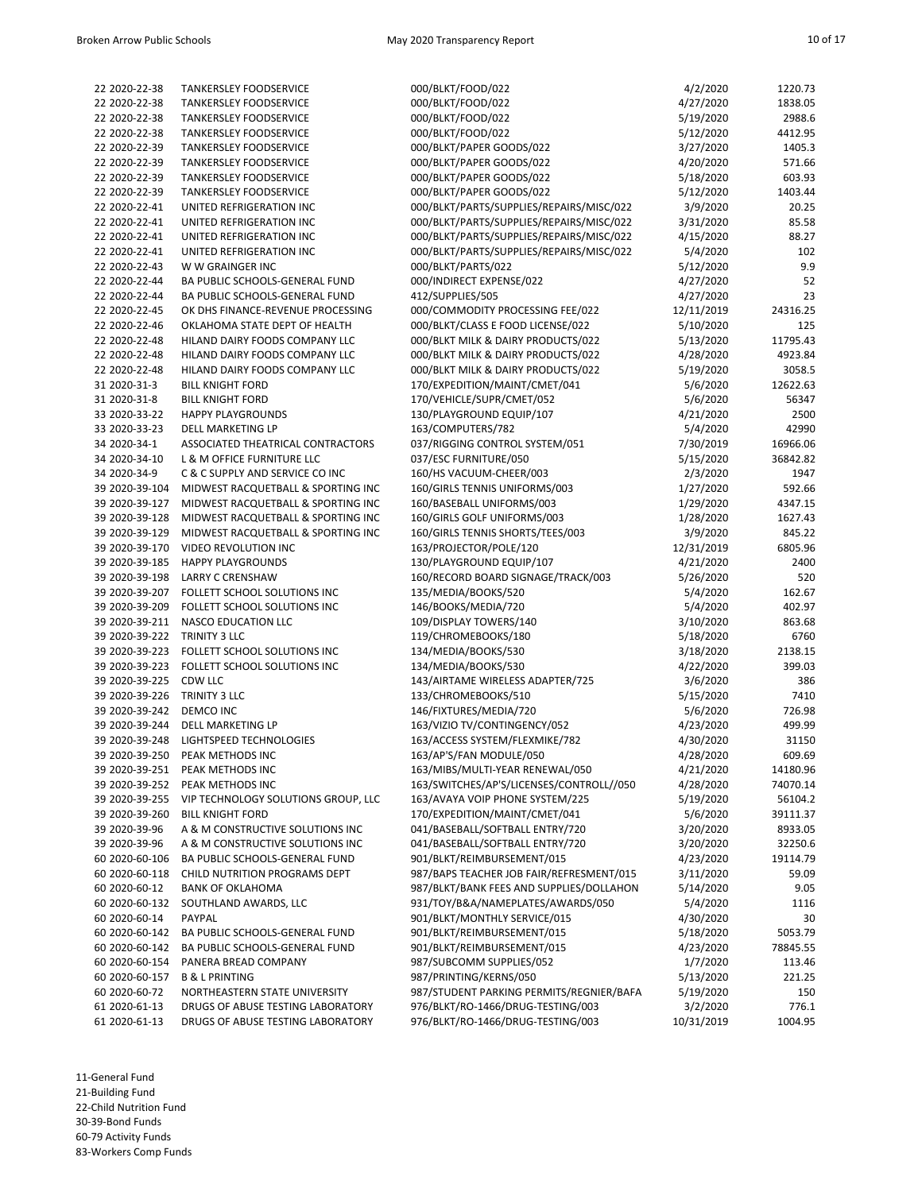| 22 2020-22-38  | <b>TANKERSLEY FOODSERVICE</b>       | 000/BLKT/FOOD/022                        | 4/2/2020   | 1220.73  |
|----------------|-------------------------------------|------------------------------------------|------------|----------|
| 22 2020-22-38  | <b>TANKERSLEY FOODSERVICE</b>       | 000/BLKT/FOOD/022                        | 4/27/2020  | 1838.05  |
| 22 2020-22-38  | <b>TANKERSLEY FOODSERVICE</b>       | 000/BLKT/FOOD/022                        | 5/19/2020  | 2988.6   |
| 22 2020-22-38  | <b>TANKERSLEY FOODSERVICE</b>       | 000/BLKT/FOOD/022                        | 5/12/2020  | 4412.95  |
| 22 2020-22-39  | <b>TANKERSLEY FOODSERVICE</b>       | 000/BLKT/PAPER GOODS/022                 | 3/27/2020  | 1405.3   |
| 22 2020-22-39  | <b>TANKERSLEY FOODSERVICE</b>       | 000/BLKT/PAPER GOODS/022                 | 4/20/2020  | 571.66   |
| 22 2020-22-39  | <b>TANKERSLEY FOODSERVICE</b>       | 000/BLKT/PAPER GOODS/022                 | 5/18/2020  | 603.93   |
| 22 2020-22-39  | <b>TANKERSLEY FOODSERVICE</b>       | 000/BLKT/PAPER GOODS/022                 | 5/12/2020  | 1403.44  |
| 22 2020-22-41  | UNITED REFRIGERATION INC            | 000/BLKT/PARTS/SUPPLIES/REPAIRS/MISC/022 | 3/9/2020   | 20.25    |
| 22 2020-22-41  | UNITED REFRIGERATION INC            | 000/BLKT/PARTS/SUPPLIES/REPAIRS/MISC/022 | 3/31/2020  | 85.58    |
| 22 2020-22-41  | UNITED REFRIGERATION INC            | 000/BLKT/PARTS/SUPPLIES/REPAIRS/MISC/022 | 4/15/2020  | 88.27    |
| 22 2020-22-41  | UNITED REFRIGERATION INC            | 000/BLKT/PARTS/SUPPLIES/REPAIRS/MISC/022 | 5/4/2020   | 102      |
| 22 2020-22-43  | W W GRAINGER INC                    | 000/BLKT/PARTS/022                       | 5/12/2020  | 9.9      |
| 22 2020-22-44  |                                     |                                          |            |          |
|                | BA PUBLIC SCHOOLS-GENERAL FUND      | 000/INDIRECT EXPENSE/022                 | 4/27/2020  | 52       |
| 22 2020-22-44  | BA PUBLIC SCHOOLS-GENERAL FUND      | 412/SUPPLIES/505                         | 4/27/2020  | 23       |
| 22 2020-22-45  | OK DHS FINANCE-REVENUE PROCESSING   | 000/COMMODITY PROCESSING FEE/022         | 12/11/2019 | 24316.25 |
| 22 2020-22-46  | OKLAHOMA STATE DEPT OF HEALTH       | 000/BLKT/CLASS E FOOD LICENSE/022        | 5/10/2020  | 125      |
| 22 2020-22-48  | HILAND DAIRY FOODS COMPANY LLC      | 000/BLKT MILK & DAIRY PRODUCTS/022       | 5/13/2020  | 11795.43 |
| 22 2020-22-48  | HILAND DAIRY FOODS COMPANY LLC      | 000/BLKT MILK & DAIRY PRODUCTS/022       | 4/28/2020  | 4923.84  |
| 22 2020-22-48  | HILAND DAIRY FOODS COMPANY LLC      | 000/BLKT MILK & DAIRY PRODUCTS/022       | 5/19/2020  | 3058.5   |
| 31 2020-31-3   | <b>BILL KNIGHT FORD</b>             | 170/EXPEDITION/MAINT/CMET/041            | 5/6/2020   | 12622.63 |
| 31 2020-31-8   | <b>BILL KNIGHT FORD</b>             | 170/VEHICLE/SUPR/CMET/052                | 5/6/2020   | 56347    |
| 33 2020-33-22  | <b>HAPPY PLAYGROUNDS</b>            | 130/PLAYGROUND EQUIP/107                 | 4/21/2020  | 2500     |
| 33 2020-33-23  | <b>DELL MARKETING LP</b>            | 163/COMPUTERS/782                        | 5/4/2020   | 42990    |
| 34 2020-34-1   | ASSOCIATED THEATRICAL CONTRACTORS   | 037/RIGGING CONTROL SYSTEM/051           | 7/30/2019  | 16966.06 |
| 34 2020-34-10  | L & M OFFICE FURNITURE LLC          | 037/ESC FURNITURE/050                    | 5/15/2020  | 36842.82 |
| 34 2020-34-9   | C & C SUPPLY AND SERVICE CO INC     | 160/HS VACUUM-CHEER/003                  | 2/3/2020   | 1947     |
| 39 2020-39-104 | MIDWEST RACQUETBALL & SPORTING INC  | 160/GIRLS TENNIS UNIFORMS/003            | 1/27/2020  | 592.66   |
| 39 2020-39-127 | MIDWEST RACQUETBALL & SPORTING INC  | 160/BASEBALL UNIFORMS/003                | 1/29/2020  | 4347.15  |
| 39 2020-39-128 | MIDWEST RACQUETBALL & SPORTING INC  | 160/GIRLS GOLF UNIFORMS/003              | 1/28/2020  | 1627.43  |
| 39 2020-39-129 | MIDWEST RACQUETBALL & SPORTING INC  | 160/GIRLS TENNIS SHORTS/TEES/003         | 3/9/2020   | 845.22   |
| 39 2020-39-170 | VIDEO REVOLUTION INC                | 163/PROJECTOR/POLE/120                   | 12/31/2019 | 6805.96  |
| 39 2020-39-185 | <b>HAPPY PLAYGROUNDS</b>            | 130/PLAYGROUND EQUIP/107                 | 4/21/2020  | 2400     |
| 39 2020-39-198 | <b>LARRY C CRENSHAW</b>             | 160/RECORD BOARD SIGNAGE/TRACK/003       | 5/26/2020  | 520      |
| 39 2020-39-207 | FOLLETT SCHOOL SOLUTIONS INC        | 135/MEDIA/BOOKS/520                      | 5/4/2020   | 162.67   |
| 39 2020-39-209 | FOLLETT SCHOOL SOLUTIONS INC        | 146/BOOKS/MEDIA/720                      | 5/4/2020   | 402.97   |
| 39 2020-39-211 | <b>NASCO EDUCATION LLC</b>          | 109/DISPLAY TOWERS/140                   | 3/10/2020  | 863.68   |
|                | TRINITY 3 LLC                       |                                          |            | 6760     |
| 39 2020-39-222 |                                     | 119/CHROMEBOOKS/180                      | 5/18/2020  |          |
| 39 2020-39-223 | FOLLETT SCHOOL SOLUTIONS INC        | 134/MEDIA/BOOKS/530                      | 3/18/2020  | 2138.15  |
| 39 2020-39-223 | FOLLETT SCHOOL SOLUTIONS INC        | 134/MEDIA/BOOKS/530                      | 4/22/2020  | 399.03   |
| 39 2020-39-225 | <b>CDW LLC</b>                      | 143/AIRTAME WIRELESS ADAPTER/725         | 3/6/2020   | 386      |
| 39 2020-39-226 | TRINITY 3 LLC                       | 133/CHROMEBOOKS/510                      | 5/15/2020  | 7410     |
| 39 2020-39-242 | DEMCO INC                           | 146/FIXTURES/MEDIA/720                   | 5/6/2020   | 726.98   |
| 39 2020-39-244 | <b>DELL MARKETING LP</b>            | 163/VIZIO TV/CONTINGENCY/052             | 4/23/2020  | 499.99   |
| 39 2020-39-248 | LIGHTSPEED TECHNOLOGIES             | 163/ACCESS SYSTEM/FLEXMIKE/782           | 4/30/2020  | 31150    |
| 39 2020-39-250 | PFAK METHODS INC                    | 163/AP'S/FAN MODULE/050                  | 4/28/2020  | 609.69   |
|                | 39 2020-39-251 PEAK METHODS INC     | 163/MIBS/MULTI-YEAR RENEWAL/050          | 4/21/2020  | 14180.96 |
| 39 2020-39-252 | PEAK METHODS INC                    | 163/SWITCHES/AP'S/LICENSES/CONTROLL//050 | 4/28/2020  | 74070.14 |
| 39 2020-39-255 | VIP TECHNOLOGY SOLUTIONS GROUP, LLC | 163/AVAYA VOIP PHONE SYSTEM/225          | 5/19/2020  | 56104.2  |
| 39 2020-39-260 | <b>BILL KNIGHT FORD</b>             | 170/EXPEDITION/MAINT/CMET/041            | 5/6/2020   | 39111.37 |
| 39 2020-39-96  | A & M CONSTRUCTIVE SOLUTIONS INC    | 041/BASEBALL/SOFTBALL ENTRY/720          | 3/20/2020  | 8933.05  |
| 39 2020-39-96  | A & M CONSTRUCTIVE SOLUTIONS INC    | 041/BASEBALL/SOFTBALL ENTRY/720          | 3/20/2020  | 32250.6  |
| 60 2020-60-106 | BA PUBLIC SCHOOLS-GENERAL FUND      | 901/BLKT/REIMBURSEMENT/015               | 4/23/2020  | 19114.79 |
| 60 2020-60-118 | CHILD NUTRITION PROGRAMS DEPT       | 987/BAPS TEACHER JOB FAIR/REFRESMENT/015 | 3/11/2020  | 59.09    |
| 60 2020-60-12  | <b>BANK OF OKLAHOMA</b>             | 987/BLKT/BANK FEES AND SUPPLIES/DOLLAHON | 5/14/2020  | 9.05     |
| 60 2020-60-132 | SOUTHLAND AWARDS, LLC               | 931/TOY/B&A/NAMEPLATES/AWARDS/050        | 5/4/2020   | 1116     |
| 60 2020-60-14  | PAYPAL                              | 901/BLKT/MONTHLY SERVICE/015             | 4/30/2020  | 30       |
| 60 2020-60-142 | BA PUBLIC SCHOOLS-GENERAL FUND      | 901/BLKT/REIMBURSEMENT/015               | 5/18/2020  | 5053.79  |
| 60 2020-60-142 | BA PUBLIC SCHOOLS-GENERAL FUND      | 901/BLKT/REIMBURSEMENT/015               | 4/23/2020  | 78845.55 |
| 60 2020-60-154 | PANERA BREAD COMPANY                | 987/SUBCOMM SUPPLIES/052                 | 1/7/2020   | 113.46   |
| 60 2020-60-157 |                                     | 987/PRINTING/KERNS/050                   |            |          |
|                | <b>B &amp; L PRINTING</b>           |                                          | 5/13/2020  | 221.25   |
| 60 2020-60-72  | NORTHEASTERN STATE UNIVERSITY       | 987/STUDENT PARKING PERMITS/REGNIER/BAFA | 5/19/2020  | 150      |
| 61 2020-61-13  | DRUGS OF ABUSE TESTING LABORATORY   | 976/BLKT/RO-1466/DRUG-TESTING/003        | 3/2/2020   | 776.1    |
| 61 2020-61-13  | DRUGS OF ABUSE TESTING LABORATORY   | 976/BLKT/RO-1466/DRUG-TESTING/003        | 10/31/2019 | 1004.95  |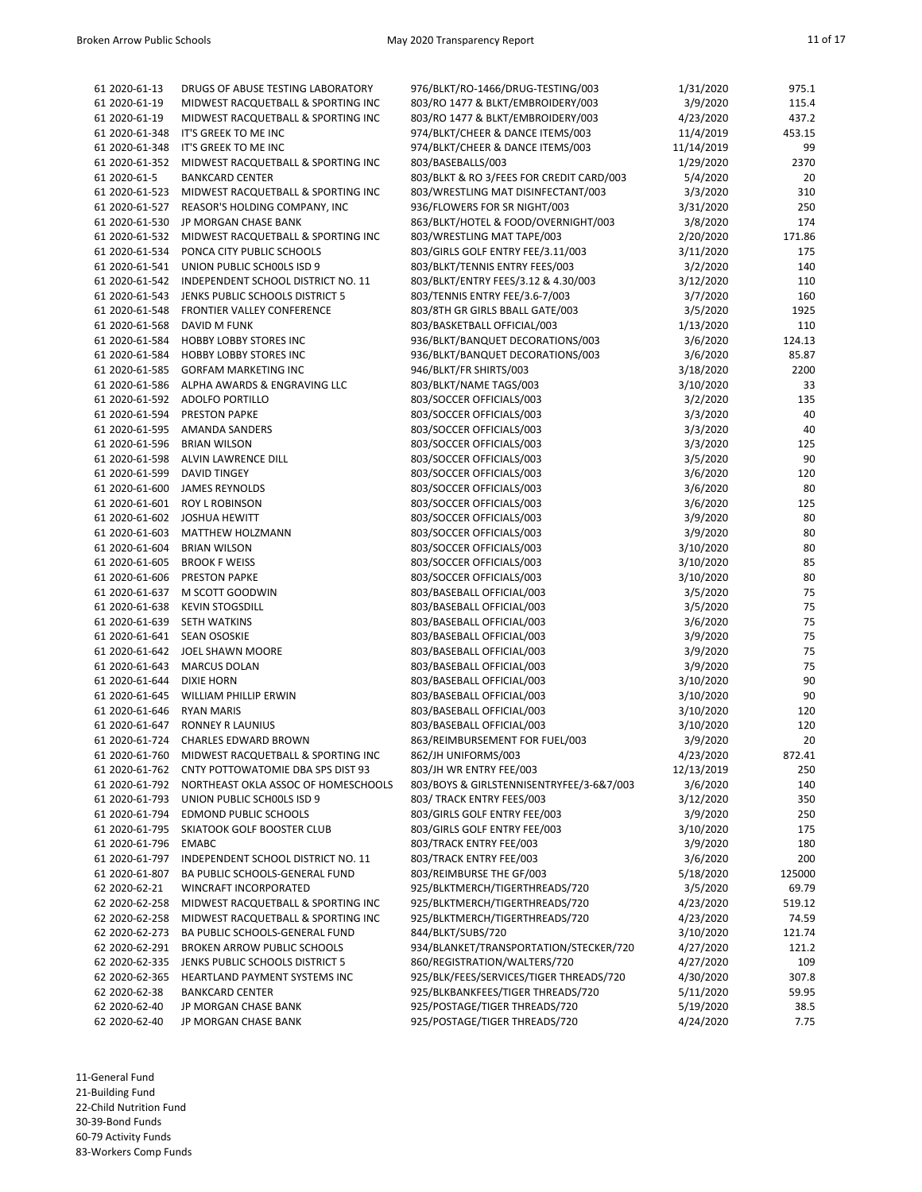|                |                                                   | 976/BLKT/RO-1466/DRUG-TESTING/003        |            |        |
|----------------|---------------------------------------------------|------------------------------------------|------------|--------|
| 61 2020-61-13  | DRUGS OF ABUSE TESTING LABORATORY                 |                                          | 1/31/2020  | 975.1  |
| 61 2020-61-19  | MIDWEST RACQUETBALL & SPORTING INC                | 803/RO 1477 & BLKT/EMBROIDERY/003        | 3/9/2020   | 115.4  |
| 61 2020-61-19  | MIDWEST RACQUETBALL & SPORTING INC                | 803/RO 1477 & BLKT/EMBROIDERY/003        | 4/23/2020  | 437.2  |
| 61 2020-61-348 | IT'S GREEK TO ME INC                              | 974/BLKT/CHEER & DANCE ITEMS/003         | 11/4/2019  | 453.15 |
|                |                                                   |                                          |            |        |
| 61 2020-61-348 | IT'S GREEK TO ME INC                              | 974/BLKT/CHEER & DANCE ITEMS/003         | 11/14/2019 | 99     |
| 61 2020-61-352 | MIDWEST RACQUETBALL & SPORTING INC                | 803/BASEBALLS/003                        | 1/29/2020  | 2370   |
| 61 2020-61-5   | <b>BANKCARD CENTER</b>                            | 803/BLKT & RO 3/FEES FOR CREDIT CARD/003 | 5/4/2020   | 20     |
| 61 2020-61-523 | MIDWEST RACQUETBALL & SPORTING INC                | 803/WRESTLING MAT DISINFECTANT/003       | 3/3/2020   | 310    |
| 61 2020-61-527 | REASOR'S HOLDING COMPANY, INC                     | 936/FLOWERS FOR SR NIGHT/003             |            | 250    |
|                |                                                   |                                          | 3/31/2020  |        |
| 61 2020-61-530 | JP MORGAN CHASE BANK                              | 863/BLKT/HOTEL & FOOD/OVERNIGHT/003      | 3/8/2020   | 174    |
| 61 2020-61-532 | MIDWEST RACQUETBALL & SPORTING INC                | 803/WRESTLING MAT TAPE/003               | 2/20/2020  | 171.86 |
| 61 2020-61-534 | PONCA CITY PUBLIC SCHOOLS                         | 803/GIRLS GOLF ENTRY FEE/3.11/003        | 3/11/2020  | 175    |
| 61 2020-61-541 | UNION PUBLIC SCHOOLS ISD 9                        | 803/BLKT/TENNIS ENTRY FEES/003           | 3/2/2020   | 140    |
|                |                                                   |                                          |            |        |
| 61 2020-61-542 | INDEPENDENT SCHOOL DISTRICT NO. 11                | 803/BLKT/ENTRY FEES/3.12 & 4.30/003      | 3/12/2020  | 110    |
| 61 2020-61-543 | JENKS PUBLIC SCHOOLS DISTRICT 5                   | 803/TENNIS ENTRY FEE/3.6-7/003           | 3/7/2020   | 160    |
| 61 2020-61-548 | FRONTIER VALLEY CONFERENCE                        | 803/8TH GR GIRLS BBALL GATE/003          | 3/5/2020   | 1925   |
| 61 2020-61-568 | DAVID M FUNK                                      | 803/BASKETBALL OFFICIAL/003              | 1/13/2020  | 110    |
|                |                                                   |                                          |            |        |
| 61 2020-61-584 | HOBBY LOBBY STORES INC                            | 936/BLKT/BANQUET DECORATIONS/003         | 3/6/2020   | 124.13 |
| 61 2020-61-584 | <b>HOBBY LOBBY STORES INC</b>                     | 936/BLKT/BANQUET DECORATIONS/003         | 3/6/2020   | 85.87  |
| 61 2020-61-585 | <b>GORFAM MARKETING INC</b>                       | 946/BLKT/FR SHIRTS/003                   | 3/18/2020  | 2200   |
| 61 2020-61-586 | ALPHA AWARDS & ENGRAVING LLC                      | 803/BLKT/NAME TAGS/003                   | 3/10/2020  | 33     |
| 61 2020-61-592 | ADOLFO PORTILLO                                   | 803/SOCCER OFFICIALS/003                 | 3/2/2020   | 135    |
|                |                                                   |                                          |            |        |
| 61 2020-61-594 | <b>PRESTON PAPKE</b>                              | 803/SOCCER OFFICIALS/003                 | 3/3/2020   | 40     |
| 61 2020-61-595 | <b>AMANDA SANDERS</b>                             | 803/SOCCER OFFICIALS/003                 | 3/3/2020   | 40     |
| 61 2020-61-596 | <b>BRIAN WILSON</b>                               | 803/SOCCER OFFICIALS/003                 | 3/3/2020   | 125    |
| 61 2020-61-598 | ALVIN LAWRENCE DILL                               | 803/SOCCER OFFICIALS/003                 | 3/5/2020   | 90     |
| 61 2020-61-599 | <b>DAVID TINGEY</b>                               | 803/SOCCER OFFICIALS/003                 | 3/6/2020   | 120    |
| 61 2020-61-600 |                                                   |                                          |            | 80     |
|                | <b>JAMES REYNOLDS</b>                             | 803/SOCCER OFFICIALS/003                 | 3/6/2020   |        |
| 61 2020-61-601 | <b>ROY L ROBINSON</b>                             | 803/SOCCER OFFICIALS/003                 | 3/6/2020   | 125    |
| 61 2020-61-602 | <b>JOSHUA HEWITT</b>                              | 803/SOCCER OFFICIALS/003                 | 3/9/2020   | 80     |
| 61 2020-61-603 | MATTHEW HOLZMANN                                  | 803/SOCCER OFFICIALS/003                 | 3/9/2020   | 80     |
| 61 2020-61-604 | <b>BRIAN WILSON</b>                               | 803/SOCCER OFFICIALS/003                 | 3/10/2020  | 80     |
| 61 2020-61-605 | <b>BROOK F WEISS</b>                              | 803/SOCCER OFFICIALS/003                 |            | 85     |
|                |                                                   |                                          | 3/10/2020  |        |
| 61 2020-61-606 | <b>PRESTON PAPKE</b>                              | 803/SOCCER OFFICIALS/003                 | 3/10/2020  | 80     |
| 61 2020-61-637 | M SCOTT GOODWIN                                   | 803/BASEBALL OFFICIAL/003                | 3/5/2020   | 75     |
| 61 2020-61-638 | <b>KEVIN STOGSDILL</b>                            | 803/BASEBALL OFFICIAL/003                | 3/5/2020   | 75     |
| 61 2020-61-639 | SETH WATKINS                                      | 803/BASEBALL OFFICIAL/003                | 3/6/2020   | 75     |
| 61 2020-61-641 | <b>SEAN OSOSKIE</b>                               | 803/BASEBALL OFFICIAL/003                | 3/9/2020   | 75     |
|                |                                                   |                                          |            |        |
| 61 2020-61-642 | JOEL SHAWN MOORE                                  | 803/BASEBALL OFFICIAL/003                | 3/9/2020   | 75     |
| 61 2020-61-643 | <b>MARCUS DOLAN</b>                               | 803/BASEBALL OFFICIAL/003                | 3/9/2020   | 75     |
| 61 2020-61-644 | <b>DIXIE HORN</b>                                 | 803/BASEBALL OFFICIAL/003                | 3/10/2020  | 90     |
| 61 2020-61-645 | WILLIAM PHILLIP ERWIN                             | 803/BASEBALL OFFICIAL/003                | 3/10/2020  | 90     |
| 61 2020-61-646 | <b>RYAN MARIS</b>                                 | 803/BASEBALL OFFICIAL/003                |            | 120    |
|                |                                                   |                                          | 3/10/2020  |        |
| 61 2020-61-647 | <b>RONNEY R LAUNIUS</b>                           | 803/BASEBALL OFFICIAL/003                | 3/10/2020  | 120    |
|                | 61 2020-61-724 CHARLES EDWARD BROWN               | 863/REIMBURSEMENT FOR FUEL/003           | 3/9/2020   | 20     |
|                | 61 2020-61-760 MIDWEST RACQUETBALL & SPORTING INC | 862/JH UNIFORMS/003                      | 4/23/2020  | 872.41 |
| 61 2020-61-762 | CNTY POTTOWATOMIE DBA SPS DIST 93                 | 803/JH WR ENTRY FEE/003                  | 12/13/2019 | 250    |
| 61 2020-61-792 | NORTHEAST OKLA ASSOC OF HOMESCHOOLS               | 803/BOYS & GIRLSTENNISENTRYFEE/3-6&7/003 | 3/6/2020   | 140    |
|                |                                                   |                                          |            |        |
| 61 2020-61-793 | UNION PUBLIC SCHOOLS ISD 9                        | 803/ TRACK ENTRY FEES/003                | 3/12/2020  | 350    |
| 61 2020-61-794 | <b>EDMOND PUBLIC SCHOOLS</b>                      | 803/GIRLS GOLF ENTRY FEE/003             | 3/9/2020   | 250    |
| 61 2020-61-795 | SKIATOOK GOLF BOOSTER CLUB                        | 803/GIRLS GOLF ENTRY FEE/003             | 3/10/2020  | 175    |
| 61 2020-61-796 | <b>EMABC</b>                                      | 803/TRACK ENTRY FEE/003                  | 3/9/2020   | 180    |
| 61 2020-61-797 | INDEPENDENT SCHOOL DISTRICT NO. 11                | 803/TRACK ENTRY FEE/003                  | 3/6/2020   | 200    |
|                |                                                   |                                          |            |        |
| 61 2020-61-807 | BA PUBLIC SCHOOLS-GENERAL FUND                    | 803/REIMBURSE THE GF/003                 | 5/18/2020  | 125000 |
| 62 2020-62-21  | <b>WINCRAFT INCORPORATED</b>                      | 925/BLKTMERCH/TIGERTHREADS/720           | 3/5/2020   | 69.79  |
| 62 2020-62-258 | MIDWEST RACQUETBALL & SPORTING INC                | 925/BLKTMERCH/TIGERTHREADS/720           | 4/23/2020  | 519.12 |
| 62 2020-62-258 | MIDWEST RACQUETBALL & SPORTING INC                | 925/BLKTMERCH/TIGERTHREADS/720           | 4/23/2020  | 74.59  |
| 62 2020-62-273 | BA PUBLIC SCHOOLS-GENERAL FUND                    | 844/BLKT/SUBS/720                        | 3/10/2020  | 121.74 |
|                |                                                   |                                          |            |        |
| 62 2020-62-291 | <b>BROKEN ARROW PUBLIC SCHOOLS</b>                | 934/BLANKET/TRANSPORTATION/STECKER/720   | 4/27/2020  | 121.2  |
| 62 2020-62-335 | JENKS PUBLIC SCHOOLS DISTRICT 5                   | 860/REGISTRATION/WALTERS/720             | 4/27/2020  | 109    |
| 62 2020-62-365 | HEARTLAND PAYMENT SYSTEMS INC                     | 925/BLK/FEES/SERVICES/TIGER THREADS/720  | 4/30/2020  | 307.8  |
| 62 2020-62-38  | <b>BANKCARD CENTER</b>                            | 925/BLKBANKFEES/TIGER THREADS/720        | 5/11/2020  | 59.95  |
| 62 2020-62-40  | JP MORGAN CHASE BANK                              | 925/POSTAGE/TIGER THREADS/720            | 5/19/2020  | 38.5   |
| 62 2020-62-40  | JP MORGAN CHASE BANK                              | 925/POSTAGE/TIGER THREADS/720            | 4/24/2020  | 7.75   |
|                |                                                   |                                          |            |        |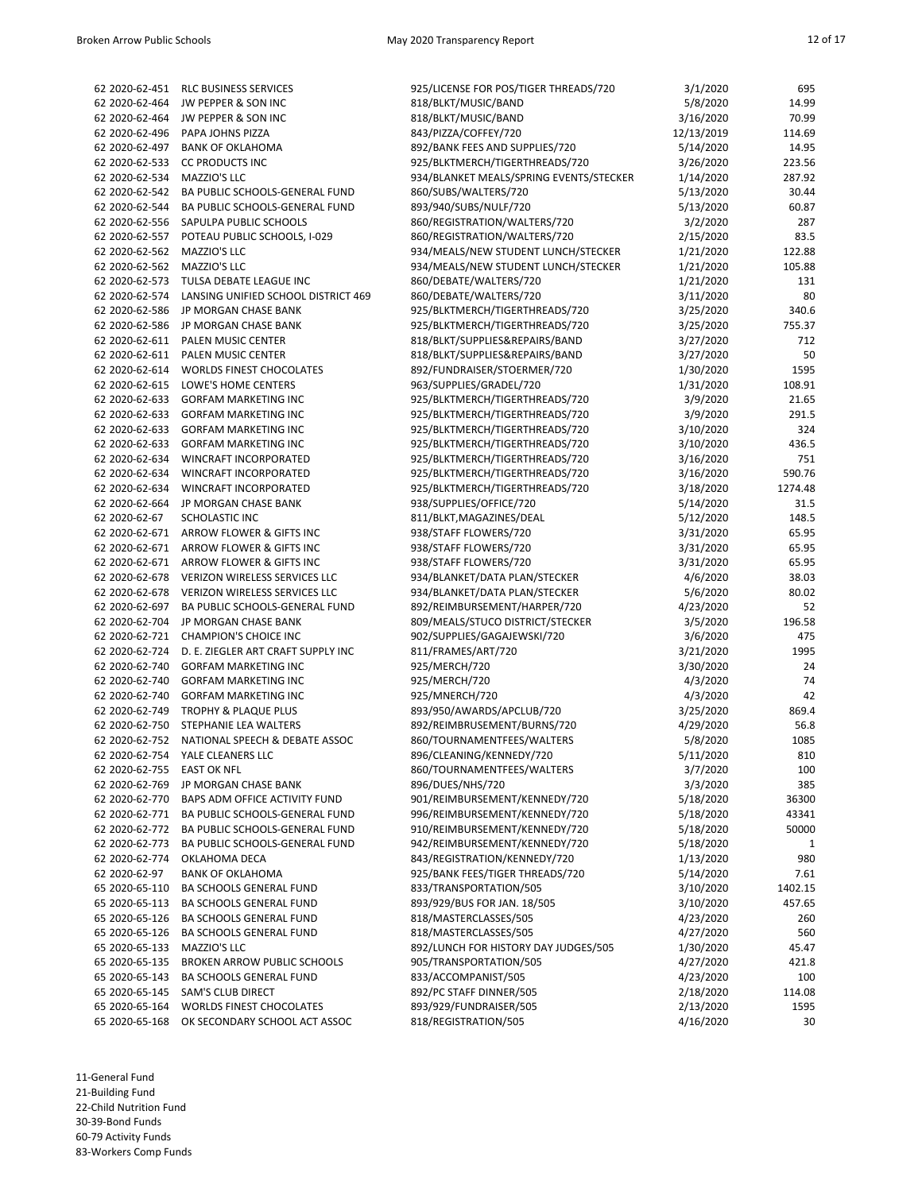| 62 2020-62-451 | <b>RLC BUSINESS SERVICES</b>        | 925/LICENSE FOR POS/TIGER THREADS/720   | 3/1/2020   | 695     |
|----------------|-------------------------------------|-----------------------------------------|------------|---------|
| 62 2020-62-464 | JW PEPPER & SON INC                 | 818/BLKT/MUSIC/BAND                     | 5/8/2020   | 14.99   |
| 62 2020-62-464 | JW PEPPER & SON INC                 | 818/BLKT/MUSIC/BAND                     | 3/16/2020  | 70.99   |
| 62 2020-62-496 | PAPA JOHNS PIZZA                    | 843/PIZZA/COFFEY/720                    | 12/13/2019 | 114.69  |
| 62 2020-62-497 | <b>BANK OF OKLAHOMA</b>             | 892/BANK FEES AND SUPPLIES/720          | 5/14/2020  | 14.95   |
| 62 2020-62-533 | <b>CC PRODUCTS INC</b>              | 925/BLKTMERCH/TIGERTHREADS/720          | 3/26/2020  | 223.56  |
| 62 2020-62-534 | MAZZIO'S LLC                        | 934/BLANKET MEALS/SPRING EVENTS/STECKER | 1/14/2020  | 287.92  |
| 62 2020-62-542 | BA PUBLIC SCHOOLS-GENERAL FUND      | 860/SUBS/WALTERS/720                    | 5/13/2020  | 30.44   |
| 62 2020-62-544 | BA PUBLIC SCHOOLS-GENERAL FUND      | 893/940/SUBS/NULF/720                   | 5/13/2020  | 60.87   |
| 62 2020-62-556 | SAPULPA PUBLIC SCHOOLS              | 860/REGISTRATION/WALTERS/720            | 3/2/2020   | 287     |
| 62 2020-62-557 | POTEAU PUBLIC SCHOOLS, I-029        | 860/REGISTRATION/WALTERS/720            | 2/15/2020  | 83.5    |
| 62 2020-62-562 | MAZZIO'S LLC                        | 934/MEALS/NEW STUDENT LUNCH/STECKER     | 1/21/2020  | 122.88  |
| 62 2020-62-562 | MAZZIO'S LLC                        | 934/MEALS/NEW STUDENT LUNCH/STECKER     | 1/21/2020  | 105.88  |
| 62 2020-62-573 | TULSA DEBATE LEAGUE INC             | 860/DEBATE/WALTERS/720                  | 1/21/2020  | 131     |
| 62 2020-62-574 | LANSING UNIFIED SCHOOL DISTRICT 469 | 860/DEBATE/WALTERS/720                  | 3/11/2020  | 80      |
| 62 2020-62-586 | JP MORGAN CHASE BANK                | 925/BLKTMERCH/TIGERTHREADS/720          | 3/25/2020  | 340.6   |
| 62 2020-62-586 | JP MORGAN CHASE BANK                | 925/BLKTMERCH/TIGERTHREADS/720          | 3/25/2020  | 755.37  |
| 62 2020-62-611 | <b>PALEN MUSIC CENTER</b>           | 818/BLKT/SUPPLIES&REPAIRS/BAND          | 3/27/2020  | 712     |
| 62 2020-62-611 | PALEN MUSIC CENTER                  | 818/BLKT/SUPPLIES&REPAIRS/BAND          | 3/27/2020  | 50      |
| 62 2020-62-614 | <b>WORLDS FINEST CHOCOLATES</b>     | 892/FUNDRAISER/STOERMER/720             | 1/30/2020  | 1595    |
| 62 2020-62-615 | LOWE'S HOME CENTERS                 | 963/SUPPLIES/GRADEL/720                 | 1/31/2020  | 108.91  |
| 62 2020-62-633 | <b>GORFAM MARKETING INC</b>         | 925/BLKTMERCH/TIGERTHREADS/720          | 3/9/2020   | 21.65   |
| 62 2020-62-633 | <b>GORFAM MARKETING INC</b>         | 925/BLKTMERCH/TIGERTHREADS/720          | 3/9/2020   | 291.5   |
| 62 2020-62-633 | <b>GORFAM MARKETING INC</b>         | 925/BLKTMERCH/TIGERTHREADS/720          | 3/10/2020  | 324     |
| 62 2020-62-633 | <b>GORFAM MARKETING INC</b>         | 925/BLKTMERCH/TIGERTHREADS/720          | 3/10/2020  | 436.5   |
| 62 2020-62-634 | WINCRAFT INCORPORATED               | 925/BLKTMERCH/TIGERTHREADS/720          | 3/16/2020  | 751     |
| 62 2020-62-634 | <b>WINCRAFT INCORPORATED</b>        | 925/BLKTMERCH/TIGERTHREADS/720          | 3/16/2020  | 590.76  |
| 62 2020-62-634 | WINCRAFT INCORPORATED               | 925/BLKTMERCH/TIGERTHREADS/720          | 3/18/2020  | 1274.48 |
| 62 2020-62-664 | JP MORGAN CHASE BANK                | 938/SUPPLIES/OFFICE/720                 | 5/14/2020  | 31.5    |
| 62 2020-62-67  | SCHOLASTIC INC                      | 811/BLKT, MAGAZINES/DEAL                | 5/12/2020  | 148.5   |
| 62 2020-62-671 | ARROW FLOWER & GIFTS INC            | 938/STAFF FLOWERS/720                   | 3/31/2020  | 65.95   |
| 62 2020-62-671 | ARROW FLOWER & GIFTS INC            | 938/STAFF FLOWERS/720                   | 3/31/2020  | 65.95   |
| 62 2020-62-671 | ARROW FLOWER & GIFTS INC            | 938/STAFF FLOWERS/720                   | 3/31/2020  | 65.95   |
| 62 2020-62-678 | VERIZON WIRELESS SERVICES LLC       | 934/BLANKET/DATA PLAN/STECKER           | 4/6/2020   | 38.03   |
| 62 2020-62-678 | VERIZON WIRELESS SERVICES LLC       | 934/BLANKET/DATA PLAN/STECKER           | 5/6/2020   | 80.02   |
| 62 2020-62-697 | BA PUBLIC SCHOOLS-GENERAL FUND      | 892/REIMBURSEMENT/HARPER/720            | 4/23/2020  | 52      |
| 62 2020-62-704 | JP MORGAN CHASE BANK                | 809/MEALS/STUCO DISTRICT/STECKER        | 3/5/2020   | 196.58  |
| 62 2020-62-721 | <b>CHAMPION'S CHOICE INC</b>        | 902/SUPPLIES/GAGAJEWSKI/720             | 3/6/2020   | 475     |
| 62 2020-62-724 | D. E. ZIEGLER ART CRAFT SUPPLY INC  | 811/FRAMES/ART/720                      | 3/21/2020  | 1995    |
| 62 2020-62-740 | <b>GORFAM MARKETING INC</b>         | 925/MERCH/720                           | 3/30/2020  | 24      |
| 62 2020-62-740 | <b>GORFAM MARKETING INC</b>         | 925/MERCH/720                           | 4/3/2020   | 74      |
| 62 2020-62-740 | <b>GORFAM MARKETING INC</b>         | 925/MNERCH/720                          | 4/3/2020   | 42      |
| 62 2020-62-749 | <b>TROPHY &amp; PLAQUE PLUS</b>     | 893/950/AWARDS/APCLUB/720               | 3/25/2020  | 869.4   |
| 62 2020-62-750 | STEPHANIE LEA WALTERS               | 892/REIMBRUSEMENT/BURNS/720             | 4/29/2020  | 56.8    |
| 62 2020-62-752 | NATIONAL SPEECH & DEBATE ASSOC      | 860/TOURNAMENTFEES/WALTERS              | 5/8/2020   | 1085    |
|                | 62 2020-62-754 YALE CLEANERS LLC    | 896/CLEANING/KENNEDY/720                | 5/11/2020  | 810     |
| 62 2020-62-755 | <b>EAST OK NFL</b>                  | 860/TOURNAMENTFEES/WALTERS              | 3/7/2020   | 100     |
| 62 2020-62-769 | JP MORGAN CHASE BANK                | 896/DUES/NHS/720                        | 3/3/2020   | 385     |
| 62 2020-62-770 | BAPS ADM OFFICE ACTIVITY FUND       | 901/REIMBURSEMENT/KENNEDY/720           | 5/18/2020  | 36300   |
| 62 2020-62-771 | BA PUBLIC SCHOOLS-GENERAL FUND      | 996/REIMBURSEMENT/KENNEDY/720           | 5/18/2020  | 43341   |
| 62 2020-62-772 | BA PUBLIC SCHOOLS-GENERAL FUND      | 910/REIMBURSEMENT/KENNEDY/720           | 5/18/2020  | 50000   |
| 62 2020-62-773 | BA PUBLIC SCHOOLS-GENERAL FUND      | 942/REIMBURSEMENT/KENNEDY/720           | 5/18/2020  | 1       |
| 62 2020-62-774 | OKLAHOMA DECA                       | 843/REGISTRATION/KENNEDY/720            | 1/13/2020  | 980     |
| 62 2020-62-97  | <b>BANK OF OKLAHOMA</b>             | 925/BANK FEES/TIGER THREADS/720         | 5/14/2020  | 7.61    |
| 65 2020-65-110 | BA SCHOOLS GENERAL FUND             | 833/TRANSPORTATION/505                  | 3/10/2020  | 1402.15 |
| 65 2020-65-113 | BA SCHOOLS GENERAL FUND             | 893/929/BUS FOR JAN. 18/505             | 3/10/2020  | 457.65  |
| 65 2020-65-126 | BA SCHOOLS GENERAL FUND             | 818/MASTERCLASSES/505                   | 4/23/2020  | 260     |
| 65 2020-65-126 | BA SCHOOLS GENERAL FUND             | 818/MASTERCLASSES/505                   | 4/27/2020  | 560     |
| 65 2020-65-133 | MAZZIO'S LLC                        | 892/LUNCH FOR HISTORY DAY JUDGES/505    | 1/30/2020  | 45.47   |
| 65 2020-65-135 | <b>BROKEN ARROW PUBLIC SCHOOLS</b>  | 905/TRANSPORTATION/505                  | 4/27/2020  | 421.8   |
| 65 2020-65-143 | BA SCHOOLS GENERAL FUND             | 833/ACCOMPANIST/505                     | 4/23/2020  | 100     |
| 65 2020-65-145 | SAM'S CLUB DIRECT                   | 892/PC STAFF DINNER/505                 | 2/18/2020  | 114.08  |
| 65 2020-65-164 | <b>WORLDS FINEST CHOCOLATES</b>     | 893/929/FUNDRAISER/505                  | 2/13/2020  | 1595    |
| 65 2020-65-168 | OK SECONDARY SCHOOL ACT ASSOC       | 818/REGISTRATION/505                    | 4/16/2020  | 30      |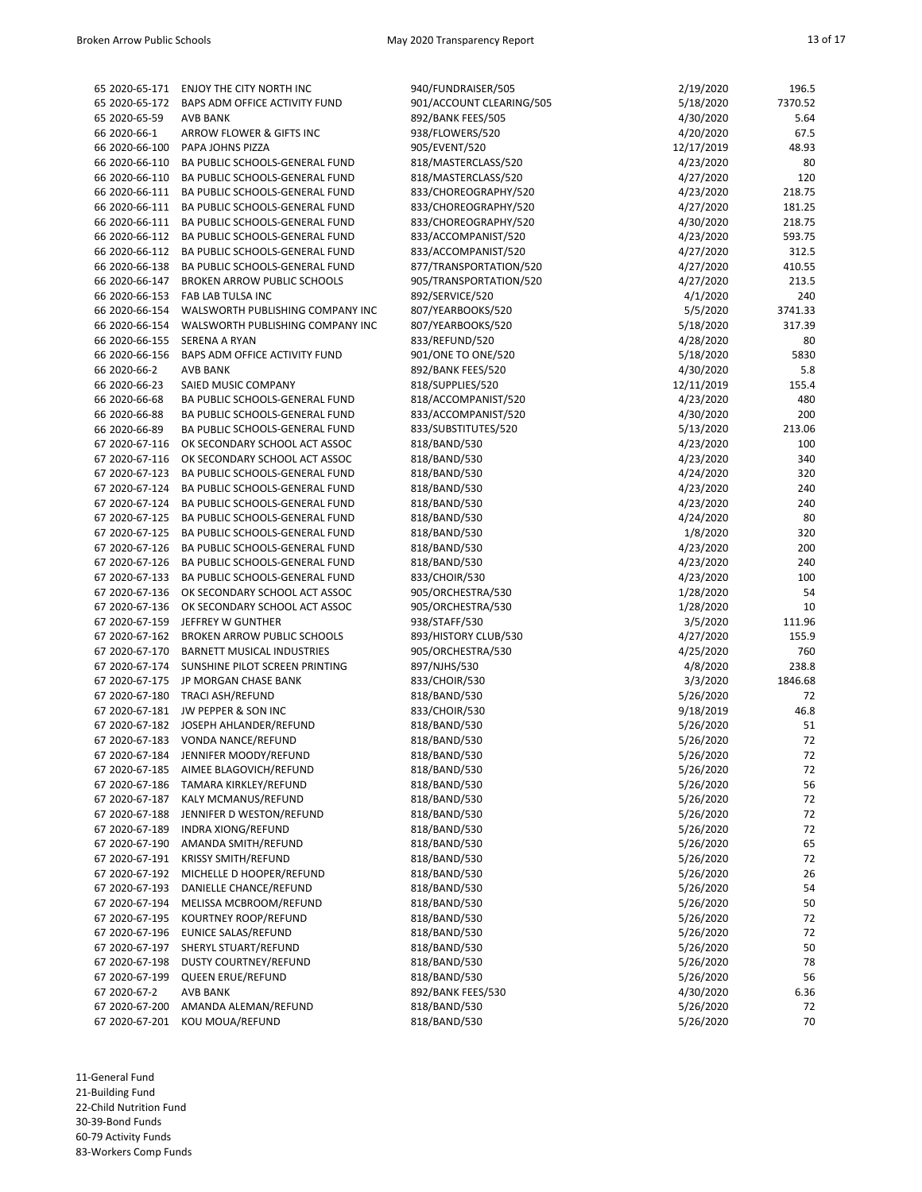|                                  | 65 2020-65-171 ENJOY THE CITY NORTH INC                             | 940/FUNDRAISER/505            | 2/19/2020            | 196.5        |
|----------------------------------|---------------------------------------------------------------------|-------------------------------|----------------------|--------------|
|                                  | 65 2020-65-172 BAPS ADM OFFICE ACTIVITY FUND                        | 901/ACCOUNT CLEARING/505      | 5/18/2020            | 7370.52      |
| 65 2020-65-59                    | <b>AVB BANK</b>                                                     | 892/BANK FEES/505             | 4/30/2020            | 5.64         |
| 66 2020-66-1                     | ARROW FLOWER & GIFTS INC                                            | 938/FLOWERS/520               | 4/20/2020            | 67.5         |
| 66 2020-66-100                   | PAPA JOHNS PIZZA                                                    | 905/EVENT/520                 | 12/17/2019           | 48.93        |
| 66 2020-66-110                   | BA PUBLIC SCHOOLS-GENERAL FUND                                      | 818/MASTERCLASS/520           | 4/23/2020            | 80           |
| 66 2020-66-110                   | BA PUBLIC SCHOOLS-GENERAL FUND                                      | 818/MASTERCLASS/520           | 4/27/2020            | 120          |
| 66 2020-66-111                   | BA PUBLIC SCHOOLS-GENERAL FUND                                      | 833/CHOREOGRAPHY/520          | 4/23/2020            | 218.75       |
| 66 2020-66-111                   | BA PUBLIC SCHOOLS-GENERAL FUND                                      | 833/CHOREOGRAPHY/520          | 4/27/2020            | 181.25       |
| 66 2020-66-111                   | BA PUBLIC SCHOOLS-GENERAL FUND                                      | 833/CHOREOGRAPHY/520          | 4/30/2020            | 218.75       |
|                                  | 66 2020-66-112 BA PUBLIC SCHOOLS-GENERAL FUND                       | 833/ACCOMPANIST/520           | 4/23/2020            | 593.75       |
| 66 2020-66-112                   | BA PUBLIC SCHOOLS-GENERAL FUND                                      | 833/ACCOMPANIST/520           | 4/27/2020            | 312.5        |
|                                  | 66 2020-66-138 BA PUBLIC SCHOOLS-GENERAL FUND                       | 877/TRANSPORTATION/520        | 4/27/2020            | 410.55       |
| 66 2020-66-147                   | <b>BROKEN ARROW PUBLIC SCHOOLS</b>                                  | 905/TRANSPORTATION/520        | 4/27/2020            | 213.5        |
| 66 2020-66-153                   | FAB LAB TULSA INC                                                   | 892/SERVICE/520               | 4/1/2020             | 240          |
| 66 2020-66-154                   | WALSWORTH PUBLISHING COMPANY INC                                    | 807/YEARBOOKS/520             | 5/5/2020             | 3741.33      |
| 66 2020-66-154                   | WALSWORTH PUBLISHING COMPANY INC                                    | 807/YEARBOOKS/520             | 5/18/2020            | 317.39       |
| 66 2020-66-155                   | <b>SERENA A RYAN</b>                                                | 833/REFUND/520                | 4/28/2020            | 80           |
| 66 2020-66-156                   | BAPS ADM OFFICE ACTIVITY FUND                                       | 901/ONE TO ONE/520            | 5/18/2020            | 5830         |
| 66 2020-66-2                     | AVB BANK                                                            | 892/BANK FEES/520             | 4/30/2020            | 5.8          |
| 66 2020-66-23                    | SAIED MUSIC COMPANY                                                 | 818/SUPPLIES/520              | 12/11/2019           | 155.4        |
| 66 2020-66-68                    | BA PUBLIC SCHOOLS-GENERAL FUND                                      | 818/ACCOMPANIST/520           | 4/23/2020            | 480          |
| 66 2020-66-88                    | BA PUBLIC SCHOOLS-GENERAL FUND                                      | 833/ACCOMPANIST/520           | 4/30/2020            | 200          |
| 66 2020-66-89                    | BA PUBLIC SCHOOLS-GENERAL FUND                                      | 833/SUBSTITUTES/520           | 5/13/2020            | 213.06       |
| 67 2020-67-116                   | OK SECONDARY SCHOOL ACT ASSOC                                       | 818/BAND/530                  | 4/23/2020            | 100          |
| 67 2020-67-116                   | OK SECONDARY SCHOOL ACT ASSOC                                       | 818/BAND/530                  | 4/23/2020            | 340          |
| 67 2020-67-123                   | BA PUBLIC SCHOOLS-GENERAL FUND                                      | 818/BAND/530                  | 4/24/2020            | 320          |
| 67 2020-67-124                   | BA PUBLIC SCHOOLS-GENERAL FUND                                      | 818/BAND/530                  | 4/23/2020            | 240          |
| 67 2020-67-124                   | BA PUBLIC SCHOOLS-GENERAL FUND                                      | 818/BAND/530                  | 4/23/2020            | 240          |
| 67 2020-67-125                   | BA PUBLIC SCHOOLS-GENERAL FUND                                      | 818/BAND/530                  | 4/24/2020            | 80           |
| 67 2020-67-125                   | BA PUBLIC SCHOOLS-GENERAL FUND                                      | 818/BAND/530                  | 1/8/2020             | 320          |
| 67 2020-67-126                   | BA PUBLIC SCHOOLS-GENERAL FUND                                      | 818/BAND/530                  | 4/23/2020            | 200          |
| 67 2020-67-126                   | BA PUBLIC SCHOOLS-GENERAL FUND                                      | 818/BAND/530                  | 4/23/2020            | 240          |
| 67 2020-67-133                   | BA PUBLIC SCHOOLS-GENERAL FUND                                      | 833/CHOIR/530                 | 4/23/2020            | 100          |
| 67 2020-67-136                   | OK SECONDARY SCHOOL ACT ASSOC                                       | 905/ORCHESTRA/530             | 1/28/2020            | 54           |
| 67 2020-67-136                   | OK SECONDARY SCHOOL ACT ASSOC                                       | 905/ORCHESTRA/530             | 1/28/2020            | 10           |
| 67 2020-67-159                   | JEFFREY W GUNTHER                                                   | 938/STAFF/530                 | 3/5/2020             | 111.96       |
|                                  | 67 2020-67-162 BROKEN ARROW PUBLIC SCHOOLS                          | 893/HISTORY CLUB/530          | 4/27/2020            | 155.9<br>760 |
| 67 2020-67-170<br>67 2020-67-174 | <b>BARNETT MUSICAL INDUSTRIES</b><br>SUNSHINE PILOT SCREEN PRINTING | 905/ORCHESTRA/530             | 4/25/2020            | 238.8        |
|                                  | 67 2020-67-175 JP MORGAN CHASE BANK                                 | 897/NJHS/530<br>833/CHOIR/530 | 4/8/2020<br>3/3/2020 | 1846.68      |
|                                  | 67 2020-67-180 TRACI ASH/REFUND                                     | 818/BAND/530                  | 5/26/2020            | 72           |
|                                  | 67 2020-67-181 JW PEPPER & SON INC                                  | 833/CHOIR/530                 | 9/18/2019            | 46.8         |
|                                  | 67 2020-67-182 JOSEPH AHLANDER/REFUND                               | 818/BAND/530                  | 5/26/2020            | 51           |
|                                  | 67 2020-67-183 VONDA NANCE/REFUND                                   | 818/BAND/530                  | 5/26/2020            | 72           |
|                                  | 67 2020-67-184 JENNIFER MOODY/REFUND                                | 818/BAND/530                  | 5/26/2020            | $72\,$       |
| 67 2020-67-185                   | AIMEE BLAGOVICH/REFUND                                              | 818/BAND/530                  | 5/26/2020            | 72           |
| 67 2020-67-186                   | TAMARA KIRKLEY/REFUND                                               | 818/BAND/530                  | 5/26/2020            | 56           |
| 67 2020-67-187                   | KALY MCMANUS/REFUND                                                 | 818/BAND/530                  | 5/26/2020            | 72           |
| 67 2020-67-188                   | JENNIFER D WESTON/REFUND                                            | 818/BAND/530                  | 5/26/2020            | 72           |
| 67 2020-67-189                   | <b>INDRA XIONG/REFUND</b>                                           | 818/BAND/530                  | 5/26/2020            | 72           |
| 67 2020-67-190                   | AMANDA SMITH/REFUND                                                 | 818/BAND/530                  | 5/26/2020            | 65           |
| 67 2020-67-191                   | <b>KRISSY SMITH/REFUND</b>                                          | 818/BAND/530                  | 5/26/2020            | 72           |
| 67 2020-67-192                   | MICHELLE D HOOPER/REFUND                                            | 818/BAND/530                  | 5/26/2020            | 26           |
| 67 2020-67-193                   | DANIELLE CHANCE/REFUND                                              | 818/BAND/530                  | 5/26/2020            | 54           |
| 67 2020-67-194                   | MELISSA MCBROOM/REFUND                                              | 818/BAND/530                  | 5/26/2020            | 50           |
| 67 2020-67-195                   | KOURTNEY ROOP/REFUND                                                | 818/BAND/530                  | 5/26/2020            | 72           |
| 67 2020-67-196                   | EUNICE SALAS/REFUND                                                 | 818/BAND/530                  | 5/26/2020            | 72           |
| 67 2020-67-197                   | SHERYL STUART/REFUND                                                | 818/BAND/530                  | 5/26/2020            | 50           |
| 67 2020-67-198                   | <b>DUSTY COURTNEY/REFUND</b>                                        | 818/BAND/530                  | 5/26/2020            | 78           |
| 67 2020-67-199                   | <b>QUEEN ERUE/REFUND</b>                                            | 818/BAND/530                  | 5/26/2020            | 56           |
| 67 2020-67-2                     | AVB BANK                                                            | 892/BANK FEES/530             | 4/30/2020            | 6.36         |
| 67 2020-67-200                   | AMANDA ALEMAN/REFUND                                                | 818/BAND/530                  | 5/26/2020            | 72           |
| 67 2020-67-201                   | KOU MOUA/REFUND                                                     | 818/BAND/530                  | 5/26/2020            | 70           |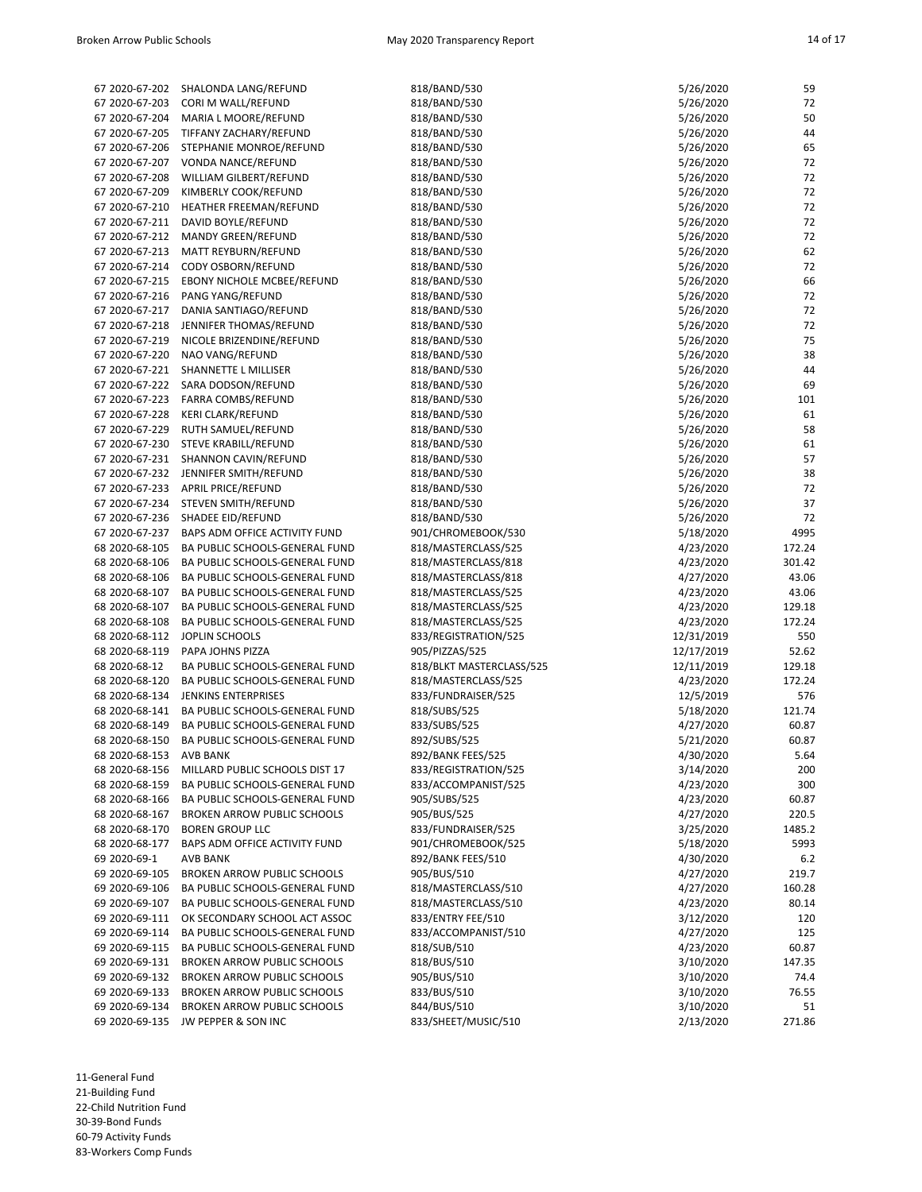| 67 2020-67-202                   | SHALONDA LANG/REFUND                                            | 818/BAND/530                               | 5/26/2020              | 59             |
|----------------------------------|-----------------------------------------------------------------|--------------------------------------------|------------------------|----------------|
| 67 2020-67-203                   | CORI M WALL/REFUND                                              | 818/BAND/530                               | 5/26/2020              | 72             |
| 67 2020-67-204                   | MARIA L MOORE/REFUND                                            | 818/BAND/530                               | 5/26/2020              | 50             |
| 67 2020-67-205                   | TIFFANY ZACHARY/REFUND                                          | 818/BAND/530                               | 5/26/2020              | 44             |
| 67 2020-67-206                   | STEPHANIE MONROE/REFUND                                         | 818/BAND/530                               | 5/26/2020              | 65             |
| 67 2020-67-207                   | VONDA NANCE/REFUND                                              | 818/BAND/530                               | 5/26/2020              | 72             |
| 67 2020-67-208                   | WILLIAM GILBERT/REFUND                                          | 818/BAND/530                               | 5/26/2020              | 72             |
| 67 2020-67-209                   | KIMBERLY COOK/REFUND                                            | 818/BAND/530                               | 5/26/2020              | 72             |
| 67 2020-67-210                   | HEATHER FREEMAN/REFUND                                          | 818/BAND/530                               | 5/26/2020              | 72             |
|                                  | 67 2020-67-211 DAVID BOYLE/REFUND                               | 818/BAND/530                               | 5/26/2020              | 72             |
| 67 2020-67-212                   | MANDY GREEN/REFUND                                              | 818/BAND/530                               | 5/26/2020              | 72             |
| 67 2020-67-213                   | MATT REYBURN/REFUND                                             | 818/BAND/530                               | 5/26/2020              | 62             |
| 67 2020-67-214                   | CODY OSBORN/REFUND                                              | 818/BAND/530                               | 5/26/2020              | 72             |
| 67 2020-67-215                   | EBONY NICHOLE MCBEE/REFUND                                      | 818/BAND/530                               | 5/26/2020              | 66             |
| 67 2020-67-216                   | PANG YANG/REFUND                                                | 818/BAND/530                               | 5/26/2020              | 72             |
| 67 2020-67-217                   | DANIA SANTIAGO/REFUND                                           | 818/BAND/530                               | 5/26/2020              | 72             |
| 67 2020-67-218                   | JENNIFER THOMAS/REFUND                                          | 818/BAND/530                               | 5/26/2020              | 72             |
| 67 2020-67-219                   | NICOLE BRIZENDINE/REFUND                                        | 818/BAND/530                               | 5/26/2020              | 75             |
| 67 2020-67-220                   | NAO VANG/REFUND                                                 | 818/BAND/530                               | 5/26/2020              | 38             |
| 67 2020-67-221                   | SHANNETTE L MILLISER                                            | 818/BAND/530                               | 5/26/2020              | 44             |
| 67 2020-67-222                   | SARA DODSON/REFUND                                              | 818/BAND/530                               | 5/26/2020              | 69             |
| 67 2020-67-223                   | <b>FARRA COMBS/REFUND</b>                                       | 818/BAND/530                               | 5/26/2020              | 101            |
| 67 2020-67-228                   | KERI CLARK/REFUND                                               | 818/BAND/530                               | 5/26/2020              | 61             |
| 67 2020-67-229                   | RUTH SAMUEL/REFUND                                              | 818/BAND/530                               | 5/26/2020              | 58             |
| 67 2020-67-230                   | STEVE KRABILL/REFUND                                            | 818/BAND/530                               | 5/26/2020              | 61             |
| 67 2020-67-231                   | SHANNON CAVIN/REFUND                                            | 818/BAND/530                               | 5/26/2020              | 57             |
|                                  | 67 2020-67-232 JENNIFER SMITH/REFUND                            | 818/BAND/530                               | 5/26/2020              | 38             |
| 67 2020-67-233                   | <b>APRIL PRICE/REFUND</b>                                       | 818/BAND/530                               | 5/26/2020              | 72             |
| 67 2020-67-234                   | STEVEN SMITH/REFUND                                             | 818/BAND/530                               | 5/26/2020              | 37             |
| 67 2020-67-236                   | SHADEE EID/REFUND                                               | 818/BAND/530                               | 5/26/2020              | 72             |
| 67 2020-67-237<br>68 2020-68-105 | BAPS ADM OFFICE ACTIVITY FUND<br>BA PUBLIC SCHOOLS-GENERAL FUND | 901/CHROMEBOOK/530                         | 5/18/2020              | 4995<br>172.24 |
| 68 2020-68-106                   | BA PUBLIC SCHOOLS-GENERAL FUND                                  | 818/MASTERCLASS/525<br>818/MASTERCLASS/818 | 4/23/2020              | 301.42         |
| 68 2020-68-106                   | BA PUBLIC SCHOOLS-GENERAL FUND                                  |                                            | 4/23/2020              | 43.06          |
| 68 2020-68-107                   | BA PUBLIC SCHOOLS-GENERAL FUND                                  | 818/MASTERCLASS/818<br>818/MASTERCLASS/525 | 4/27/2020<br>4/23/2020 | 43.06          |
| 68 2020-68-107                   | BA PUBLIC SCHOOLS-GENERAL FUND                                  | 818/MASTERCLASS/525                        | 4/23/2020              | 129.18         |
| 68 2020-68-108                   | BA PUBLIC SCHOOLS-GENERAL FUND                                  | 818/MASTERCLASS/525                        | 4/23/2020              | 172.24         |
|                                  | 68 2020-68-112 JOPLIN SCHOOLS                                   | 833/REGISTRATION/525                       | 12/31/2019             | 550            |
| 68 2020-68-119                   | PAPA JOHNS PIZZA                                                | 905/PIZZAS/525                             | 12/17/2019             | 52.62          |
| 68 2020-68-12                    | BA PUBLIC SCHOOLS-GENERAL FUND                                  | 818/BLKT MASTERCLASS/525                   | 12/11/2019             | 129.18         |
| 68 2020-68-120                   | BA PUBLIC SCHOOLS-GENERAL FUND                                  | 818/MASTERCLASS/525                        | 4/23/2020              | 172.24         |
| 68 2020-68-134                   | <b>JENKINS ENTERPRISES</b>                                      | 833/FUNDRAISER/525                         | 12/5/2019              | 576            |
| 68 2020-68-141                   | BA PUBLIC SCHOOLS-GENERAL FUND                                  | 818/SUBS/525                               | 5/18/2020              | 121.74         |
| 68 2020-68-149                   | BA PUBLIC SCHOOLS-GENERAL FUND                                  | 833/SUBS/525                               | 4/27/2020              | 60.87          |
| 68 2020-68-150                   | BA PUBLIC SCHOOLS-GENERAL FUND                                  | 892/SUBS/525                               | 5/21/2020              | 60.87          |
| 68 2020-68-153 AVB BANK          |                                                                 | 892/BANK FEES/525                          | 4/30/2020              | 5.64           |
| 68 2020-68-156                   | MILLARD PUBLIC SCHOOLS DIST 17                                  | 833/REGISTRATION/525                       | 3/14/2020              | 200            |
| 68 2020-68-159                   | BA PUBLIC SCHOOLS-GENERAL FUND                                  | 833/ACCOMPANIST/525                        | 4/23/2020              | 300            |
|                                  | 68 2020-68-166 BA PUBLIC SCHOOLS-GENERAL FUND                   | 905/SUBS/525                               | 4/23/2020              | 60.87          |
| 68 2020-68-167                   | <b>BROKEN ARROW PUBLIC SCHOOLS</b>                              | 905/BUS/525                                | 4/27/2020              | 220.5          |
| 68 2020-68-170                   | <b>BOREN GROUP LLC</b>                                          | 833/FUNDRAISER/525                         | 3/25/2020              | 1485.2         |
| 68 2020-68-177                   | BAPS ADM OFFICE ACTIVITY FUND                                   | 901/CHROMEBOOK/525                         | 5/18/2020              | 5993           |
| 69 2020-69-1                     | AVB BANK                                                        | 892/BANK FEES/510                          | 4/30/2020              | $6.2$          |
| 69 2020-69-105                   | <b>BROKEN ARROW PUBLIC SCHOOLS</b>                              | 905/BUS/510                                | 4/27/2020              | 219.7          |
| 69 2020-69-106                   | BA PUBLIC SCHOOLS-GENERAL FUND                                  | 818/MASTERCLASS/510                        | 4/27/2020              | 160.28         |
| 69 2020-69-107                   | BA PUBLIC SCHOOLS-GENERAL FUND                                  | 818/MASTERCLASS/510                        | 4/23/2020              | 80.14          |
| 69 2020-69-111                   | OK SECONDARY SCHOOL ACT ASSOC                                   | 833/ENTRY FEE/510                          | 3/12/2020              | 120            |
| 69 2020-69-114                   | BA PUBLIC SCHOOLS-GENERAL FUND                                  | 833/ACCOMPANIST/510                        | 4/27/2020              | 125            |
| 69 2020-69-115                   | BA PUBLIC SCHOOLS-GENERAL FUND                                  | 818/SUB/510                                | 4/23/2020              | 60.87          |
| 69 2020-69-131                   | <b>BROKEN ARROW PUBLIC SCHOOLS</b>                              | 818/BUS/510                                | 3/10/2020              | 147.35         |
| 69 2020-69-132                   | <b>BROKEN ARROW PUBLIC SCHOOLS</b>                              | 905/BUS/510                                | 3/10/2020              | 74.4           |
| 69 2020-69-133                   | BROKEN ARROW PUBLIC SCHOOLS                                     | 833/BUS/510                                | 3/10/2020              | 76.55          |
| 69 2020-69-134                   | <b>BROKEN ARROW PUBLIC SCHOOLS</b>                              | 844/BUS/510                                | 3/10/2020              | 51             |
| 69 2020-69-135                   | JW PEPPER & SON INC                                             | 833/SHEET/MUSIC/510                        | 2/13/2020              | 271.86         |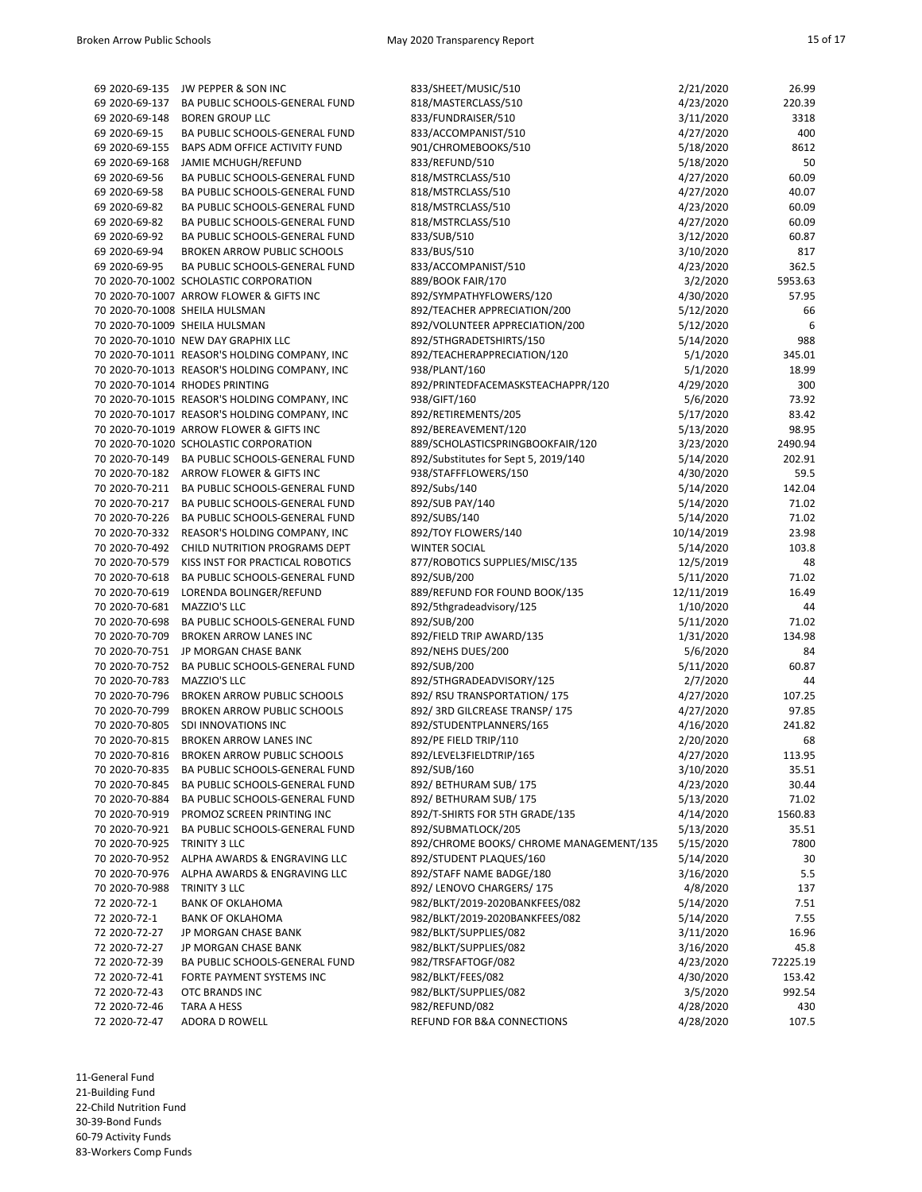| 69 2020-69-135 | JW PEPPER & SON INC                           | 833/SHEET/MUSIC/510                     | 2/21/2020  | 26.99    |
|----------------|-----------------------------------------------|-----------------------------------------|------------|----------|
| 69 2020-69-137 | BA PUBLIC SCHOOLS-GENERAL FUND                | 818/MASTERCLASS/510                     | 4/23/2020  | 220.39   |
| 69 2020-69-148 | <b>BOREN GROUP LLC</b>                        | 833/FUNDRAISER/510                      | 3/11/2020  | 3318     |
| 69 2020-69-15  | BA PUBLIC SCHOOLS-GENERAL FUND                | 833/ACCOMPANIST/510                     | 4/27/2020  | 400      |
| 69 2020-69-155 | BAPS ADM OFFICE ACTIVITY FUND                 | 901/CHROMEBOOKS/510                     | 5/18/2020  | 8612     |
| 69 2020-69-168 | JAMIE MCHUGH/REFUND                           | 833/REFUND/510                          | 5/18/2020  | 50       |
| 69 2020-69-56  | BA PUBLIC SCHOOLS-GENERAL FUND                | 818/MSTRCLASS/510                       | 4/27/2020  | 60.09    |
| 69 2020-69-58  | BA PUBLIC SCHOOLS-GENERAL FUND                | 818/MSTRCLASS/510                       | 4/27/2020  | 40.07    |
| 69 2020-69-82  | BA PUBLIC SCHOOLS-GENERAL FUND                | 818/MSTRCLASS/510                       | 4/23/2020  | 60.09    |
| 69 2020-69-82  | BA PUBLIC SCHOOLS-GENERAL FUND                | 818/MSTRCLASS/510                       | 4/27/2020  | 60.09    |
| 69 2020-69-92  | BA PUBLIC SCHOOLS-GENERAL FUND                | 833/SUB/510                             | 3/12/2020  | 60.87    |
| 69 2020-69-94  | <b>BROKEN ARROW PUBLIC SCHOOLS</b>            | 833/BUS/510                             | 3/10/2020  | 817      |
| 69 2020-69-95  | BA PUBLIC SCHOOLS-GENERAL FUND                | 833/ACCOMPANIST/510                     | 4/23/2020  | 362.5    |
|                | 70 2020-70-1002 SCHOLASTIC CORPORATION        | 889/BOOK FAIR/170                       | 3/2/2020   | 5953.63  |
|                | 70 2020-70-1007 ARROW FLOWER & GIFTS INC      | 892/SYMPATHYFLOWERS/120                 | 4/30/2020  | 57.95    |
|                | 70 2020-70-1008 SHEILA HULSMAN                | 892/TEACHER APPRECIATION/200            | 5/12/2020  | 66       |
|                | 70 2020-70-1009 SHEILA HULSMAN                | 892/VOLUNTEER APPRECIATION/200          | 5/12/2020  | 6        |
|                | 70 2020-70-1010 NEW DAY GRAPHIX LLC           | 892/5THGRADETSHIRTS/150                 | 5/14/2020  | 988      |
|                | 70 2020-70-1011 REASOR'S HOLDING COMPANY, INC | 892/TEACHERAPPRECIATION/120             | 5/1/2020   | 345.01   |
|                | 70 2020-70-1013 REASOR'S HOLDING COMPANY, INC | 938/PLANT/160                           | 5/1/2020   | 18.99    |
|                | 70 2020-70-1014 RHODES PRINTING               | 892/PRINTEDFACEMASKSTEACHAPPR/120       | 4/29/2020  | 300      |
|                | 70 2020-70-1015 REASOR'S HOLDING COMPANY, INC | 938/GIFT/160                            | 5/6/2020   | 73.92    |
|                | 70 2020-70-1017 REASOR'S HOLDING COMPANY, INC | 892/RETIREMENTS/205                     | 5/17/2020  | 83.42    |
|                | 70 2020-70-1019 ARROW FLOWER & GIFTS INC      | 892/BEREAVEMENT/120                     | 5/13/2020  | 98.95    |
|                | 70 2020-70-1020 SCHOLASTIC CORPORATION        | 889/SCHOLASTICSPRINGBOOKFAIR/120        | 3/23/2020  | 2490.94  |
|                | 70 2020-70-149 BA PUBLIC SCHOOLS-GENERAL FUND | 892/Substitutes for Sept 5, 2019/140    | 5/14/2020  | 202.91   |
|                | 70 2020-70-182 ARROW FLOWER & GIFTS INC       | 938/STAFFFLOWERS/150                    | 4/30/2020  | 59.5     |
|                | 70 2020-70-211 BA PUBLIC SCHOOLS-GENERAL FUND | 892/Subs/140                            | 5/14/2020  | 142.04   |
|                | 70 2020-70-217 BA PUBLIC SCHOOLS-GENERAL FUND | 892/SUB PAY/140                         | 5/14/2020  | 71.02    |
| 70 2020-70-226 | BA PUBLIC SCHOOLS-GENERAL FUND                | 892/SUBS/140                            | 5/14/2020  | 71.02    |
|                | 70 2020-70-332 REASOR'S HOLDING COMPANY, INC  | 892/TOY FLOWERS/140                     | 10/14/2019 | 23.98    |
|                | 70 2020-70-492 CHILD NUTRITION PROGRAMS DEPT  | <b>WINTER SOCIAL</b>                    | 5/14/2020  | 103.8    |
| 70 2020-70-579 | KISS INST FOR PRACTICAL ROBOTICS              | 877/ROBOTICS SUPPLIES/MISC/135          | 12/5/2019  | 48       |
| 70 2020-70-618 | BA PUBLIC SCHOOLS-GENERAL FUND                | 892/SUB/200                             | 5/11/2020  | 71.02    |
| 70 2020-70-619 | LORENDA BOLINGER/REFUND                       | 889/REFUND FOR FOUND BOOK/135           | 12/11/2019 | 16.49    |
| 70 2020-70-681 | MAZZIO'S LLC                                  | 892/5thgradeadvisory/125                | 1/10/2020  | 44       |
| 70 2020-70-698 | BA PUBLIC SCHOOLS-GENERAL FUND                | 892/SUB/200                             | 5/11/2020  | 71.02    |
| 70 2020-70-709 | <b>BROKEN ARROW LANES INC</b>                 | 892/FIELD TRIP AWARD/135                | 1/31/2020  | 134.98   |
|                | 70 2020-70-751 JP MORGAN CHASE BANK           | 892/NEHS DUES/200                       | 5/6/2020   | 84       |
|                | 70 2020-70-752 BA PUBLIC SCHOOLS-GENERAL FUND | 892/SUB/200                             | 5/11/2020  | 60.87    |
| 70 2020-70-783 | MAZZIO'S LLC                                  | 892/5THGRADEADVISORY/125                | 2/7/2020   | 44       |
| 70 2020-70-796 | <b>BROKEN ARROW PUBLIC SCHOOLS</b>            | 892/ RSU TRANSPORTATION/175             | 4/27/2020  | 107.25   |
| 70 2020-70-799 | <b>BROKEN ARROW PUBLIC SCHOOLS</b>            | 892/3RD GILCREASE TRANSP/175            | 4/27/2020  | 97.85    |
| 70 2020-70-805 | SDI INNOVATIONS INC                           | 892/STUDENTPLANNERS/165                 | 4/16/2020  | 241.82   |
| 70 2020-70-815 | <b>BROKEN ARROW LANES INC</b>                 | 892/PE FIELD TRIP/110                   | 2/20/2020  | 68       |
| 70 2020-70-816 | <b>BROKEN ARROW PUBLIC SCHOOLS</b>            | 892/LEVEL3FIELDTRIP/165                 | 4/27/2020  | 113.95   |
|                | 70 2020-70-835 BA PUBLIC SCHOOLS-GENERAL FUND | 892/SUB/160                             | 3/10/2020  | 35.51    |
| 70 2020-70-845 | BA PUBLIC SCHOOLS-GENERAL FUND                | 892/ BETHURAM SUB/175                   | 4/23/2020  | 30.44    |
| 70 2020-70-884 | BA PUBLIC SCHOOLS-GENERAL FUND                | 892/ BETHURAM SUB/175                   | 5/13/2020  | 71.02    |
| 70 2020-70-919 | PROMOZ SCREEN PRINTING INC                    | 892/T-SHIRTS FOR 5TH GRADE/135          | 4/14/2020  | 1560.83  |
| 70 2020-70-921 | BA PUBLIC SCHOOLS-GENERAL FUND                | 892/SUBMATLOCK/205                      | 5/13/2020  | 35.51    |
| 70 2020-70-925 | TRINITY 3 LLC                                 | 892/CHROME BOOKS/ CHROME MANAGEMENT/135 | 5/15/2020  | 7800     |
| 70 2020-70-952 | ALPHA AWARDS & ENGRAVING LLC                  | 892/STUDENT PLAQUES/160                 | 5/14/2020  | 30       |
| 70 2020-70-976 | ALPHA AWARDS & ENGRAVING LLC                  | 892/STAFF NAME BADGE/180                | 3/16/2020  | 5.5      |
| 70 2020-70-988 | TRINITY 3 LLC                                 | 892/LENOVO CHARGERS/175                 | 4/8/2020   | 137      |
| 72 2020-72-1   | <b>BANK OF OKLAHOMA</b>                       | 982/BLKT/2019-2020BANKFEES/082          | 5/14/2020  | 7.51     |
| 72 2020-72-1   | <b>BANK OF OKLAHOMA</b>                       | 982/BLKT/2019-2020BANKFEES/082          | 5/14/2020  | 7.55     |
| 72 2020-72-27  | JP MORGAN CHASE BANK                          | 982/BLKT/SUPPLIES/082                   | 3/11/2020  | 16.96    |
| 72 2020-72-27  | JP MORGAN CHASE BANK                          | 982/BLKT/SUPPLIES/082                   | 3/16/2020  | 45.8     |
| 72 2020-72-39  | BA PUBLIC SCHOOLS-GENERAL FUND                | 982/TRSFAFTOGF/082                      | 4/23/2020  | 72225.19 |
| 72 2020-72-41  | FORTE PAYMENT SYSTEMS INC                     | 982/BLKT/FEES/082                       | 4/30/2020  | 153.42   |
| 72 2020-72-43  | OTC BRANDS INC                                | 982/BLKT/SUPPLIES/082                   | 3/5/2020   | 992.54   |
| 72 2020-72-46  | TARA A HESS                                   | 982/REFUND/082                          | 4/28/2020  | 430      |
| 72 2020-72-47  | ADORA D ROWELL                                | REFUND FOR B&A CONNECTIONS              | 4/28/2020  | 107.5    |
|                |                                               |                                         |            |          |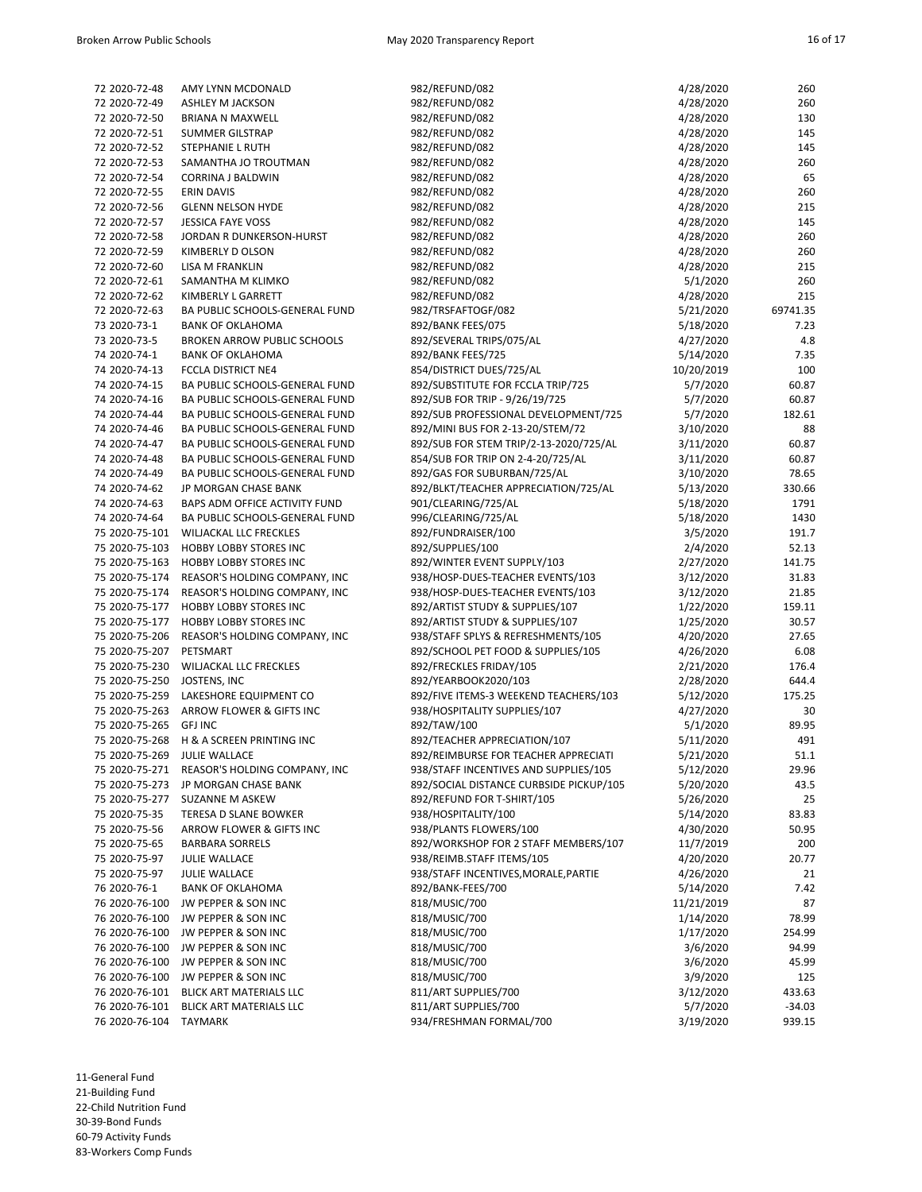| 72 2020-72-48                | AMY LYNN MCDONALD                            | 982/REFUND/082                          | 4/28/2020  | 260      |
|------------------------------|----------------------------------------------|-----------------------------------------|------------|----------|
| 72 2020-72-49                | <b>ASHLEY M JACKSON</b>                      | 982/REFUND/082                          | 4/28/2020  | 260      |
| 72 2020-72-50                | BRIANA N MAXWELL                             | 982/REFUND/082                          | 4/28/2020  | 130      |
| 72 2020-72-51                | <b>SUMMER GILSTRAP</b>                       | 982/REFUND/082                          | 4/28/2020  | 145      |
| 72 2020-72-52                | STEPHANIE L RUTH                             | 982/REFUND/082                          | 4/28/2020  | 145      |
| 72 2020-72-53                | SAMANTHA JO TROUTMAN                         | 982/REFUND/082                          | 4/28/2020  | 260      |
| 72 2020-72-54                | CORRINA J BALDWIN                            | 982/REFUND/082                          | 4/28/2020  | 65       |
| 72 2020-72-55                | <b>ERIN DAVIS</b>                            | 982/REFUND/082                          | 4/28/2020  | 260      |
| 72 2020-72-56                | <b>GLENN NELSON HYDE</b>                     | 982/REFUND/082                          | 4/28/2020  | 215      |
| 72 2020-72-57                | <b>JESSICA FAYE VOSS</b>                     | 982/REFUND/082                          | 4/28/2020  | 145      |
| 72 2020-72-58                | JORDAN R DUNKERSON-HURST                     | 982/REFUND/082                          | 4/28/2020  | 260      |
| 72 2020-72-59                | KIMBERLY D OLSON                             | 982/REFUND/082                          | 4/28/2020  | 260      |
| 72 2020-72-60                | LISA M FRANKLIN                              | 982/REFUND/082                          | 4/28/2020  | 215      |
| 72 2020-72-61                | SAMANTHA M KLIMKO                            | 982/REFUND/082                          | 5/1/2020   | 260      |
| 72 2020-72-62                | KIMBERLY L GARRETT                           | 982/REFUND/082                          | 4/28/2020  | 215      |
| 72 2020-72-63                | BA PUBLIC SCHOOLS-GENERAL FUND               | 982/TRSFAFTOGF/082                      | 5/21/2020  | 69741.35 |
| 73 2020-73-1                 | <b>BANK OF OKLAHOMA</b>                      | 892/BANK FEES/075                       | 5/18/2020  | 7.23     |
| 73 2020-73-5                 | <b>BROKEN ARROW PUBLIC SCHOOLS</b>           | 892/SEVERAL TRIPS/075/AL                | 4/27/2020  | 4.8      |
| 74 2020-74-1                 | <b>BANK OF OKLAHOMA</b>                      | 892/BANK FEES/725                       | 5/14/2020  | 7.35     |
| 74 2020-74-13                | <b>FCCLA DISTRICT NE4</b>                    | 854/DISTRICT DUES/725/AL                | 10/20/2019 | 100      |
| 74 2020-74-15                | BA PUBLIC SCHOOLS-GENERAL FUND               | 892/SUBSTITUTE FOR FCCLA TRIP/725       | 5/7/2020   | 60.87    |
| 74 2020-74-16                | BA PUBLIC SCHOOLS-GENERAL FUND               | 892/SUB FOR TRIP - 9/26/19/725          | 5/7/2020   | 60.87    |
| 74 2020-74-44                | BA PUBLIC SCHOOLS-GENERAL FUND               | 892/SUB PROFESSIONAL DEVELOPMENT/725    | 5/7/2020   | 182.61   |
| 74 2020-74-46                | BA PUBLIC SCHOOLS-GENERAL FUND               | 892/MINI BUS FOR 2-13-20/STEM/72        | 3/10/2020  | 88       |
| 74 2020-74-47                | BA PUBLIC SCHOOLS-GENERAL FUND               | 892/SUB FOR STEM TRIP/2-13-2020/725/AL  | 3/11/2020  | 60.87    |
| 74 2020-74-48                | BA PUBLIC SCHOOLS-GENERAL FUND               | 854/SUB FOR TRIP ON 2-4-20/725/AL       | 3/11/2020  | 60.87    |
| 74 2020-74-49                | BA PUBLIC SCHOOLS-GENERAL FUND               | 892/GAS FOR SUBURBAN/725/AL             | 3/10/2020  | 78.65    |
| 74 2020-74-62                | JP MORGAN CHASE BANK                         | 892/BLKT/TEACHER APPRECIATION/725/AL    | 5/13/2020  | 330.66   |
| 74 2020-74-63                | BAPS ADM OFFICE ACTIVITY FUND                | 901/CLEARING/725/AL                     | 5/18/2020  | 1791     |
| 74 2020-74-64                | BA PUBLIC SCHOOLS-GENERAL FUND               | 996/CLEARING/725/AL                     | 5/18/2020  | 1430     |
| 75 2020-75-101               | WILJACKAL LLC FRECKLES                       | 892/FUNDRAISER/100                      | 3/5/2020   | 191.7    |
| 75 2020-75-103               | <b>HOBBY LOBBY STORES INC</b>                | 892/SUPPLIES/100                        | 2/4/2020   | 52.13    |
| 75 2020-75-163               | <b>HOBBY LOBBY STORES INC</b>                | 892/WINTER EVENT SUPPLY/103             | 2/27/2020  | 141.75   |
| 75 2020-75-174               | REASOR'S HOLDING COMPANY, INC                | 938/HOSP-DUES-TEACHER EVENTS/103        | 3/12/2020  | 31.83    |
| 75 2020-75-174               | REASOR'S HOLDING COMPANY, INC                | 938/HOSP-DUES-TEACHER EVENTS/103        | 3/12/2020  | 21.85    |
| 75 2020-75-177               | <b>HOBBY LOBBY STORES INC</b>                | 892/ARTIST STUDY & SUPPLIES/107         | 1/22/2020  | 159.11   |
| 75 2020-75-177               | <b>HOBBY LOBBY STORES INC</b>                | 892/ARTIST STUDY & SUPPLIES/107         | 1/25/2020  | 30.57    |
| 75 2020-75-206               | REASOR'S HOLDING COMPANY, INC                | 938/STAFF SPLYS & REFRESHMENTS/105      | 4/20/2020  | 27.65    |
| 75 2020-75-207               | PETSMART                                     | 892/SCHOOL PET FOOD & SUPPLIES/105      | 4/26/2020  | 6.08     |
| 75 2020-75-230               | WILJACKAL LLC FRECKLES                       | 892/FRECKLES FRIDAY/105                 | 2/21/2020  | 176.4    |
| 75 2020-75-250 JOSTENS, INC  |                                              | 892/YEARBOOK2020/103                    | 2/28/2020  | 644.4    |
|                              | 75 2020-75-259 LAKESHORE EQUIPMENT CO        | 892/FIVE ITEMS-3 WEEKEND TEACHERS/103   | 5/12/2020  | 175.25   |
|                              | 75 2020-75-263 ARROW FLOWER & GIFTS INC      | 938/HOSPITALITY SUPPLIES/107            | 4/27/2020  | 30       |
| 75 2020-75-265 GFJ INC       |                                              | 892/TAW/100                             | 5/1/2020   | 89.95    |
|                              | 75 2020-75-268 H & A SCREEN PRINTING INC     | 892/TEACHER APPRECIATION/107            | 5/11/2020  | 491      |
| 75 2020-75-269 JULIE WALLACE |                                              | 892/REIMBURSE FOR TEACHER APPRECIATI    | 5/21/2020  | 51.1     |
|                              | 75 2020-75-271 REASOR'S HOLDING COMPANY, INC | 938/STAFF INCENTIVES AND SUPPLIES/105   | 5/12/2020  | 29.96    |
| 75 2020-75-273               | JP MORGAN CHASE BANK                         | 892/SOCIAL DISTANCE CURBSIDE PICKUP/105 | 5/20/2020  | 43.5     |
| 75 2020-75-277               | SUZANNE M ASKEW                              | 892/REFUND FOR T-SHIRT/105              | 5/26/2020  | 25       |
| 75 2020-75-35                | TERESA D SLANE BOWKER                        | 938/HOSPITALITY/100                     | 5/14/2020  | 83.83    |
| 75 2020-75-56                | ARROW FLOWER & GIFTS INC                     | 938/PLANTS FLOWERS/100                  | 4/30/2020  | 50.95    |
| 75 2020-75-65                | <b>BARBARA SORRELS</b>                       | 892/WORKSHOP FOR 2 STAFF MEMBERS/107    | 11/7/2019  | 200      |
| 75 2020-75-97                | <b>JULIE WALLACE</b>                         | 938/REIMB.STAFF ITEMS/105               | 4/20/2020  | 20.77    |
| 75 2020-75-97                | <b>JULIE WALLACE</b>                         | 938/STAFF INCENTIVES, MORALE, PARTIE    | 4/26/2020  | 21       |
| 76 2020-76-1                 | <b>BANK OF OKLAHOMA</b>                      | 892/BANK-FEES/700                       | 5/14/2020  | 7.42     |
| 76 2020-76-100               | JW PEPPER & SON INC                          | 818/MUSIC/700                           | 11/21/2019 | 87       |
| 76 2020-76-100               | JW PEPPER & SON INC                          | 818/MUSIC/700                           | 1/14/2020  | 78.99    |
| 76 2020-76-100               | JW PEPPER & SON INC                          | 818/MUSIC/700                           | 1/17/2020  | 254.99   |
| 76 2020-76-100               | JW PEPPER & SON INC                          | 818/MUSIC/700                           | 3/6/2020   | 94.99    |
|                              | 76 2020-76-100 JW PEPPER & SON INC           | 818/MUSIC/700                           | 3/6/2020   | 45.99    |
| 76 2020-76-100               | JW PEPPER & SON INC                          | 818/MUSIC/700                           | 3/9/2020   | 125      |
| 76 2020-76-101               | <b>BLICK ART MATERIALS LLC</b>               | 811/ART SUPPLIES/700                    | 3/12/2020  | 433.63   |
| 76 2020-76-101               | BLICK ART MATERIALS LLC                      | 811/ART SUPPLIES/700                    | 5/7/2020   | $-34.03$ |
| 76 2020-76-104               | <b>TAYMARK</b>                               | 934/FRESHMAN FORMAL/700                 | 3/19/2020  | 939.15   |